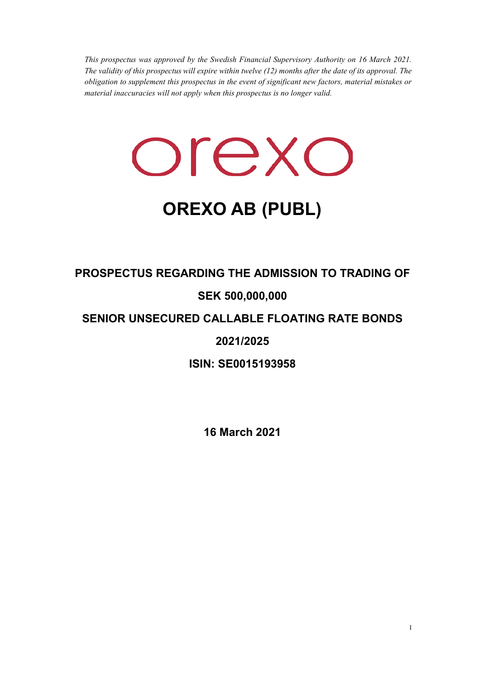*This prospectus was approved by the Swedish Financial Supervisory Authority on 16 March 2021. The validity of this prospectus will expire within twelve (12) months after the date of its approval. The obligation to supplement this prospectus in the event of significant new factors, material mistakes or material inaccuracies will not apply when this prospectus is no longer valid.* 

orexo

# **OREXO AB (PUBL)**

## **PROSPECTUS REGARDING THE ADMISSION TO TRADING OF**

## **SEK 500,000,000**

## **SENIOR UNSECURED CALLABLE FLOATING RATE BONDS**

## **2021/2025**

**ISIN: SE0015193958** 

**16 March 2021**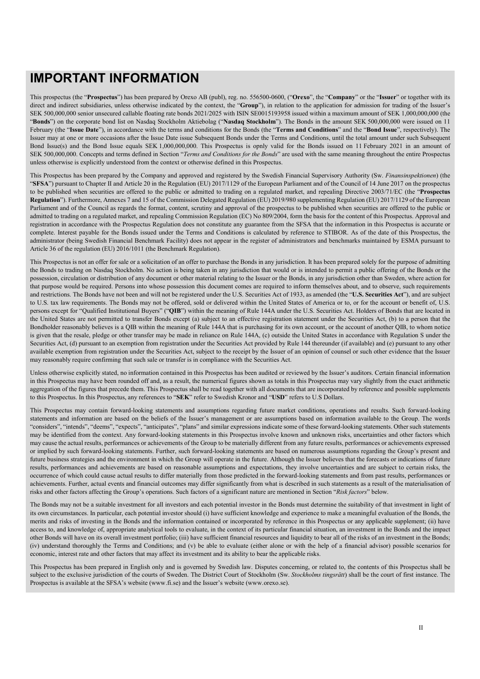## **IMPORTANT INFORMATION**

This prospectus (the "**Prospectus**") has been prepared by Orexo AB (publ), reg. no. 556500-0600, ("**Orexo**", the "**Company**" or the "**Issuer**" or together with its direct and indirect subsidiaries, unless otherwise indicated by the context, the "**Group**"), in relation to the application for admission for trading of the Issuer's SEK 500,000,000 senior unsecured callable floating rate bonds 2021/2025 with ISIN SE0015193958 issued within a maximum amount of SEK 1,000,000,000 (the "**Bonds**") on the corporate bond list on Nasdaq Stockholm Aktiebolag ("**Nasdaq Stockholm**"). The Bonds in the amount SEK 500,000,000 were issued on 11 February (the "**Issue Date**"), in accordance with the terms and conditions for the Bonds (the "**Terms and Conditions**" and the "**Bond Issue**", respectively). The Issuer may at one or more occasions after the Issue Date issue Subsequent Bonds under the Terms and Conditions, until the total amount under such Subsequent Bond Issue(s) and the Bond Issue equals SEK 1,000,000,000. This Prospectus is opnly valid for the Bonds issued on 11 February 2021 in an amount of SEK 500,000,000. Concepts and terms defined in Section "*Terms and Conditions for the Bonds*" are used with the same meaning throughout the entire Prospectus unless otherwise is explicitly understood from the context or otherwise defined in this Prospectus.

This Prospectus has been prepared by the Company and approved and registered by the Swedish Financial Supervisory Authority (Sw. *Finansinspektionen*) (the "**SFSA**") pursuant to Chapter II and Article 20 in the Regulation (EU) 2017/1129 of the European Parliament and of the Council of 14 June 2017 on the prospectus to be published when securities are offered to the public or admitted to trading on a regulated market, and repealing Directive 2003/71/EC (the "**Prospectus Regulation**"). Furthermore, Annexes 7 and 15 of the Commission Delegated Regulation (EU) 2019/980 supplementing Regulation (EU) 2017/1129 of the European Parliament and of the Council as regards the format, content, scrutiny and approval of the prospectus to be published when securities are offered to the public or admitted to trading on a regulated market, and repealing Commission Regulation (EC) No 809/2004, form the basis for the content of this Prospectus. Approval and registration in accordance with the Prospectus Regulation does not constitute any guarantee from the SFSA that the information in this Prospectus is accurate or complete. Interest payable for the Bonds issued under the Terms and Conditions is calculated by reference to STIBOR. As of the date of this Prospectus, the administrator (being Swedish Financial Benchmark Facility) does not appear in the register of administrators and benchmarks maintained by ESMA pursuant to Article 36 of the regulation (EU) 2016/1011 (the Benchmark Regulation).

This Prospectus is not an offer for sale or a solicitation of an offer to purchase the Bonds in any jurisdiction. It has been prepared solely for the purpose of admitting the Bonds to trading on Nasdaq Stockholm. No action is being taken in any jurisdiction that would or is intended to permit a public offering of the Bonds or the possession, circulation or distribution of any document or other material relating to the Issuer or the Bonds, in any jurisdiction other than Sweden, where action for that purpose would be required. Persons into whose possession this document comes are required to inform themselves about, and to observe, such requirements and restrictions. The Bonds have not been and will not be registered under the U.S. Securities Act of 1933, as amended (the "**U.S. Securities Act**"), and are subject to U.S. tax law requirements. The Bonds may not be offered, sold or delivered within the United States of America or to, or for the account or benefit of, U.S. persons except for "Qualified Institutional Buyers" ("**QIB**") within the meaning of Rule 144A under the U.S. Securities Act. Holders of Bonds that are located in the United States are not permitted to transfer Bonds except (a) subject to an effective registration statement under the Securities Act, (b) to a person that the Bondholder reasonably believes is a QIB within the meaning of Rule 144A that is purchasing for its own account, or the account of another QIB, to whom notice is given that the resale, pledge or other transfer may be made in reliance on Rule 144A, (c) outside the United States in accordance with Regulation S under the Securities Act, (d) pursuant to an exemption from registration under the Securities Act provided by Rule 144 thereunder (if available) and (e) pursuant to any other available exemption from registration under the Securities Act, subject to the receipt by the Issuer of an opinion of counsel or such other evidence that the Issuer may reasonably require confirming that such sale or transfer is in compliance with the Securities Act.

Unless otherwise explicitly stated, no information contained in this Prospectus has been audited or reviewed by the Issuer's auditors. Certain financial information in this Prospectus may have been rounded off and, as a result, the numerical figures shown as totals in this Prospectus may vary slightly from the exact arithmetic aggregation of the figures that precede them. This Prospectus shall be read together with all documents that are incorporated by reference and possible supplements to this Prospectus. In this Prospectus, any references to "**SEK**" refer to Swedish Kronor and "**USD**" refers to U.S Dollars.

This Prospectus may contain forward-looking statements and assumptions regarding future market conditions, operations and results. Such forward-looking statements and information are based on the beliefs of the Issuer's management or are assumptions based on information available to the Group. The words "considers", "intends", "deems", "expects", "anticipates", "plans" and similar expressions indicate some of these forward-looking statements. Other such statements may be identified from the context. Any forward-looking statements in this Prospectus involve known and unknown risks, uncertainties and other factors which may cause the actual results, performances or achievements of the Group to be materially different from any future results, performances or achievements expressed or implied by such forward-looking statements. Further, such forward-looking statements are based on numerous assumptions regarding the Group's present and future business strategies and the environment in which the Group will operate in the future. Although the Issuer believes that the forecasts or indications of future results, performances and achievements are based on reasonable assumptions and expectations, they involve uncertainties and are subject to certain risks, the occurrence of which could cause actual results to differ materially from those predicted in the forward-looking statements and from past results, performances or achievements. Further, actual events and financial outcomes may differ significantly from what is described in such statements as a result of the materialisation of risks and other factors affecting the Group's operations. Such factors of a significant nature are mentioned in Section "*Risk factors*" below.

The Bonds may not be a suitable investment for all investors and each potential investor in the Bonds must determine the suitability of that investment in light of its own circumstances. In particular, each potential investor should (i) have sufficient knowledge and experience to make a meaningful evaluation of the Bonds, the merits and risks of investing in the Bonds and the information contained or incorporated by reference in this Prospectus or any applicable supplement; (ii) have access to, and knowledge of, appropriate analytical tools to evaluate, in the context of its particular financial situation, an investment in the Bonds and the impact other Bonds will have on its overall investment portfolio; (iii) have sufficient financial resources and liquidity to bear all of the risks of an investment in the Bonds; (iv) understand thoroughly the Terms and Conditions; and (v) be able to evaluate (either alone or with the help of a financial advisor) possible scenarios for economic, interest rate and other factors that may affect its investment and its ability to bear the applicable risks.

This Prospectus has been prepared in English only and is governed by Swedish law. Disputes concerning, or related to, the contents of this Prospectus shall be subject to the exclusive jurisdiction of the courts of Sweden. The District Court of Stockholm (Sw. *Stockholms tingsrätt*) shall be the court of first instance. The Prospectus is available at the SFSA's website (www.fi.se) and the Issuer's website (www.orexo.se).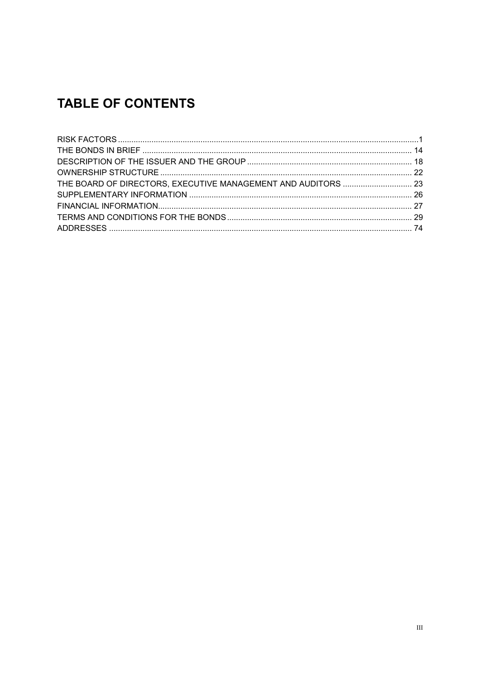## **TABLE OF CONTENTS**

| THE BOARD OF DIRECTORS, EXECUTIVE MANAGEMENT AND AUDITORS  23 |  |
|---------------------------------------------------------------|--|
|                                                               |  |
|                                                               |  |
|                                                               |  |
|                                                               |  |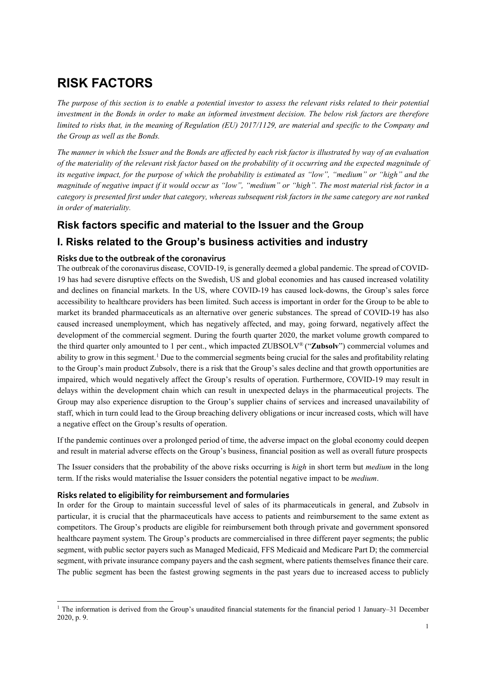## **RISK FACTORS**

*The purpose of this section is to enable a potential investor to assess the relevant risks related to their potential investment in the Bonds in order to make an informed investment decision. The below risk factors are therefore limited to risks that, in the meaning of Regulation (EU) 2017/1129, are material and specific to the Company and the Group as well as the Bonds.* 

*The manner in which the Issuer and the Bonds are affected by each risk factor is illustrated by way of an evaluation of the materiality of the relevant risk factor based on the probability of it occurring and the expected magnitude of its negative impact, for the purpose of which the probability is estimated as "low", "medium" or "high" and the magnitude of negative impact if it would occur as "low", "medium" or "high". The most material risk factor in a category is presented first under that category, whereas subsequent risk factors in the same category are not ranked in order of materiality.* 

### **Risk factors specific and material to the Issuer and the Group**

## **I. Risks related to the Group's business activities and industry**

#### **Risks due to the outbreak of the coronavirus**

The outbreak of the coronavirus disease, COVID-19, is generally deemed a global pandemic. The spread of COVID-19 has had severe disruptive effects on the Swedish, US and global economies and has caused increased volatility and declines on financial markets. In the US, where COVID-19 has caused lock-downs, the Group's sales force accessibility to healthcare providers has been limited. Such access is important in order for the Group to be able to market its branded pharmaceuticals as an alternative over generic substances. The spread of COVID-19 has also caused increased unemployment, which has negatively affected, and may, going forward, negatively affect the development of the commercial segment. During the fourth quarter 2020, the market volume growth compared to the third quarter only amounted to 1 per cent., which impacted ZUBSOLV® ("**Zubsolv**") commercial volumes and ability to grow in this segment.<sup>1</sup> Due to the commercial segments being crucial for the sales and profitability relating to the Group's main product Zubsolv, there is a risk that the Group's sales decline and that growth opportunities are impaired, which would negatively affect the Group's results of operation. Furthermore, COVID-19 may result in delays within the development chain which can result in unexpected delays in the pharmaceutical projects. The Group may also experience disruption to the Group's supplier chains of services and increased unavailability of staff, which in turn could lead to the Group breaching delivery obligations or incur increased costs, which will have a negative effect on the Group's results of operation.

If the pandemic continues over a prolonged period of time, the adverse impact on the global economy could deepen and result in material adverse effects on the Group's business, financial position as well as overall future prospects

The Issuer considers that the probability of the above risks occurring is *high* in short term but *medium* in the long term. If the risks would materialise the Issuer considers the potential negative impact to be *medium*.

#### **Risks related to eligibility for reimbursement and formularies**

 $\overline{\phantom{a}}$ 

In order for the Group to maintain successful level of sales of its pharmaceuticals in general, and Zubsolv in particular, it is crucial that the pharmaceuticals have access to patients and reimbursement to the same extent as competitors. The Group's products are eligible for reimbursement both through private and government sponsored healthcare payment system. The Group's products are commercialised in three different payer segments; the public segment, with public sector payers such as Managed Medicaid, FFS Medicaid and Medicare Part D; the commercial segment, with private insurance company payers and the cash segment, where patients themselves finance their care. The public segment has been the fastest growing segments in the past years due to increased access to publicly

<sup>1</sup> The information is derived from the Group's unaudited financial statements for the financial period 1 January–31 December 2020, p. 9.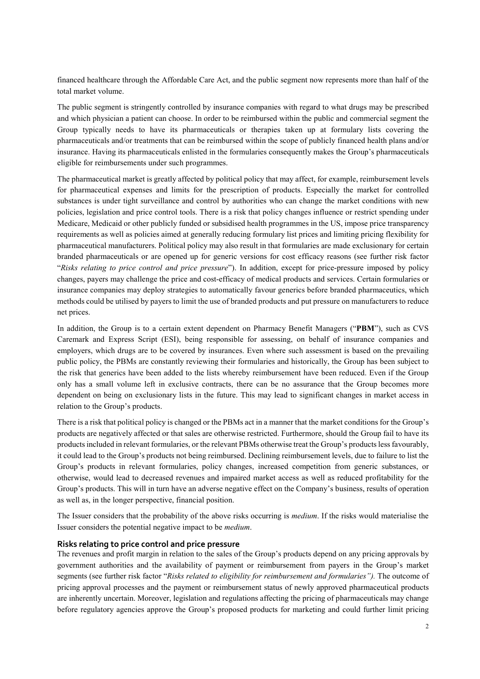financed healthcare through the Affordable Care Act, and the public segment now represents more than half of the total market volume.

The public segment is stringently controlled by insurance companies with regard to what drugs may be prescribed and which physician a patient can choose. In order to be reimbursed within the public and commercial segment the Group typically needs to have its pharmaceuticals or therapies taken up at formulary lists covering the pharmaceuticals and/or treatments that can be reimbursed within the scope of publicly financed health plans and/or insurance. Having its pharmaceuticals enlisted in the formularies consequently makes the Group's pharmaceuticals eligible for reimbursements under such programmes.

The pharmaceutical market is greatly affected by political policy that may affect, for example, reimbursement levels for pharmaceutical expenses and limits for the prescription of products. Especially the market for controlled substances is under tight surveillance and control by authorities who can change the market conditions with new policies, legislation and price control tools. There is a risk that policy changes influence or restrict spending under Medicare, Medicaid or other publicly funded or subsidised health programmes in the US, impose price transparency requirements as well as policies aimed at generally reducing formulary list prices and limiting pricing flexibility for pharmaceutical manufacturers. Political policy may also result in that formularies are made exclusionary for certain branded pharmaceuticals or are opened up for generic versions for cost efficacy reasons (see further risk factor "*Risks relating to price control and price pressure*"). In addition, except for price-pressure imposed by policy changes, payers may challenge the price and cost-efficacy of medical products and services. Certain formularies or insurance companies may deploy strategies to automatically favour generics before branded pharmaceutics, which methods could be utilised by payers to limit the use of branded products and put pressure on manufacturers to reduce net prices.

In addition, the Group is to a certain extent dependent on Pharmacy Benefit Managers ("**PBM**"), such as CVS Caremark and Express Script (ESI), being responsible for assessing, on behalf of insurance companies and employers, which drugs are to be covered by insurances. Even where such assessment is based on the prevailing public policy, the PBMs are constantly reviewing their formularies and historically, the Group has been subject to the risk that generics have been added to the lists whereby reimbursement have been reduced. Even if the Group only has a small volume left in exclusive contracts, there can be no assurance that the Group becomes more dependent on being on exclusionary lists in the future. This may lead to significant changes in market access in relation to the Group's products.

There is a risk that political policy is changed or the PBMs act in a manner that the market conditions for the Group's products are negatively affected or that sales are otherwise restricted. Furthermore, should the Group fail to have its products included in relevant formularies, or the relevant PBMs otherwise treat the Group's products less favourably, it could lead to the Group's products not being reimbursed. Declining reimbursement levels, due to failure to list the Group's products in relevant formularies, policy changes, increased competition from generic substances, or otherwise, would lead to decreased revenues and impaired market access as well as reduced profitability for the Group's products. This will in turn have an adverse negative effect on the Company's business, results of operation as well as, in the longer perspective, financial position.

The Issuer considers that the probability of the above risks occurring is *medium*. If the risks would materialise the Issuer considers the potential negative impact to be *medium*.

#### **Risks relating to price control and price pressure**

The revenues and profit margin in relation to the sales of the Group's products depend on any pricing approvals by government authorities and the availability of payment or reimbursement from payers in the Group's market segments (see further risk factor "*Risks related to eligibility for reimbursement and formularies").* The outcome of pricing approval processes and the payment or reimbursement status of newly approved pharmaceutical products are inherently uncertain. Moreover, legislation and regulations affecting the pricing of pharmaceuticals may change before regulatory agencies approve the Group's proposed products for marketing and could further limit pricing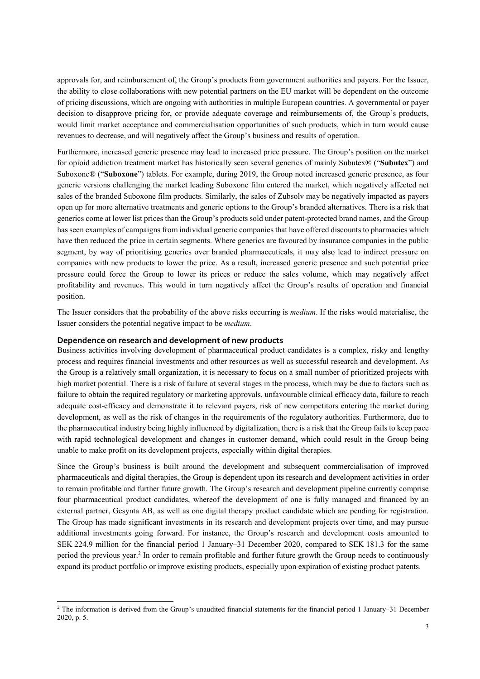approvals for, and reimbursement of, the Group's products from government authorities and payers. For the Issuer, the ability to close collaborations with new potential partners on the EU market will be dependent on the outcome of pricing discussions, which are ongoing with authorities in multiple European countries. A governmental or payer decision to disapprove pricing for, or provide adequate coverage and reimbursements of, the Group's products, would limit market acceptance and commercialisation opportunities of such products, which in turn would cause revenues to decrease, and will negatively affect the Group's business and results of operation.

Furthermore, increased generic presence may lead to increased price pressure. The Group's position on the market for opioid addiction treatment market has historically seen several generics of mainly Subutex® ("**Subutex**") and Suboxone® ("**Suboxone**") tablets. For example, during 2019, the Group noted increased generic presence, as four generic versions challenging the market leading Suboxone film entered the market, which negatively affected net sales of the branded Suboxone film products. Similarly, the sales of Zubsolv may be negatively impacted as payers open up for more alternative treatments and generic options to the Group's branded alternatives. There is a risk that generics come at lower list prices than the Group's products sold under patent-protected brand names, and the Group has seen examples of campaigns from individual generic companies that have offered discounts to pharmacies which have then reduced the price in certain segments. Where generics are favoured by insurance companies in the public segment, by way of prioritising generics over branded pharmaceuticals, it may also lead to indirect pressure on companies with new products to lower the price. As a result, increased generic presence and such potential price pressure could force the Group to lower its prices or reduce the sales volume, which may negatively affect profitability and revenues. This would in turn negatively affect the Group's results of operation and financial position.

The Issuer considers that the probability of the above risks occurring is *medium*. If the risks would materialise, the Issuer considers the potential negative impact to be *medium*.

#### **Dependence on research and development of new products**

 $\overline{\phantom{a}}$ 

Business activities involving development of pharmaceutical product candidates is a complex, risky and lengthy process and requires financial investments and other resources as well as successful research and development. As the Group is a relatively small organization, it is necessary to focus on a small number of prioritized projects with high market potential. There is a risk of failure at several stages in the process, which may be due to factors such as failure to obtain the required regulatory or marketing approvals, unfavourable clinical efficacy data, failure to reach adequate cost-efficacy and demonstrate it to relevant payers, risk of new competitors entering the market during development, as well as the risk of changes in the requirements of the regulatory authorities. Furthermore, due to the pharmaceutical industry being highly influenced by digitalization, there is a risk that the Group fails to keep pace with rapid technological development and changes in customer demand, which could result in the Group being unable to make profit on its development projects, especially within digital therapies.

Since the Group's business is built around the development and subsequent commercialisation of improved pharmaceuticals and digital therapies, the Group is dependent upon its research and development activities in order to remain profitable and further future growth. The Group's research and development pipeline currently comprise four pharmaceutical product candidates, whereof the development of one is fully managed and financed by an external partner, Gesynta AB, as well as one digital therapy product candidate which are pending for registration. The Group has made significant investments in its research and development projects over time, and may pursue additional investments going forward. For instance, the Group's research and development costs amounted to SEK 224.9 million for the financial period 1 January–31 December 2020, compared to SEK 181.3 for the same period the previous year.<sup>2</sup> In order to remain profitable and further future growth the Group needs to continuously expand its product portfolio or improve existing products, especially upon expiration of existing product patents.

<sup>&</sup>lt;sup>2</sup> The information is derived from the Group's unaudited financial statements for the financial period 1 January–31 December 2020, p. 5.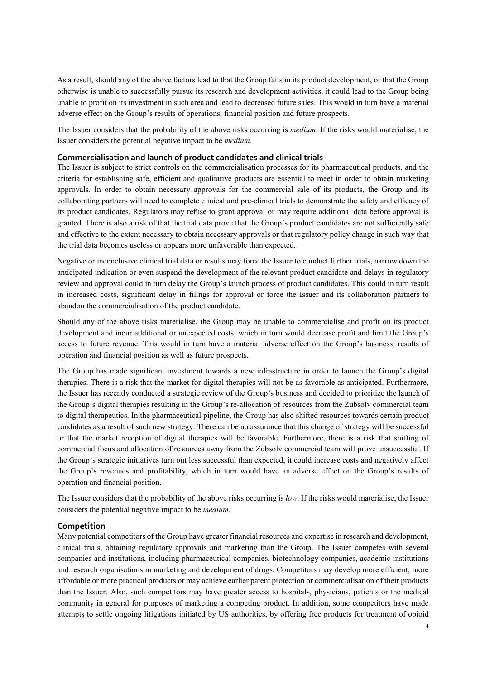As a result, should any of the above factors lead to that the Group fails in its product development, or that the Group otherwise is unable to successfully pursue its research and development activities, it could lead to the Group being unable to profit on its investment in such area and lead to decreased future sales. This would in turn have a material adverse effect on the Group's results of operations, financial position and future prospects.

The Issuer considers that the probability of the above risks occurring is *medium*. If the risks would materialise, the Issuer considers the potential negative impact to be *medium*.

#### **Commercialisation and launch of product candidates and clinical trials**

The Issuer is subject to strict controls on the commercialisation processes for its pharmaceutical products, and the criteria for establishing safe, efficient and qualitative products are essential to meet in order to obtain marketing approvals. In order to obtain necessary approvals for the commercial sale of its products, the Group and its collaborating partners will need to complete clinical and pre-clinical trials to demonstrate the safety and efficacy of its product candidates. Regulators may refuse to grant approval or may require additional data before approval is granted. There is also a risk of that the trial data prove that the Group's product candidates are not sufficiently safe and effective to the extent necessary to obtain necessary approvals or that regulatory policy change in such way that the trial data becomes useless or appears more unfavorable than expected.

Negative or inconclusive clinical trial data or results may force the Issuer to conduct further trials, narrow down the anticipated indication or even suspend the development of the relevant product candidate and delays in regulatory review and approval could in turn delay the Group's launch process of product candidates. This could in turn result in increased costs, significant delay in filings for approval or force the Issuer and its collaboration partners to abandon the commercialisation of the product candidate.

Should any of the above risks materialise, the Group may be unable to commercialise and profit on its product development and incur additional or unexpected costs, which in turn would decrease profit and limit the Group's access to future revenue. This would in turn have a material adverse effect on the Group's business, results of operation and financial position as well as future prospects.

The Group has made significant investment towards a new infrastructure in order to launch the Group's digital therapies. There is a risk that the market for digital therapies will not be as favorable as anticipated. Furthermore, the Issuer has recently conducted a strategic review of the Group's business and decided to prioritize the launch of the Group's digital therapies resulting in the Group's re-allocation of resources from the Zubsolv commercial team to digital therapeutics. In the pharmaceutical pipeline, the Group has also shifted resources towards certain product candidates as a result of such new strategy. There can be no assurance that this change of strategy will be successful or that the market reception of digital therapies will be favorable. Furthermore, there is a risk that shifting of commercial focus and allocation of resources away from the Zubsolv commercial team will prove unsuccessful. If the Group's strategic initiatives turn out less successful than expected, it could increase costs and negatively affect the Group's revenues and profitability, which in turn would have an adverse effect on the Group's results of operation and financial position.

The Issuer considers that the probability of the above risks occurring is *low*. If the risks would materialise, the Issuer considers the potential negative impact to be *medium*.

#### **Competition**

Many potential competitors of the Group have greater financial resources and expertise in research and development, clinical trials, obtaining regulatory approvals and marketing than the Group. The Issuer competes with several companies and institutions, including pharmaceutical companies, biotechnology companies, academic institutions and research organisations in marketing and development of drugs. Competitors may develop more efficient, more affordable or more practical products or may achieve earlier patent protection or commercialisation of their products than the Issuer. Also, such competitors may have greater access to hospitals, physicians, patients or the medical community in general for purposes of marketing a competing product. In addition, some competitors have made attempts to settle ongoing litigations initiated by US authorities, by offering free products for treatment of opioid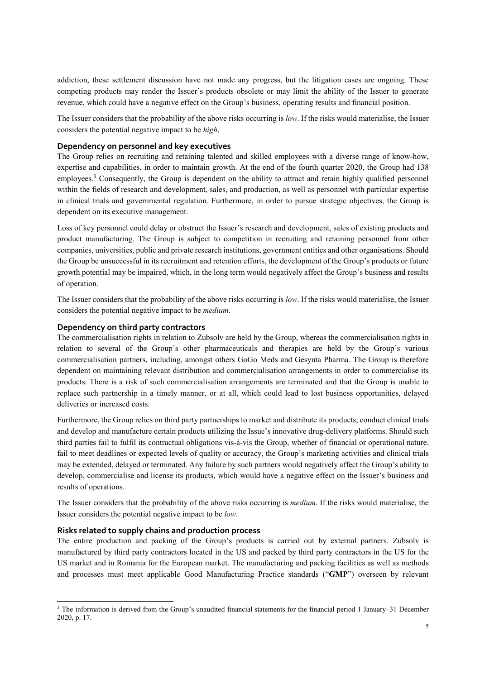addiction, these settlement discussion have not made any progress, but the litigation cases are ongoing. These competing products may render the Issuer's products obsolete or may limit the ability of the Issuer to generate revenue, which could have a negative effect on the Group's business, operating results and financial position.

The Issuer considers that the probability of the above risks occurring is *low*. If the risks would materialise, the Issuer considers the potential negative impact to be *high*.

#### **Dependency on personnel and key executives**

The Group relies on recruiting and retaining talented and skilled employees with a diverse range of know-how, expertise and capabilities, in order to maintain growth. At the end of the fourth quarter 2020, the Group had 138 employees.<sup>3</sup> Consequently, the Group is dependent on the ability to attract and retain highly qualified personnel within the fields of research and development, sales, and production, as well as personnel with particular expertise in clinical trials and governmental regulation. Furthermore, in order to pursue strategic objectives, the Group is dependent on its executive management.

Loss of key personnel could delay or obstruct the Issuer's research and development, sales of existing products and product manufacturing. The Group is subject to competition in recruiting and retaining personnel from other companies, universities, public and private research institutions, government entities and other organisations. Should the Group be unsuccessful in its recruitment and retention efforts, the development of the Group's products or future growth potential may be impaired, which, in the long term would negatively affect the Group's business and results of operation.

The Issuer considers that the probability of the above risks occurring is *low*. If the risks would materialise, the Issuer considers the potential negative impact to be *medium*.

#### **Dependency on third party contractors**

The commercialisation rights in relation to Zubsolv are held by the Group, whereas the commercialisation rights in relation to several of the Group's other pharmaceuticals and therapies are held by the Group's various commercialisation partners, including, amongst others GoGo Meds and Gesynta Pharma. The Group is therefore dependent on maintaining relevant distribution and commercialisation arrangements in order to commercialise its products. There is a risk of such commercialisation arrangements are terminated and that the Group is unable to replace such partnership in a timely manner, or at all, which could lead to lost business opportunities, delayed deliveries or increased costs.

Furthermore, the Group relies on third party partnerships to market and distribute its products, conduct clinical trials and develop and manufacture certain products utilizing the Issue's innovative drug-delivery platforms. Should such third parties fail to fulfil its contractual obligations vis-á-vis the Group, whether of financial or operational nature, fail to meet deadlines or expected levels of quality or accuracy, the Group's marketing activities and clinical trials may be extended, delayed or terminated. Any failure by such partners would negatively affect the Group's ability to develop, commercialise and license its products, which would have a negative effect on the Issuer's business and results of operations.

The Issuer considers that the probability of the above risks occurring is *medium*. If the risks would materialise, the Issuer considers the potential negative impact to be *low*.

#### **Risks related to supply chains and production process**

 $\overline{\phantom{a}}$ 

The entire production and packing of the Group's products is carried out by external partners. Zubsolv is manufactured by third party contractors located in the US and packed by third party contractors in the US for the US market and in Romania for the European market. The manufacturing and packing facilities as well as methods and processes must meet applicable Good Manufacturing Practice standards ("**GMP**") overseen by relevant

<sup>&</sup>lt;sup>3</sup> The information is derived from the Group's unaudited financial statements for the financial period 1 January–31 December 2020, p. 17.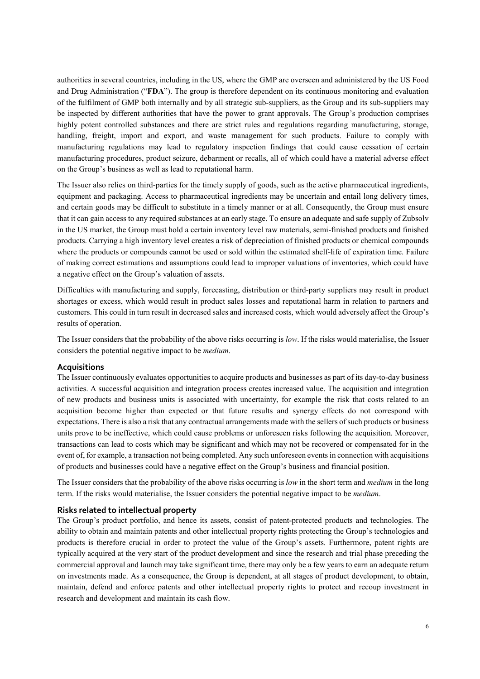authorities in several countries, including in the US, where the GMP are overseen and administered by the US Food and Drug Administration ("**FDA**"). The group is therefore dependent on its continuous monitoring and evaluation of the fulfilment of GMP both internally and by all strategic sub-suppliers, as the Group and its sub-suppliers may be inspected by different authorities that have the power to grant approvals. The Group's production comprises highly potent controlled substances and there are strict rules and regulations regarding manufacturing, storage, handling, freight, import and export, and waste management for such products. Failure to comply with manufacturing regulations may lead to regulatory inspection findings that could cause cessation of certain manufacturing procedures, product seizure, debarment or recalls, all of which could have a material adverse effect on the Group's business as well as lead to reputational harm.

The Issuer also relies on third-parties for the timely supply of goods, such as the active pharmaceutical ingredients, equipment and packaging. Access to pharmaceutical ingredients may be uncertain and entail long delivery times, and certain goods may be difficult to substitute in a timely manner or at all. Consequently, the Group must ensure that it can gain access to any required substances at an early stage. To ensure an adequate and safe supply of Zubsolv in the US market, the Group must hold a certain inventory level raw materials, semi-finished products and finished products. Carrying a high inventory level creates a risk of depreciation of finished products or chemical compounds where the products or compounds cannot be used or sold within the estimated shelf-life of expiration time. Failure of making correct estimations and assumptions could lead to improper valuations of inventories, which could have a negative effect on the Group's valuation of assets.

Difficulties with manufacturing and supply, forecasting, distribution or third-party suppliers may result in product shortages or excess, which would result in product sales losses and reputational harm in relation to partners and customers. This could in turn result in decreased sales and increased costs, which would adversely affect the Group's results of operation.

The Issuer considers that the probability of the above risks occurring is *low*. If the risks would materialise, the Issuer considers the potential negative impact to be *medium*.

#### **Acquisitions**

The Issuer continuously evaluates opportunities to acquire products and businesses as part of its day-to-day business activities. A successful acquisition and integration process creates increased value. The acquisition and integration of new products and business units is associated with uncertainty, for example the risk that costs related to an acquisition become higher than expected or that future results and synergy effects do not correspond with expectations. There is also a risk that any contractual arrangements made with the sellers of such products or business units prove to be ineffective, which could cause problems or unforeseen risks following the acquisition. Moreover, transactions can lead to costs which may be significant and which may not be recovered or compensated for in the event of, for example, a transaction not being completed. Any such unforeseen events in connection with acquisitions of products and businesses could have a negative effect on the Group's business and financial position.

The Issuer considers that the probability of the above risks occurring is *low* in the short term and *medium* in the long term. If the risks would materialise, the Issuer considers the potential negative impact to be *medium*.

#### **Risks related to intellectual property**

The Group's product portfolio, and hence its assets, consist of patent-protected products and technologies. The ability to obtain and maintain patents and other intellectual property rights protecting the Group's technologies and products is therefore crucial in order to protect the value of the Group's assets. Furthermore, patent rights are typically acquired at the very start of the product development and since the research and trial phase preceding the commercial approval and launch may take significant time, there may only be a few years to earn an adequate return on investments made. As a consequence, the Group is dependent, at all stages of product development, to obtain, maintain, defend and enforce patents and other intellectual property rights to protect and recoup investment in research and development and maintain its cash flow.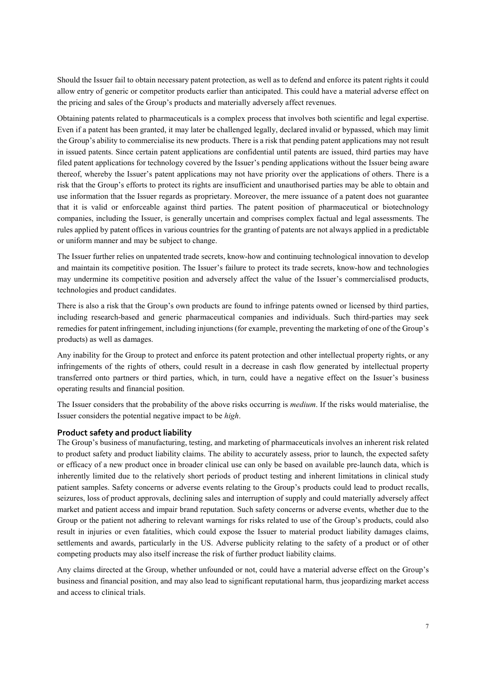Should the Issuer fail to obtain necessary patent protection, as well as to defend and enforce its patent rights it could allow entry of generic or competitor products earlier than anticipated. This could have a material adverse effect on the pricing and sales of the Group's products and materially adversely affect revenues.

Obtaining patents related to pharmaceuticals is a complex process that involves both scientific and legal expertise. Even if a patent has been granted, it may later be challenged legally, declared invalid or bypassed, which may limit the Group's ability to commercialise its new products. There is a risk that pending patent applications may not result in issued patents. Since certain patent applications are confidential until patents are issued, third parties may have filed patent applications for technology covered by the Issuer's pending applications without the Issuer being aware thereof, whereby the Issuer's patent applications may not have priority over the applications of others. There is a risk that the Group's efforts to protect its rights are insufficient and unauthorised parties may be able to obtain and use information that the Issuer regards as proprietary. Moreover, the mere issuance of a patent does not guarantee that it is valid or enforceable against third parties. The patent position of pharmaceutical or biotechnology companies, including the Issuer, is generally uncertain and comprises complex factual and legal assessments. The rules applied by patent offices in various countries for the granting of patents are not always applied in a predictable or uniform manner and may be subject to change.

The Issuer further relies on unpatented trade secrets, know-how and continuing technological innovation to develop and maintain its competitive position. The Issuer's failure to protect its trade secrets, know-how and technologies may undermine its competitive position and adversely affect the value of the Issuer's commercialised products, technologies and product candidates.

There is also a risk that the Group's own products are found to infringe patents owned or licensed by third parties, including research-based and generic pharmaceutical companies and individuals. Such third-parties may seek remedies for patent infringement, including injunctions (for example, preventing the marketing of one of the Group's products) as well as damages.

Any inability for the Group to protect and enforce its patent protection and other intellectual property rights, or any infringements of the rights of others, could result in a decrease in cash flow generated by intellectual property transferred onto partners or third parties, which, in turn, could have a negative effect on the Issuer's business operating results and financial position.

The Issuer considers that the probability of the above risks occurring is *medium*. If the risks would materialise, the Issuer considers the potential negative impact to be *high*.

#### **Product safety and product liability**

The Group's business of manufacturing, testing, and marketing of pharmaceuticals involves an inherent risk related to product safety and product liability claims. The ability to accurately assess, prior to launch, the expected safety or efficacy of a new product once in broader clinical use can only be based on available pre-launch data, which is inherently limited due to the relatively short periods of product testing and inherent limitations in clinical study patient samples. Safety concerns or adverse events relating to the Group's products could lead to product recalls, seizures, loss of product approvals, declining sales and interruption of supply and could materially adversely affect market and patient access and impair brand reputation. Such safety concerns or adverse events, whether due to the Group or the patient not adhering to relevant warnings for risks related to use of the Group's products, could also result in injuries or even fatalities, which could expose the Issuer to material product liability damages claims, settlements and awards, particularly in the US. Adverse publicity relating to the safety of a product or of other competing products may also itself increase the risk of further product liability claims.

Any claims directed at the Group, whether unfounded or not, could have a material adverse effect on the Group's business and financial position, and may also lead to significant reputational harm, thus jeopardizing market access and access to clinical trials.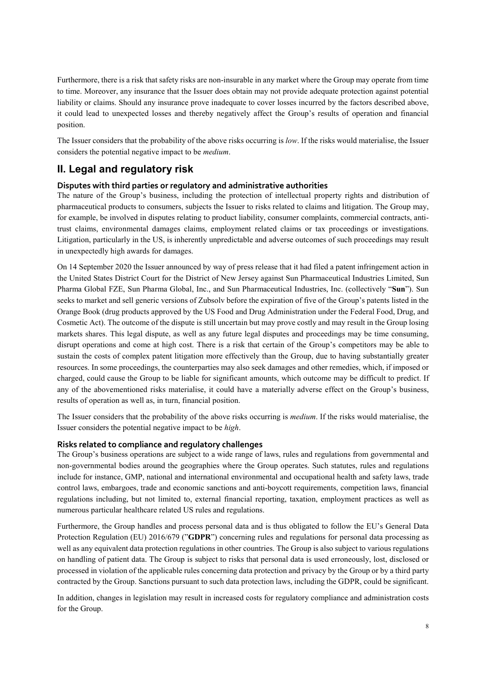Furthermore, there is a risk that safety risks are non-insurable in any market where the Group may operate from time to time. Moreover, any insurance that the Issuer does obtain may not provide adequate protection against potential liability or claims. Should any insurance prove inadequate to cover losses incurred by the factors described above, it could lead to unexpected losses and thereby negatively affect the Group's results of operation and financial position.

The Issuer considers that the probability of the above risks occurring is *low*. If the risks would materialise, the Issuer considers the potential negative impact to be *medium*.

## **II. Legal and regulatory risk**

#### **Disputes with third parties or regulatory and administrative authorities**

The nature of the Group's business, including the protection of intellectual property rights and distribution of pharmaceutical products to consumers, subjects the Issuer to risks related to claims and litigation. The Group may, for example, be involved in disputes relating to product liability, consumer complaints, commercial contracts, antitrust claims, environmental damages claims, employment related claims or tax proceedings or investigations. Litigation, particularly in the US, is inherently unpredictable and adverse outcomes of such proceedings may result in unexpectedly high awards for damages.

On 14 September 2020 the Issuer announced by way of press release that it had filed a patent infringement action in the United States District Court for the District of New Jersey against Sun Pharmaceutical Industries Limited, Sun Pharma Global FZE, Sun Pharma Global, Inc., and Sun Pharmaceutical Industries, Inc. (collectively "**Sun**"). Sun seeks to market and sell generic versions of Zubsolv before the expiration of five of the Group's patents listed in the Orange Book (drug products approved by the US Food and Drug Administration under the Federal Food, Drug, and Cosmetic Act). The outcome of the dispute is still uncertain but may prove costly and may result in the Group losing markets shares. This legal dispute, as well as any future legal disputes and proceedings may be time consuming, disrupt operations and come at high cost. There is a risk that certain of the Group's competitors may be able to sustain the costs of complex patent litigation more effectively than the Group, due to having substantially greater resources. In some proceedings, the counterparties may also seek damages and other remedies, which, if imposed or charged, could cause the Group to be liable for significant amounts, which outcome may be difficult to predict. If any of the abovementioned risks materialise, it could have a materially adverse effect on the Group's business, results of operation as well as, in turn, financial position.

The Issuer considers that the probability of the above risks occurring is *medium*. If the risks would materialise, the Issuer considers the potential negative impact to be *high*.

#### **Risks related to compliance and regulatory challenges**

The Group's business operations are subject to a wide range of laws, rules and regulations from governmental and non-governmental bodies around the geographies where the Group operates. Such statutes, rules and regulations include for instance, GMP, national and international environmental and occupational health and safety laws, trade control laws, embargoes, trade and economic sanctions and anti-boycott requirements, competition laws, financial regulations including, but not limited to, external financial reporting, taxation, employment practices as well as numerous particular healthcare related US rules and regulations.

Furthermore, the Group handles and process personal data and is thus obligated to follow the EU's General Data Protection Regulation (EU) 2016/679 ("**GDPR**") concerning rules and regulations for personal data processing as well as any equivalent data protection regulations in other countries. The Group is also subject to various regulations on handling of patient data. The Group is subject to risks that personal data is used erroneously, lost, disclosed or processed in violation of the applicable rules concerning data protection and privacy by the Group or by a third party contracted by the Group. Sanctions pursuant to such data protection laws, including the GDPR, could be significant.

In addition, changes in legislation may result in increased costs for regulatory compliance and administration costs for the Group.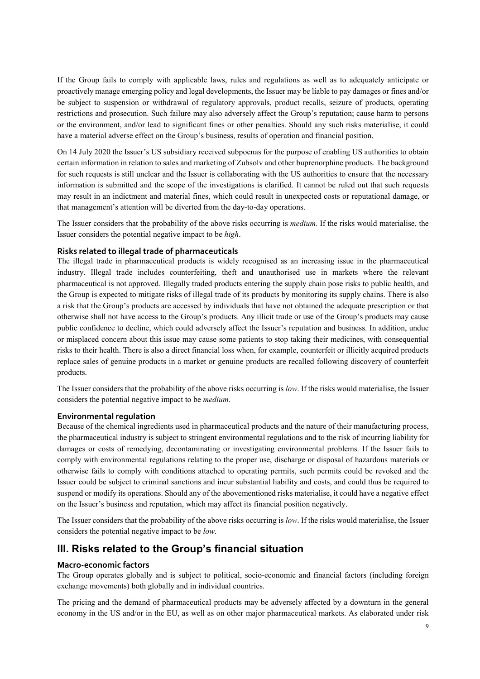If the Group fails to comply with applicable laws, rules and regulations as well as to adequately anticipate or proactively manage emerging policy and legal developments, the Issuer may be liable to pay damages or fines and/or be subject to suspension or withdrawal of regulatory approvals, product recalls, seizure of products, operating restrictions and prosecution. Such failure may also adversely affect the Group's reputation; cause harm to persons or the environment, and/or lead to significant fines or other penalties. Should any such risks materialise, it could have a material adverse effect on the Group's business, results of operation and financial position.

On 14 July 2020 the Issuer's US subsidiary received subpoenas for the purpose of enabling US authorities to obtain certain information in relation to sales and marketing of Zubsolv and other buprenorphine products. The background for such requests is still unclear and the Issuer is collaborating with the US authorities to ensure that the necessary information is submitted and the scope of the investigations is clarified. It cannot be ruled out that such requests may result in an indictment and material fines, which could result in unexpected costs or reputational damage, or that management's attention will be diverted from the day-to-day operations.

The Issuer considers that the probability of the above risks occurring is *medium*. If the risks would materialise, the Issuer considers the potential negative impact to be *high*.

#### **Risks related to illegal trade of pharmaceuticals**

The illegal trade in pharmaceutical products is widely recognised as an increasing issue in the pharmaceutical industry. Illegal trade includes counterfeiting, theft and unauthorised use in markets where the relevant pharmaceutical is not approved. Illegally traded products entering the supply chain pose risks to public health, and the Group is expected to mitigate risks of illegal trade of its products by monitoring its supply chains. There is also a risk that the Group's products are accessed by individuals that have not obtained the adequate prescription or that otherwise shall not have access to the Group's products. Any illicit trade or use of the Group's products may cause public confidence to decline, which could adversely affect the Issuer's reputation and business. In addition, undue or misplaced concern about this issue may cause some patients to stop taking their medicines, with consequential risks to their health. There is also a direct financial loss when, for example, counterfeit or illicitly acquired products replace sales of genuine products in a market or genuine products are recalled following discovery of counterfeit products.

The Issuer considers that the probability of the above risks occurring is *low*. If the risks would materialise, the Issuer considers the potential negative impact to be *medium*.

#### **Environmental regulation**

Because of the chemical ingredients used in pharmaceutical products and the nature of their manufacturing process, the pharmaceutical industry is subject to stringent environmental regulations and to the risk of incurring liability for damages or costs of remedying, decontaminating or investigating environmental problems. If the Issuer fails to comply with environmental regulations relating to the proper use, discharge or disposal of hazardous materials or otherwise fails to comply with conditions attached to operating permits, such permits could be revoked and the Issuer could be subject to criminal sanctions and incur substantial liability and costs, and could thus be required to suspend or modify its operations. Should any of the abovementioned risks materialise, it could have a negative effect on the Issuer's business and reputation, which may affect its financial position negatively.

The Issuer considers that the probability of the above risks occurring is *low*. If the risks would materialise, the Issuer considers the potential negative impact to be *low*.

### **III. Risks related to the Group's financial situation**

#### **Macro-economic factors**

The Group operates globally and is subject to political, socio-economic and financial factors (including foreign exchange movements) both globally and in individual countries.

The pricing and the demand of pharmaceutical products may be adversely affected by a downturn in the general economy in the US and/or in the EU, as well as on other major pharmaceutical markets. As elaborated under risk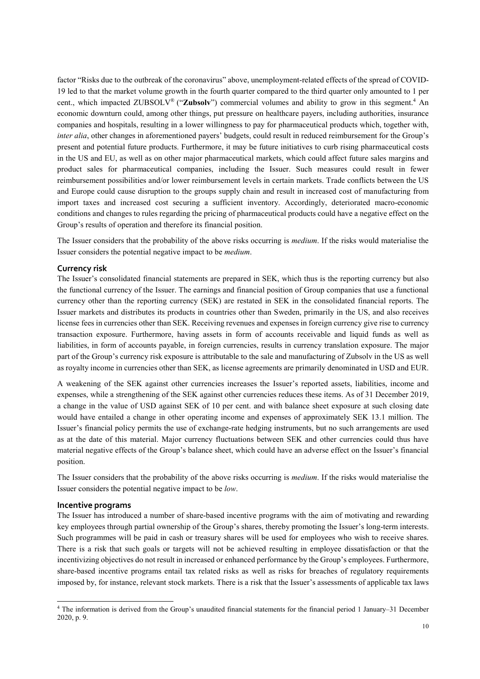factor "Risks due to the outbreak of the coronavirus" above, unemployment-related effects of the spread of COVID-19 led to that the market volume growth in the fourth quarter compared to the third quarter only amounted to 1 per cent., which impacted ZUBSOLV<sup>®</sup> ("**Zubsolv**") commercial volumes and ability to grow in this segment.<sup>4</sup> An economic downturn could, among other things, put pressure on healthcare payers, including authorities, insurance companies and hospitals, resulting in a lower willingness to pay for pharmaceutical products which, together with, *inter alia*, other changes in aforementioned payers' budgets, could result in reduced reimbursement for the Group's present and potential future products. Furthermore, it may be future initiatives to curb rising pharmaceutical costs in the US and EU, as well as on other major pharmaceutical markets, which could affect future sales margins and product sales for pharmaceutical companies, including the Issuer. Such measures could result in fewer reimbursement possibilities and/or lower reimbursement levels in certain markets. Trade conflicts between the US and Europe could cause disruption to the groups supply chain and result in increased cost of manufacturing from import taxes and increased cost securing a sufficient inventory. Accordingly, deteriorated macro-economic conditions and changes to rules regarding the pricing of pharmaceutical products could have a negative effect on the Group's results of operation and therefore its financial position.

The Issuer considers that the probability of the above risks occurring is *medium*. If the risks would materialise the Issuer considers the potential negative impact to be *medium*.

#### **Currency risk**

The Issuer's consolidated financial statements are prepared in SEK, which thus is the reporting currency but also the functional currency of the Issuer. The earnings and financial position of Group companies that use a functional currency other than the reporting currency (SEK) are restated in SEK in the consolidated financial reports. The Issuer markets and distributes its products in countries other than Sweden, primarily in the US, and also receives license fees in currencies other than SEK. Receiving revenues and expenses in foreign currency give rise to currency transaction exposure. Furthermore, having assets in form of accounts receivable and liquid funds as well as liabilities, in form of accounts payable, in foreign currencies, results in currency translation exposure. The major part of the Group's currency risk exposure is attributable to the sale and manufacturing of Zubsolv in the US as well as royalty income in currencies other than SEK, as license agreements are primarily denominated in USD and EUR.

A weakening of the SEK against other currencies increases the Issuer's reported assets, liabilities, income and expenses, while a strengthening of the SEK against other currencies reduces these items. As of 31 December 2019, a change in the value of USD against SEK of 10 per cent. and with balance sheet exposure at such closing date would have entailed a change in other operating income and expenses of approximately SEK 13.1 million. The Issuer's financial policy permits the use of exchange-rate hedging instruments, but no such arrangements are used as at the date of this material. Major currency fluctuations between SEK and other currencies could thus have material negative effects of the Group's balance sheet, which could have an adverse effect on the Issuer's financial position.

The Issuer considers that the probability of the above risks occurring is *medium*. If the risks would materialise the Issuer considers the potential negative impact to be *low*.

#### **Incentive programs**

 $\overline{\phantom{a}}$ 

The Issuer has introduced a number of share-based incentive programs with the aim of motivating and rewarding key employees through partial ownership of the Group's shares, thereby promoting the Issuer's long-term interests. Such programmes will be paid in cash or treasury shares will be used for employees who wish to receive shares. There is a risk that such goals or targets will not be achieved resulting in employee dissatisfaction or that the incentivizing objectives do not result in increased or enhanced performance by the Group's employees. Furthermore, share-based incentive programs entail tax related risks as well as risks for breaches of regulatory requirements imposed by, for instance, relevant stock markets. There is a risk that the Issuer's assessments of applicable tax laws

<sup>4</sup> The information is derived from the Group's unaudited financial statements for the financial period 1 January–31 December 2020, p. 9.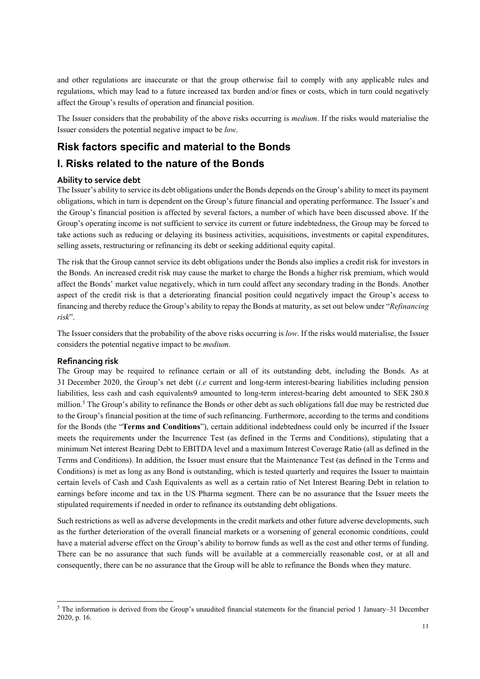and other regulations are inaccurate or that the group otherwise fail to comply with any applicable rules and regulations, which may lead to a future increased tax burden and/or fines or costs, which in turn could negatively affect the Group's results of operation and financial position.

The Issuer considers that the probability of the above risks occurring is *medium*. If the risks would materialise the Issuer considers the potential negative impact to be *low*.

### **Risk factors specific and material to the Bonds**

### **I. Risks related to the nature of the Bonds**

#### **Ability to service debt**

The Issuer's ability to service its debt obligations under the Bonds depends on the Group's ability to meet its payment obligations, which in turn is dependent on the Group's future financial and operating performance. The Issuer's and the Group's financial position is affected by several factors, a number of which have been discussed above. If the Group's operating income is not sufficient to service its current or future indebtedness, the Group may be forced to take actions such as reducing or delaying its business activities, acquisitions, investments or capital expenditures, selling assets, restructuring or refinancing its debt or seeking additional equity capital.

The risk that the Group cannot service its debt obligations under the Bonds also implies a credit risk for investors in the Bonds. An increased credit risk may cause the market to charge the Bonds a higher risk premium, which would affect the Bonds' market value negatively, which in turn could affect any secondary trading in the Bonds. Another aspect of the credit risk is that a deteriorating financial position could negatively impact the Group's access to financing and thereby reduce the Group's ability to repay the Bonds at maturity, as set out below under "*Refinancing risk*".

The Issuer considers that the probability of the above risks occurring is *low*. If the risks would materialise, the Issuer considers the potential negative impact to be *medium*.

#### **Refinancing risk**

 $\overline{\phantom{a}}$ 

The Group may be required to refinance certain or all of its outstanding debt, including the Bonds. As at 31 December 2020, the Group's net debt (*i.e* current and long-term interest-bearing liabilities including pension liabilities, less cash and cash equivalents9 amounted to long-term interest-bearing debt amounted to SEK 280.8 million.<sup>5</sup> The Group's ability to refinance the Bonds or other debt as such obligations fall due may be restricted due to the Group's financial position at the time of such refinancing. Furthermore, according to the terms and conditions for the Bonds (the "**Terms and Conditions**"), certain additional indebtedness could only be incurred if the Issuer meets the requirements under the Incurrence Test (as defined in the Terms and Conditions), stipulating that a minimum Net interest Bearing Debt to EBITDA level and a maximum Interest Coverage Ratio (all as defined in the Terms and Conditions). In addition, the Issuer must ensure that the Maintenance Test (as defined in the Terms and Conditions) is met as long as any Bond is outstanding, which is tested quarterly and requires the Issuer to maintain certain levels of Cash and Cash Equivalents as well as a certain ratio of Net Interest Bearing Debt in relation to earnings before income and tax in the US Pharma segment. There can be no assurance that the Issuer meets the stipulated requirements if needed in order to refinance its outstanding debt obligations.

Such restrictions as well as adverse developments in the credit markets and other future adverse developments, such as the further deterioration of the overall financial markets or a worsening of general economic conditions, could have a material adverse effect on the Group's ability to borrow funds as well as the cost and other terms of funding. There can be no assurance that such funds will be available at a commercially reasonable cost, or at all and consequently, there can be no assurance that the Group will be able to refinance the Bonds when they mature.

<sup>5</sup> The information is derived from the Group's unaudited financial statements for the financial period 1 January–31 December 2020, p. 16.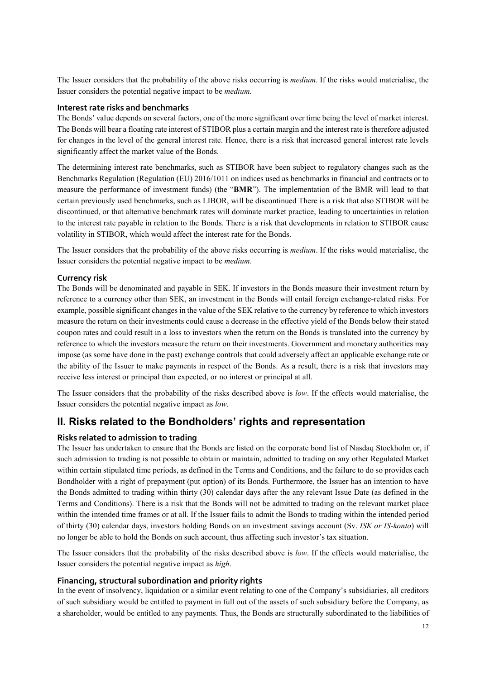The Issuer considers that the probability of the above risks occurring is *medium*. If the risks would materialise, the Issuer considers the potential negative impact to be *medium.* 

#### **Interest rate risks and benchmarks**

The Bonds' value depends on several factors, one of the more significant over time being the level of market interest. The Bonds will bear a floating rate interest of STIBOR plus a certain margin and the interest rate is therefore adjusted for changes in the level of the general interest rate. Hence, there is a risk that increased general interest rate levels significantly affect the market value of the Bonds.

The determining interest rate benchmarks, such as STIBOR have been subject to regulatory changes such as the Benchmarks Regulation (Regulation (EU) 2016/1011 on indices used as benchmarks in financial and contracts or to measure the performance of investment funds) (the "**BMR**"). The implementation of the BMR will lead to that certain previously used benchmarks, such as LIBOR, will be discontinued There is a risk that also STIBOR will be discontinued, or that alternative benchmark rates will dominate market practice, leading to uncertainties in relation to the interest rate payable in relation to the Bonds. There is a risk that developments in relation to STIBOR cause volatility in STIBOR, which would affect the interest rate for the Bonds.

The Issuer considers that the probability of the above risks occurring is *medium*. If the risks would materialise, the Issuer considers the potential negative impact to be *medium*.

#### **Currency risk**

The Bonds will be denominated and payable in SEK. If investors in the Bonds measure their investment return by reference to a currency other than SEK, an investment in the Bonds will entail foreign exchange-related risks. For example, possible significant changes in the value of the SEK relative to the currency by reference to which investors measure the return on their investments could cause a decrease in the effective yield of the Bonds below their stated coupon rates and could result in a loss to investors when the return on the Bonds is translated into the currency by reference to which the investors measure the return on their investments. Government and monetary authorities may impose (as some have done in the past) exchange controls that could adversely affect an applicable exchange rate or the ability of the Issuer to make payments in respect of the Bonds. As a result, there is a risk that investors may receive less interest or principal than expected, or no interest or principal at all.

The Issuer considers that the probability of the risks described above is *low*. If the effects would materialise, the Issuer considers the potential negative impact as *low*.

### **II. Risks related to the Bondholders' rights and representation**

#### **Risks related to admission to trading**

The Issuer has undertaken to ensure that the Bonds are listed on the corporate bond list of Nasdaq Stockholm or, if such admission to trading is not possible to obtain or maintain, admitted to trading on any other Regulated Market within certain stipulated time periods, as defined in the Terms and Conditions, and the failure to do so provides each Bondholder with a right of prepayment (put option) of its Bonds. Furthermore, the Issuer has an intention to have the Bonds admitted to trading within thirty (30) calendar days after the any relevant Issue Date (as defined in the Terms and Conditions). There is a risk that the Bonds will not be admitted to trading on the relevant market place within the intended time frames or at all. If the Issuer fails to admit the Bonds to trading within the intended period of thirty (30) calendar days, investors holding Bonds on an investment savings account (Sv. *ISK or IS-konto*) will no longer be able to hold the Bonds on such account, thus affecting such investor's tax situation.

The Issuer considers that the probability of the risks described above is *low*. If the effects would materialise, the Issuer considers the potential negative impact as *high*.

#### **Financing, structural subordination and priority rights**

In the event of insolvency, liquidation or a similar event relating to one of the Company's subsidiaries, all creditors of such subsidiary would be entitled to payment in full out of the assets of such subsidiary before the Company, as a shareholder, would be entitled to any payments. Thus, the Bonds are structurally subordinated to the liabilities of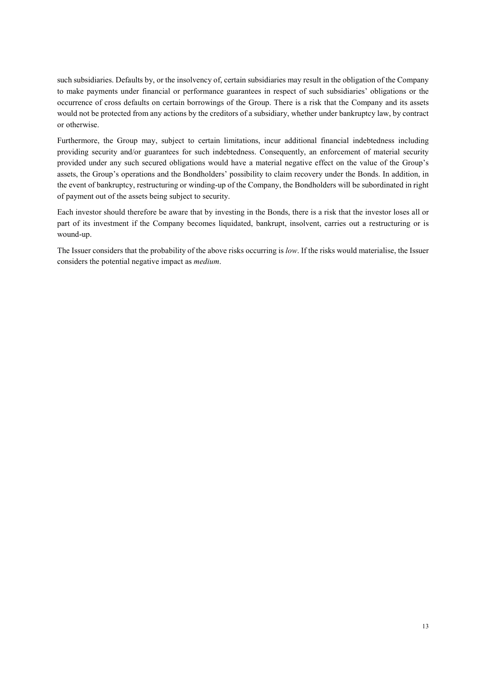such subsidiaries. Defaults by, or the insolvency of, certain subsidiaries may result in the obligation of the Company to make payments under financial or performance guarantees in respect of such subsidiaries' obligations or the occurrence of cross defaults on certain borrowings of the Group. There is a risk that the Company and its assets would not be protected from any actions by the creditors of a subsidiary, whether under bankruptcy law, by contract or otherwise.

Furthermore, the Group may, subject to certain limitations, incur additional financial indebtedness including providing security and/or guarantees for such indebtedness. Consequently, an enforcement of material security provided under any such secured obligations would have a material negative effect on the value of the Group's assets, the Group's operations and the Bondholders' possibility to claim recovery under the Bonds. In addition, in the event of bankruptcy, restructuring or winding-up of the Company, the Bondholders will be subordinated in right of payment out of the assets being subject to security.

Each investor should therefore be aware that by investing in the Bonds, there is a risk that the investor loses all or part of its investment if the Company becomes liquidated, bankrupt, insolvent, carries out a restructuring or is wound-up.

The Issuer considers that the probability of the above risks occurring is *low*. If the risks would materialise, the Issuer considers the potential negative impact as *medium*.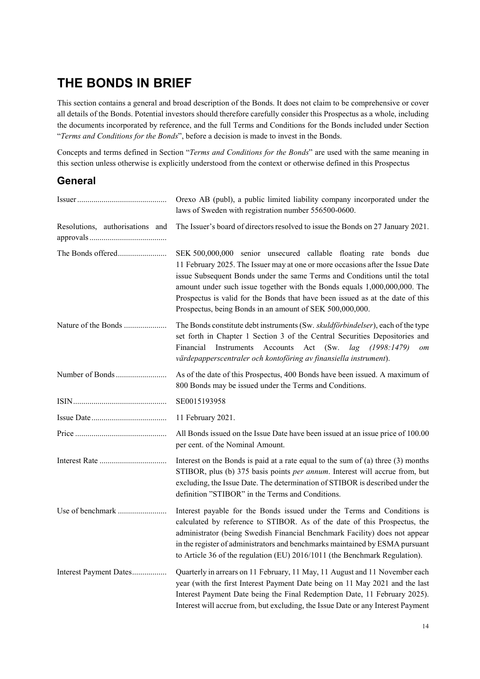## **THE BONDS IN BRIEF**

This section contains a general and broad description of the Bonds. It does not claim to be comprehensive or cover all details of the Bonds. Potential investors should therefore carefully consider this Prospectus as a whole, including the documents incorporated by reference, and the full Terms and Conditions for the Bonds included under Section "*Terms and Conditions for the Bonds*", before a decision is made to invest in the Bonds.

Concepts and terms defined in Section "*Terms and Conditions for the Bonds*" are used with the same meaning in this section unless otherwise is explicitly understood from the context or otherwise defined in this Prospectus

## **General**

|                                 | Orexo AB (publ), a public limited liability company incorporated under the<br>laws of Sweden with registration number 556500-0600.                                                                                                                                                                                                                                                                                                                           |
|---------------------------------|--------------------------------------------------------------------------------------------------------------------------------------------------------------------------------------------------------------------------------------------------------------------------------------------------------------------------------------------------------------------------------------------------------------------------------------------------------------|
| Resolutions, authorisations and | The Issuer's board of directors resolved to issue the Bonds on 27 January 2021.                                                                                                                                                                                                                                                                                                                                                                              |
| The Bonds offered               | SEK 500,000,000 senior unsecured callable floating rate bonds due<br>11 February 2025. The Issuer may at one or more occasions after the Issue Date<br>issue Subsequent Bonds under the same Terms and Conditions until the total<br>amount under such issue together with the Bonds equals 1,000,000,000. The<br>Prospectus is valid for the Bonds that have been issued as at the date of this<br>Prospectus, being Bonds in an amount of SEK 500,000,000. |
| Nature of the Bonds             | The Bonds constitute debt instruments (Sw. skuldförbindelser), each of the type<br>set forth in Chapter 1 Section 3 of the Central Securities Depositories and<br>Instruments Accounts Act (Sw. lag (1998:1479)<br>Financial<br>om<br>värdepapperscentraler och kontoföring av finansiella instrument).                                                                                                                                                      |
| Number of Bonds                 | As of the date of this Prospectus, 400 Bonds have been issued. A maximum of<br>800 Bonds may be issued under the Terms and Conditions.                                                                                                                                                                                                                                                                                                                       |
|                                 | SE0015193958                                                                                                                                                                                                                                                                                                                                                                                                                                                 |
|                                 | 11 February 2021.                                                                                                                                                                                                                                                                                                                                                                                                                                            |
|                                 | All Bonds issued on the Issue Date have been issued at an issue price of 100.00<br>per cent. of the Nominal Amount.                                                                                                                                                                                                                                                                                                                                          |
|                                 | Interest on the Bonds is paid at a rate equal to the sum of $(a)$ three $(3)$ months<br>STIBOR, plus (b) 375 basis points per annum. Interest will accrue from, but<br>excluding, the Issue Date. The determination of STIBOR is described under the<br>definition "STIBOR" in the Terms and Conditions.                                                                                                                                                     |
| Use of benchmark                | Interest payable for the Bonds issued under the Terms and Conditions is<br>calculated by reference to STIBOR. As of the date of this Prospectus, the<br>administrator (being Swedish Financial Benchmark Facility) does not appear<br>in the register of administrators and benchmarks maintained by ESMA pursuant<br>to Article 36 of the regulation (EU) 2016/1011 (the Benchmark Regulation).                                                             |
| Interest Payment Dates          | Quarterly in arrears on 11 February, 11 May, 11 August and 11 November each<br>year (with the first Interest Payment Date being on 11 May 2021 and the last<br>Interest Payment Date being the Final Redemption Date, 11 February 2025).<br>Interest will accrue from, but excluding, the Issue Date or any Interest Payment                                                                                                                                 |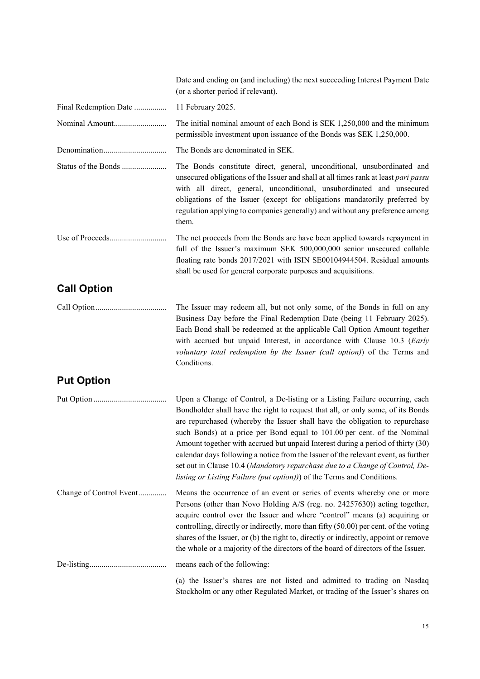Date and ending on (and including) the next succeeding Interest Payment Date (or a shorter period if relevant). Final Redemption Date ................ 11 February 2025. Nominal Amount .......................... The initial nominal amount of each Bond is SEK 1,250,000 and the minimum permissible investment upon issuance of the Bonds was SEK 1,250,000. Denomination ............................... The Bonds are denominated in SEK. Status of the Bonds ...................... The Bonds constitute direct, general, unconditional, unsubordinated and unsecured obligations of the Issuer and shall at all times rank at least *pari passu* with all direct, general, unconditional, unsubordinated and unsecured obligations of the Issuer (except for obligations mandatorily preferred by regulation applying to companies generally) and without any preference among them. Use of Proceeds ............................ The net proceeds from the Bonds are have been applied towards repayment in full of the Issuer's maximum SEK 500,000,000 senior unsecured callable floating rate bonds 2017/2021 with ISIN SE00104944504. Residual amounts shall be used for general corporate purposes and acquisitions. **Call Option** Call Option ................................... The Issuer may redeem all, but not only some, of the Bonds in full on any Business Day before the Final Redemption Date (being 11 February 2025). Each Bond shall be redeemed at the applicable Call Option Amount together with accrued but unpaid Interest, in accordance with Clause 10.3 (*Early voluntary total redemption by the Issuer (call option)*) of the Terms and Conditions. **Put Option** Put Option .................................... Upon a Change of Control, a De-listing or a Listing Failure occurring, each Bondholder shall have the right to request that all, or only some, of its Bonds are repurchased (whereby the Issuer shall have the obligation to repurchase such Bonds) at a price per Bond equal to 101.00 per cent. of the Nominal Amount together with accrued but unpaid Interest during a period of thirty (30) calendar days following a notice from the Issuer of the relevant event, as further set out in Clause 10.4 (*Mandatory repurchase due to a Change of Control, Delisting or Listing Failure (put option))*) of the Terms and Conditions. Change of Control Event .............. Means the occurrence of an event or series of events whereby one or more Persons (other than Novo Holding A/S (reg. no. 24257630)) acting together, acquire control over the Issuer and where "control" means (a) acquiring or controlling, directly or indirectly, more than fifty (50.00) per cent. of the voting shares of the Issuer, or (b) the right to, directly or indirectly, appoint or remove the whole or a majority of the directors of the board of directors of the Issuer. De-listing ...................................... means each of the following: (a) the Issuer's shares are not listed and admitted to trading on Nasdaq Stockholm or any other Regulated Market, or trading of the Issuer's shares on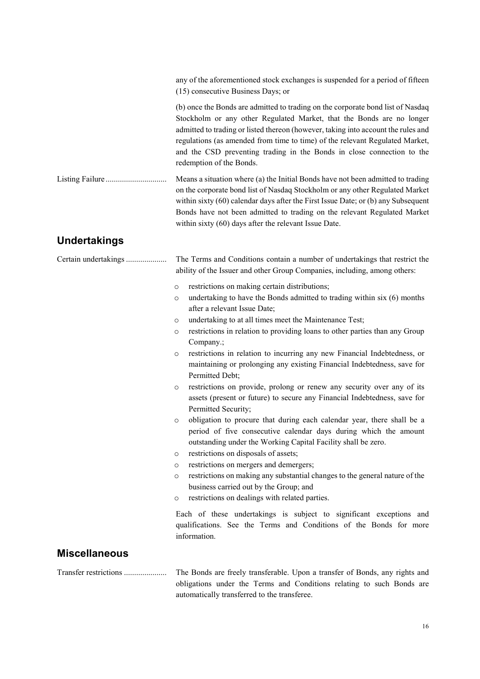|                       | any of the aforementioned stock exchanges is suspended for a period of fifteen<br>(15) consecutive Business Days; or                                                                                                                                                                                                                                                                                                                                                                                                                                                                                                                                                                                                                                                                                                                                                                                                                                                                                                                                                                                                                                                                                                                                                                                                                                                                                                                     |
|-----------------------|------------------------------------------------------------------------------------------------------------------------------------------------------------------------------------------------------------------------------------------------------------------------------------------------------------------------------------------------------------------------------------------------------------------------------------------------------------------------------------------------------------------------------------------------------------------------------------------------------------------------------------------------------------------------------------------------------------------------------------------------------------------------------------------------------------------------------------------------------------------------------------------------------------------------------------------------------------------------------------------------------------------------------------------------------------------------------------------------------------------------------------------------------------------------------------------------------------------------------------------------------------------------------------------------------------------------------------------------------------------------------------------------------------------------------------------|
|                       | (b) once the Bonds are admitted to trading on the corporate bond list of Nasdaq<br>Stockholm or any other Regulated Market, that the Bonds are no longer<br>admitted to trading or listed thereon (however, taking into account the rules and<br>regulations (as amended from time to time) of the relevant Regulated Market,<br>and the CSD preventing trading in the Bonds in close connection to the<br>redemption of the Bonds.                                                                                                                                                                                                                                                                                                                                                                                                                                                                                                                                                                                                                                                                                                                                                                                                                                                                                                                                                                                                      |
|                       | Means a situation where (a) the Initial Bonds have not been admitted to trading<br>on the corporate bond list of Nasdaq Stockholm or any other Regulated Market<br>within sixty (60) calendar days after the First Issue Date; or (b) any Subsequent<br>Bonds have not been admitted to trading on the relevant Regulated Market<br>within sixty (60) days after the relevant Issue Date.                                                                                                                                                                                                                                                                                                                                                                                                                                                                                                                                                                                                                                                                                                                                                                                                                                                                                                                                                                                                                                                |
| <b>Undertakings</b>   |                                                                                                                                                                                                                                                                                                                                                                                                                                                                                                                                                                                                                                                                                                                                                                                                                                                                                                                                                                                                                                                                                                                                                                                                                                                                                                                                                                                                                                          |
| Certain undertakings  | The Terms and Conditions contain a number of undertakings that restrict the<br>ability of the Issuer and other Group Companies, including, among others:                                                                                                                                                                                                                                                                                                                                                                                                                                                                                                                                                                                                                                                                                                                                                                                                                                                                                                                                                                                                                                                                                                                                                                                                                                                                                 |
|                       | restrictions on making certain distributions;<br>$\circ$<br>undertaking to have the Bonds admitted to trading within six (6) months<br>$\circ$<br>after a relevant Issue Date;<br>undertaking to at all times meet the Maintenance Test;<br>$\circ$<br>restrictions in relation to providing loans to other parties than any Group<br>$\circ$<br>Company.;<br>restrictions in relation to incurring any new Financial Indebtedness, or<br>$\circ$<br>maintaining or prolonging any existing Financial Indebtedness, save for<br>Permitted Debt;<br>restrictions on provide, prolong or renew any security over any of its<br>$\circ$<br>assets (present or future) to secure any Financial Indebtedness, save for<br>Permitted Security;<br>obligation to procure that during each calendar year, there shall be a<br>$\circ$<br>period of five consecutive calendar days during which the amount<br>outstanding under the Working Capital Facility shall be zero.<br>restrictions on disposals of assets;<br>$\circ$<br>restrictions on mergers and demergers;<br>$\circ$<br>restrictions on making any substantial changes to the general nature of the<br>$\circ$<br>business carried out by the Group; and<br>restrictions on dealings with related parties.<br>$\circ$<br>Each of these undertakings is subject to significant exceptions and<br>qualifications. See the Terms and Conditions of the Bonds for more<br>information. |
| <b>Miscellaneous</b>  |                                                                                                                                                                                                                                                                                                                                                                                                                                                                                                                                                                                                                                                                                                                                                                                                                                                                                                                                                                                                                                                                                                                                                                                                                                                                                                                                                                                                                                          |
| Transfer restrictions | The Bonds are freely transferable. Upon a transfer of Bonds, any rights and<br>obligations under the Terms and Conditions relating to such Bonds are                                                                                                                                                                                                                                                                                                                                                                                                                                                                                                                                                                                                                                                                                                                                                                                                                                                                                                                                                                                                                                                                                                                                                                                                                                                                                     |

automatically transferred to the transferee.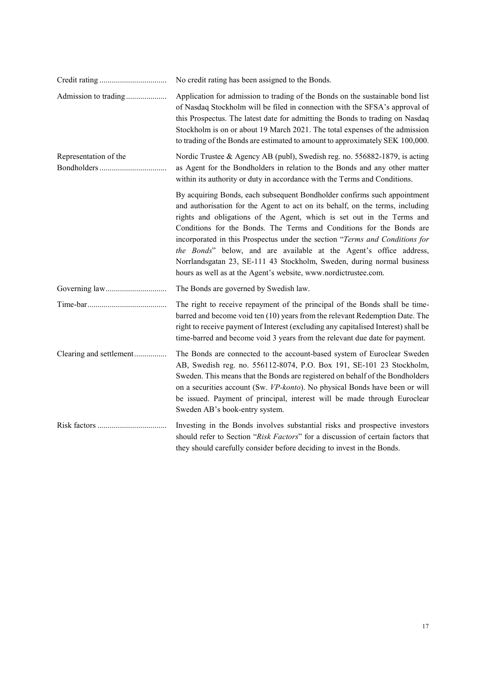|                         | No credit rating has been assigned to the Bonds.                                                                                                                                                                                                                                                                                                                                                                                                                                                                                                                                                              |
|-------------------------|---------------------------------------------------------------------------------------------------------------------------------------------------------------------------------------------------------------------------------------------------------------------------------------------------------------------------------------------------------------------------------------------------------------------------------------------------------------------------------------------------------------------------------------------------------------------------------------------------------------|
|                         | Application for admission to trading of the Bonds on the sustainable bond list<br>of Nasdaq Stockholm will be filed in connection with the SFSA's approval of<br>this Prospectus. The latest date for admitting the Bonds to trading on Nasdaq<br>Stockholm is on or about 19 March 2021. The total expenses of the admission<br>to trading of the Bonds are estimated to amount to approximately SEK 100,000.                                                                                                                                                                                                |
| Representation of the   | Nordic Trustee & Agency AB (publ), Swedish reg. no. 556882-1879, is acting<br>as Agent for the Bondholders in relation to the Bonds and any other matter<br>within its authority or duty in accordance with the Terms and Conditions.                                                                                                                                                                                                                                                                                                                                                                         |
|                         | By acquiring Bonds, each subsequent Bondholder confirms such appointment<br>and authorisation for the Agent to act on its behalf, on the terms, including<br>rights and obligations of the Agent, which is set out in the Terms and<br>Conditions for the Bonds. The Terms and Conditions for the Bonds are<br>incorporated in this Prospectus under the section "Terms and Conditions for<br>the Bonds" below, and are available at the Agent's office address,<br>Norrlandsgatan 23, SE-111 43 Stockholm, Sweden, during normal business<br>hours as well as at the Agent's website, www.nordictrustee.com. |
|                         | The Bonds are governed by Swedish law.                                                                                                                                                                                                                                                                                                                                                                                                                                                                                                                                                                        |
|                         | The right to receive repayment of the principal of the Bonds shall be time-<br>barred and become void ten (10) years from the relevant Redemption Date. The<br>right to receive payment of Interest (excluding any capitalised Interest) shall be<br>time-barred and become void 3 years from the relevant due date for payment.                                                                                                                                                                                                                                                                              |
| Clearing and settlement | The Bonds are connected to the account-based system of Euroclear Sweden<br>AB, Swedish reg. no. 556112-8074, P.O. Box 191, SE-101 23 Stockholm,<br>Sweden. This means that the Bonds are registered on behalf of the Bondholders<br>on a securities account (Sw. VP-konto). No physical Bonds have been or will<br>be issued. Payment of principal, interest will be made through Euroclear<br>Sweden AB's book-entry system.                                                                                                                                                                                 |
|                         | Investing in the Bonds involves substantial risks and prospective investors<br>should refer to Section "Risk Factors" for a discussion of certain factors that<br>they should carefully consider before deciding to invest in the Bonds.                                                                                                                                                                                                                                                                                                                                                                      |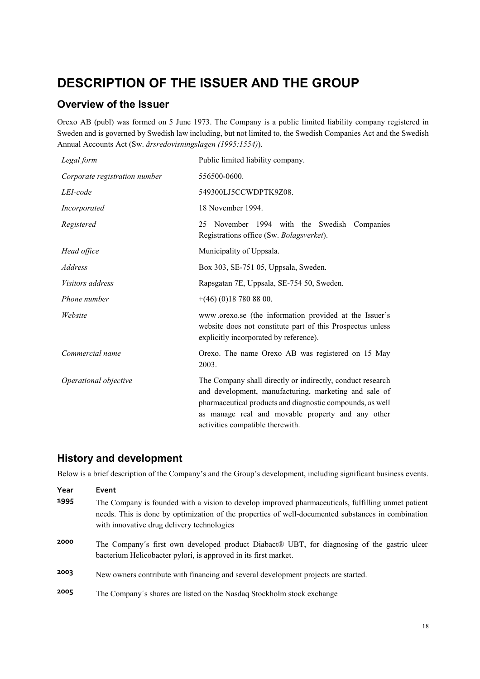## **DESCRIPTION OF THE ISSUER AND THE GROUP**

## **Overview of the Issuer**

Orexo AB (publ) was formed on 5 June 1973. The Company is a public limited liability company registered in Sweden and is governed by Swedish law including, but not limited to, the Swedish Companies Act and the Swedish Annual Accounts Act (Sw. *årsredovisningslagen (1995:1554)*).

| Legal form                    | Public limited liability company.                                                                                                                                                                                                                                         |  |
|-------------------------------|---------------------------------------------------------------------------------------------------------------------------------------------------------------------------------------------------------------------------------------------------------------------------|--|
| Corporate registration number | 556500-0600.                                                                                                                                                                                                                                                              |  |
| LEI-code                      | 549300LJ5CCWDPTK9Z08.                                                                                                                                                                                                                                                     |  |
| Incorporated                  | 18 November 1994.                                                                                                                                                                                                                                                         |  |
| Registered                    | November 1994 with the Swedish Companies<br>25<br>Registrations office (Sw. Bolagsverket).                                                                                                                                                                                |  |
| Head office                   | Municipality of Uppsala.                                                                                                                                                                                                                                                  |  |
| <i>Address</i>                | Box 303, SE-751 05, Uppsala, Sweden.                                                                                                                                                                                                                                      |  |
| <i>Visitors address</i>       | Rapsgatan 7E, Uppsala, SE-754 50, Sweden.                                                                                                                                                                                                                                 |  |
| Phone number                  | $+(46)(0)187808800.$                                                                                                                                                                                                                                                      |  |
| Website                       | www.orexo.se (the information provided at the Issuer's<br>website does not constitute part of this Prospectus unless<br>explicitly incorporated by reference).                                                                                                            |  |
| Commercial name               | Orexo. The name Orexo AB was registered on 15 May<br>2003.                                                                                                                                                                                                                |  |
| Operational objective         | The Company shall directly or indirectly, conduct research<br>and development, manufacturing, marketing and sale of<br>pharmaceutical products and diagnostic compounds, as well<br>as manage real and movable property and any other<br>activities compatible therewith. |  |

## **History and development**

Below is a brief description of the Company's and the Group's development, including significant business events.

| Year | Event                                                                                                                                                                                                                                                  |
|------|--------------------------------------------------------------------------------------------------------------------------------------------------------------------------------------------------------------------------------------------------------|
| 1995 | The Company is founded with a vision to develop improved pharmaceuticals, fulfilling unmet patient<br>needs. This is done by optimization of the properties of well-documented substances in combination<br>with innovative drug delivery technologies |
| 2000 | The Company's first own developed product Diabact® UBT, for diagnosing of the gastric ulcer<br>bacterium Helicobacter pylori, is approved in its first market.                                                                                         |
| 2003 | New owners contribute with financing and several development projects are started.                                                                                                                                                                     |
| 2005 | The Company's shares are listed on the Nasdaq Stockholm stock exchange                                                                                                                                                                                 |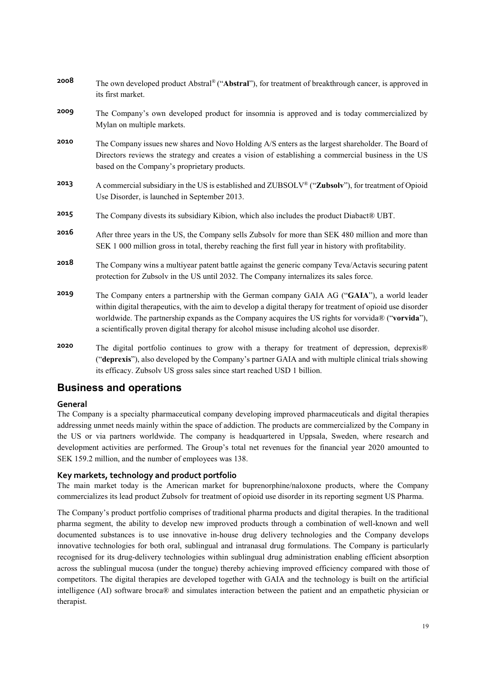| 2008 | The own developed product Abstral® ("Abstral"), for treatment of breakthrough cancer, is approved in<br>its first market.                                                                                                                                                                                                                                                                                    |
|------|--------------------------------------------------------------------------------------------------------------------------------------------------------------------------------------------------------------------------------------------------------------------------------------------------------------------------------------------------------------------------------------------------------------|
| 2009 | The Company's own developed product for insomnia is approved and is today commercialized by<br>Mylan on multiple markets.                                                                                                                                                                                                                                                                                    |
| 2010 | The Company issues new shares and Novo Holding A/S enters as the largest shareholder. The Board of<br>Directors reviews the strategy and creates a vision of establishing a commercial business in the US<br>based on the Company's proprietary products.                                                                                                                                                    |
| 2013 | A commercial subsidiary in the US is established and ZUBSOLV® ("Zubsolv"), for treatment of Opioid<br>Use Disorder, is launched in September 2013.                                                                                                                                                                                                                                                           |
| 2015 | The Company divests its subsidiary Kibion, which also includes the product Diabact® UBT.                                                                                                                                                                                                                                                                                                                     |
| 2016 | After three years in the US, the Company sells Zubsolv for more than SEK 480 million and more than<br>SEK 1 000 million gross in total, thereby reaching the first full year in history with profitability.                                                                                                                                                                                                  |
| 2018 | The Company wins a multiyear patent battle against the generic company Teva/Actavis securing patent<br>protection for Zubsolv in the US until 2032. The Company internalizes its sales force.                                                                                                                                                                                                                |
| 2019 | The Company enters a partnership with the German company GAIA AG ("GAIA"), a world leader<br>within digital therapeutics, with the aim to develop a digital therapy for treatment of opioid use disorder<br>worldwide. The partnership expands as the Company acquires the US rights for vorvida® ("vorvida"),<br>a scientifically proven digital therapy for alcohol misuse including alcohol use disorder. |
| 2020 | The digital portfolio continues to grow with a therapy for treatment of depression, deprexis®<br>("deprexis"), also developed by the Company's partner GAIA and with multiple clinical trials showing                                                                                                                                                                                                        |

## **Business and operations**

#### **General**

The Company is a specialty pharmaceutical company developing improved pharmaceuticals and digital therapies addressing unmet needs mainly within the space of addiction. The products are commercialized by the Company in the US or via partners worldwide. The company is headquartered in Uppsala, Sweden, where research and development activities are performed. The Group's total net revenues for the financial year 2020 amounted to SEK 159.2 million, and the number of employees was 138.

its efficacy. Zubsolv US gross sales since start reached USD 1 billion.

#### **Key markets, technology and product portfolio**

The main market today is the American market for buprenorphine/naloxone products, where the Company commercializes its lead product Zubsolv for treatment of opioid use disorder in its reporting segment US Pharma.

The Company's product portfolio comprises of traditional pharma products and digital therapies. In the traditional pharma segment, the ability to develop new improved products through a combination of well-known and well documented substances is to use innovative in-house drug delivery technologies and the Company develops innovative technologies for both oral, sublingual and intranasal drug formulations. The Company is particularly recognised for its drug-delivery technologies within sublingual drug administration enabling efficient absorption across the sublingual mucosa (under the tongue) thereby achieving improved efficiency compared with those of competitors. The digital therapies are developed together with GAIA and the technology is built on the artificial intelligence (AI) software broca® and simulates interaction between the patient and an empathetic physician or therapist.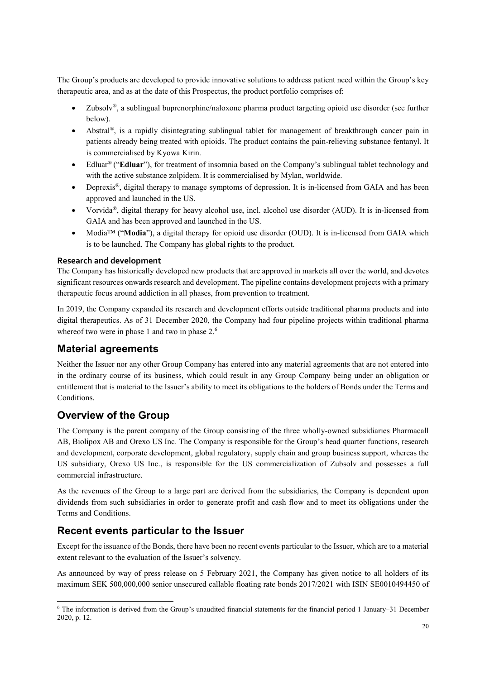The Group's products are developed to provide innovative solutions to address patient need within the Group's key therapeutic area, and as at the date of this Prospectus, the product portfolio comprises of:

- Zubsolv*®*, a sublingual buprenorphine/naloxone pharma product targeting opioid use disorder (see further below).
- Abstral<sup>®</sup>, is a rapidly disintegrating sublingual tablet for management of breakthrough cancer pain in patients already being treated with opioids. The product contains the pain-relieving substance fentanyl. It is commercialised by Kyowa Kirin.
- Edluar<sup>®</sup> ("**Edluar**"), for treatment of insomnia based on the Company's sublingual tablet technology and with the active substance zolpidem. It is commercialised by Mylan, worldwide.
- Deprexis<sup>®</sup>, digital therapy to manage symptoms of depression. It is in-licensed from GAIA and has been approved and launched in the US.
- Vorvida*®*, digital therapy for heavy alcohol use, incl. alcohol use disorder (AUD). It is in-licensed from GAIA and has been approved and launched in the US.
- Modia™ ("**Modia**"), a digital therapy for opioid use disorder (OUD). It is in-licensed from GAIA which is to be launched. The Company has global rights to the product.

#### **Research and development**

The Company has historically developed new products that are approved in markets all over the world, and devotes significant resources onwards research and development. The pipeline contains development projects with a primary therapeutic focus around addiction in all phases, from prevention to treatment.

In 2019, the Company expanded its research and development efforts outside traditional pharma products and into digital therapeutics. As of 31 December 2020, the Company had four pipeline projects within traditional pharma whereof two were in phase 1 and two in phase 2.<sup>6</sup>

## **Material agreements**

Neither the Issuer nor any other Group Company has entered into any material agreements that are not entered into in the ordinary course of its business, which could result in any Group Company being under an obligation or entitlement that is material to the Issuer's ability to meet its obligations to the holders of Bonds under the Terms and Conditions.

## **Overview of the Group**

 $\overline{\phantom{a}}$ 

The Company is the parent company of the Group consisting of the three wholly-owned subsidiaries Pharmacall AB, Biolipox AB and Orexo US Inc. The Company is responsible for the Group's head quarter functions, research and development, corporate development, global regulatory, supply chain and group business support, whereas the US subsidiary, Orexo US Inc., is responsible for the US commercialization of Zubsolv and possesses a full commercial infrastructure.

As the revenues of the Group to a large part are derived from the subsidiaries, the Company is dependent upon dividends from such subsidiaries in order to generate profit and cash flow and to meet its obligations under the Terms and Conditions.

## **Recent events particular to the Issuer**

Except for the issuance of the Bonds, there have been no recent events particular to the Issuer, which are to a material extent relevant to the evaluation of the Issuer's solvency.

As announced by way of press release on 5 February 2021, the Company has given notice to all holders of its maximum SEK 500,000,000 senior unsecured callable floating rate bonds 2017/2021 with ISIN SE0010494450 of

<sup>6</sup> The information is derived from the Group's unaudited financial statements for the financial period 1 January–31 December 2020, p. 12.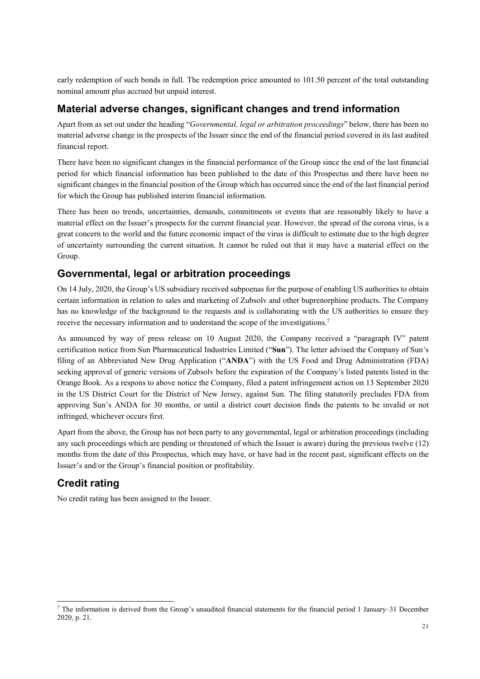early redemption of such bonds in full. The redemption price amounted to 101.50 percent of the total outstanding nominal amount plus accrued but unpaid interest.

### **Material adverse changes, significant changes and trend information**

Apart from as set out under the heading "*Governmental, legal or arbitration proceedings*" below, there has been no material adverse change in the prospects of the Issuer since the end of the financial period covered in its last audited financial report.

There have been no significant changes in the financial performance of the Group since the end of the last financial period for which financial information has been published to the date of this Prospectus and there have been no significant changes in the financial position of the Group which has occurred since the end of the last financial period for which the Group has published interim financial information.

There has been no trends, uncertainties, demands, commitments or events that are reasonably likely to have a material effect on the Issuer's prospects for the current financial year. However, the spread of the corona virus, is a great concern to the world and the future economic impact of the virus is difficult to estimate due to the high degree of uncertainty surrounding the current situation. It cannot be ruled out that it may have a material effect on the Group.

## **Governmental, legal or arbitration proceedings**

On 14 July, 2020, the Group's US subsidiary received subpoenas for the purpose of enabling US authorities to obtain certain information in relation to sales and marketing of Zubsolv and other buprenorphine products. The Company has no knowledge of the background to the requests and is collaborating with the US authorities to ensure they receive the necessary information and to understand the scope of the investigations.7

As announced by way of press release on 10 August 2020, the Company received a "paragraph IV" patent certification notice from Sun Pharmaceutical Industries Limited ("**Sun**"). The letter advised the Company of Sun's filing of an Abbreviated New Drug Application ("**ANDA**") with the US Food and Drug Administration (FDA) seeking approval of generic versions of Zubsolv before the expiration of the Company's listed patents listed in the Orange Book. As a respons to above notice the Company, filed a patent infringement action on 13 September 2020 in the US District Court for the District of New Jersey, against Sun. The filing statutorily precludes FDA from approving Sun's ANDA for 30 months, or until a district court decision finds the patents to be invalid or not infringed, whichever occurs first.

Apart from the above, the Group has not been party to any governmental, legal or arbitration proceedings (including any such proceedings which are pending or threatened of which the Issuer is aware) during the previous twelve (12) months from the date of this Prospectus, which may have, or have had in the recent past, significant effects on the Issuer's and/or the Group's financial position or profitability.

## **Credit rating**

 $\overline{\phantom{a}}$ 

No credit rating has been assigned to the Issuer.

 $\frac{7}{1}$  The information is derived from the Group's unaudited financial statements for the financial period 1 January–31 December 2020, p. 21.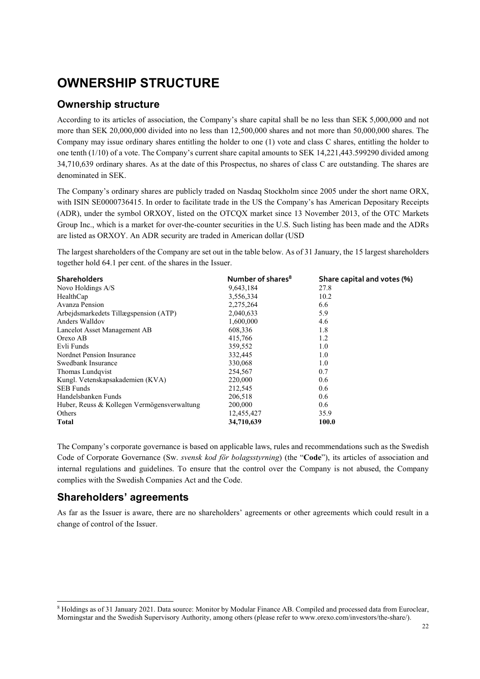## **OWNERSHIP STRUCTURE**

## **Ownership structure**

According to its articles of association, the Company's share capital shall be no less than SEK 5,000,000 and not more than SEK 20,000,000 divided into no less than 12,500,000 shares and not more than 50,000,000 shares. The Company may issue ordinary shares entitling the holder to one (1) vote and class C shares, entitling the holder to one tenth (1/10) of a vote. The Company's current share capital amounts to SEK 14,221,443.599290 divided among 34,710,639 ordinary shares. As at the date of this Prospectus, no shares of class C are outstanding. The shares are denominated in SEK.

The Company's ordinary shares are publicly traded on Nasdaq Stockholm since 2005 under the short name ORX, with ISIN SE0000736415. In order to facilitate trade in the US the Company's has American Depositary Receipts (ADR), under the symbol ORXOY, listed on the OTCQX market since 13 November 2013, of the OTC Markets Group Inc., which is a market for over-the-counter securities in the U.S. Such listing has been made and the ADRs are listed as ORXOY. An ADR security are traded in American dollar (USD

The largest shareholders of the Company are set out in the table below. As of 31 January, the 15 largest shareholders together hold 64.1 per cent. of the shares in the Issuer.

| <b>Shareholders</b>                         | Number of shares <sup>8</sup> | Share capital and votes (%) |
|---------------------------------------------|-------------------------------|-----------------------------|
| Novo Holdings A/S                           | 9,643,184                     | 27.8                        |
| HealthCap                                   | 3,556,334                     | 10.2                        |
| Avanza Pension                              | 2,275,264                     | 6.6                         |
| Arbejdsmarkedets Tillægspension (ATP)       | 2,040,633                     | 5.9                         |
| Anders Walldov                              | 1,600,000                     | 4.6                         |
| Lancelot Asset Management AB                | 608,336                       | 1.8                         |
| Orexo AB                                    | 415,766                       | 1.2                         |
| Evli Funds                                  | 359,552                       | 1.0                         |
| Nordnet Pension Insurance                   | 332,445                       | 1.0                         |
| Swedbank Insurance                          | 330,068                       | 1.0                         |
| Thomas Lundqvist                            | 254,567                       | 0.7                         |
| Kungl. Vetenskapsakademien (KVA)            | 220,000                       | 0.6                         |
| <b>SEB Funds</b>                            | 212.545                       | 0.6                         |
| Handelsbanken Funds                         | 206,518                       | 0.6                         |
| Huber, Reuss & Kollegen Vermögensverwaltung | 200,000                       | 0.6                         |
| <b>Others</b>                               | 12,455,427                    | 35.9                        |
| <b>Total</b>                                | 34,710,639                    | 100.0                       |

The Company's corporate governance is based on applicable laws, rules and recommendations such as the Swedish Code of Corporate Governance (Sw. *svensk kod för bolagsstyrning*) (the "**Code**"), its articles of association and internal regulations and guidelines. To ensure that the control over the Company is not abused, the Company complies with the Swedish Companies Act and the Code.

## **Shareholders' agreements**

 $\overline{\phantom{a}}$ 

As far as the Issuer is aware, there are no shareholders' agreements or other agreements which could result in a change of control of the Issuer.

<sup>8</sup> Holdings as of 31 January 2021. Data source: Monitor by Modular Finance AB. Compiled and processed data from Euroclear, Morningstar and the Swedish Supervisory Authority, among others (please refer to www.orexo.com/investors/the-share/).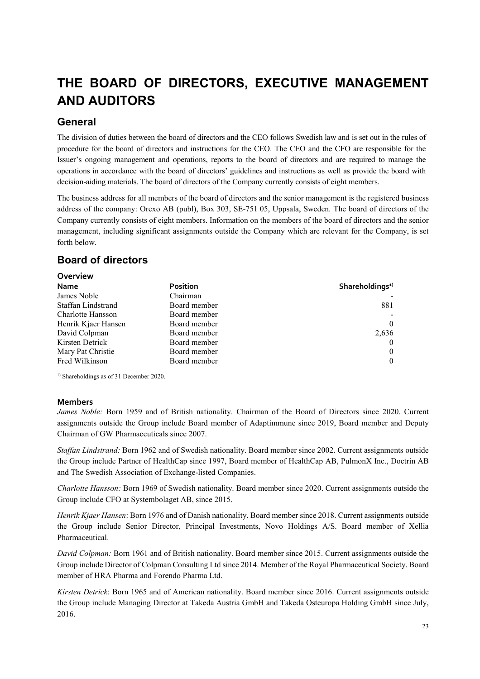## **THE BOARD OF DIRECTORS, EXECUTIVE MANAGEMENT AND AUDITORS**

## **General**

The division of duties between the board of directors and the CEO follows Swedish law and is set out in the rules of procedure for the board of directors and instructions for the CEO. The CEO and the CFO are responsible for the Issuer's ongoing management and operations, reports to the board of directors and are required to manage the operations in accordance with the board of directors' guidelines and instructions as well as provide the board with decision-aiding materials. The board of directors of the Company currently consists of eight members.

The business address for all members of the board of directors and the senior management is the registered business address of the company: Orexo AB (publ), Box 303, SE-751 05, Uppsala, Sweden. The board of directors of the Company currently consists of eight members. Information on the members of the board of directors and the senior management, including significant assignments outside the Company which are relevant for the Company, is set forth below.

## **Board of directors**

| Overview            |              |                             |
|---------------------|--------------|-----------------------------|
| <b>Name</b>         | Position     | Shareholdings <sup>1)</sup> |
| James Noble         | Chairman     |                             |
| Staffan Lindstrand  | Board member | 881                         |
| Charlotte Hansson   | Board member |                             |
| Henrik Kjaer Hansen | Board member | $\theta$                    |
| David Colpman       | Board member | 2,636                       |
| Kirsten Detrick     | Board member | $\left( 0 \right)$          |
| Mary Pat Christie   | Board member | $\theta$                    |
| Fred Wilkinson      | Board member | $\theta$                    |

<sup>1)</sup> Shareholdings as of 31 December 2020.

#### **Members**

*James Noble:* Born 1959 and of British nationality. Chairman of the Board of Directors since 2020. Current assignments outside the Group include Board member of Adaptimmune since 2019, Board member and Deputy Chairman of GW Pharmaceuticals since 2007.

*Staffan Lindstrand:* Born 1962 and of Swedish nationality. Board member since 2002. Current assignments outside the Group include Partner of HealthCap since 1997, Board member of HealthCap AB, PulmonX Inc., Doctrin AB and The Swedish Association of Exchange-listed Companies.

*Charlotte Hansson:* Born 1969 of Swedish nationality. Board member since 2020. Current assignments outside the Group include CFO at Systembolaget AB, since 2015.

*Henrik Kjaer Hansen*: Born 1976 and of Danish nationality. Board member since 2018. Current assignments outside the Group include Senior Director, Principal Investments, Novo Holdings A/S. Board member of Xellia Pharmaceutical.

*David Colpman:* Born 1961 and of British nationality. Board member since 2015. Current assignments outside the Group include Director of Colpman Consulting Ltd since 2014. Member of the Royal Pharmaceutical Society. Board member of HRA Pharma and Forendo Pharma Ltd.

*Kirsten Detrick*: Born 1965 and of American nationality. Board member since 2016. Current assignments outside the Group include Managing Director at Takeda Austria GmbH and Takeda Osteuropa Holding GmbH since July, 2016.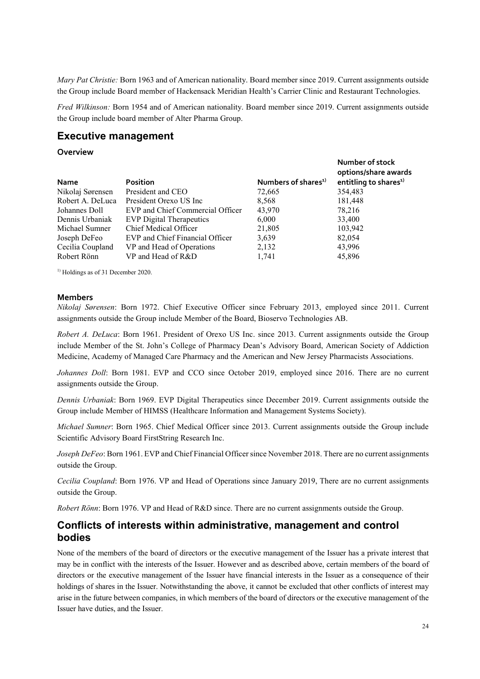*Mary Pat Christie:* Born 1963 and of American nationality. Board member since 2019. Current assignments outside the Group include Board member of Hackensack Meridian Health's Carrier Clinic and Restaurant Technologies.

*Fred Wilkinson:* Born 1954 and of American nationality. Board member since 2019. Current assignments outside the Group include board member of Alter Pharma Group.

**Number of stock** 

### **Executive management**

#### **Overview**

| <b>Name</b>      | <b>Position</b>                  | Numbers of shares <sup>1)</sup> | options/share awards<br>entitling to shares <sup>1)</sup> |
|------------------|----------------------------------|---------------------------------|-----------------------------------------------------------|
| Nikolaj Sørensen | President and CEO                | 72,665                          | 354,483                                                   |
| Robert A. DeLuca | President Orexo US Inc.          | 8,568                           | 181,448                                                   |
| Johannes Doll    | EVP and Chief Commercial Officer | 43,970                          | 78.216                                                    |
| Dennis Urbaniak  | <b>EVP</b> Digital Therapeutics  | 6,000                           | 33,400                                                    |
| Michael Sumner   | Chief Medical Officer            | 21,805                          | 103,942                                                   |
| Joseph DeFeo     | EVP and Chief Financial Officer  | 3,639                           | 82,054                                                    |
| Cecilia Coupland | VP and Head of Operations        | 2,132                           | 43,996                                                    |
| Robert Rönn      | VP and Head of R&D               | 1,741                           | 45,896                                                    |

<sup>1)</sup> Holdings as of 31 December 2020.

#### **Members**

*Nikolaj Sørensen*: Born 1972. Chief Executive Officer since February 2013, employed since 2011. Current assignments outside the Group include Member of the Board, Bioservo Technologies AB.

*Robert A. DeLuca*: Born 1961. President of Orexo US Inc. since 2013. Current assignments outside the Group include Member of the St. John's College of Pharmacy Dean's Advisory Board, American Society of Addiction Medicine, Academy of Managed Care Pharmacy and the American and New Jersey Pharmacists Associations.

*Johannes Doll*: Born 1981. EVP and CCO since October 2019, employed since 2016. There are no current assignments outside the Group.

*Dennis Urbaniak*: Born 1969. EVP Digital Therapeutics since December 2019. Current assignments outside the Group include Member of HIMSS (Healthcare Information and Management Systems Society).

*Michael Sumner*: Born 1965. Chief Medical Officer since 2013. Current assignments outside the Group include Scientific Advisory Board FirstString Research Inc.

*Joseph DeFeo*: Born 1961. EVP and Chief Financial Officer since November 2018. There are no current assignments outside the Group.

*Cecilia Coupland*: Born 1976. VP and Head of Operations since January 2019, There are no current assignments outside the Group.

*Robert Rönn*: Born 1976. VP and Head of R&D since. There are no current assignments outside the Group.

### **Conflicts of interests within administrative, management and control bodies**

None of the members of the board of directors or the executive management of the Issuer has a private interest that may be in conflict with the interests of the Issuer. However and as described above, certain members of the board of directors or the executive management of the Issuer have financial interests in the Issuer as a consequence of their holdings of shares in the Issuer. Notwithstanding the above, it cannot be excluded that other conflicts of interest may arise in the future between companies, in which members of the board of directors or the executive management of the Issuer have duties, and the Issuer.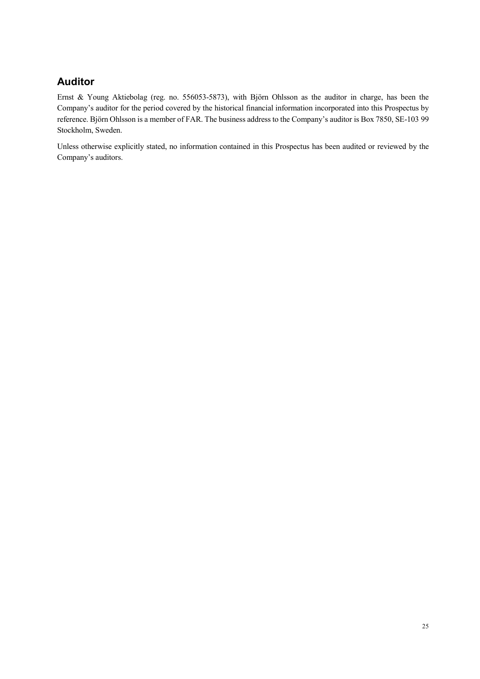## **Auditor**

Ernst & Young Aktiebolag (reg. no. 556053-5873), with Björn Ohlsson as the auditor in charge, has been the Company's auditor for the period covered by the historical financial information incorporated into this Prospectus by reference. Björn Ohlsson is a member of FAR. The business address to the Company's auditor is Box 7850, SE-103 99 Stockholm, Sweden.

Unless otherwise explicitly stated, no information contained in this Prospectus has been audited or reviewed by the Company's auditors.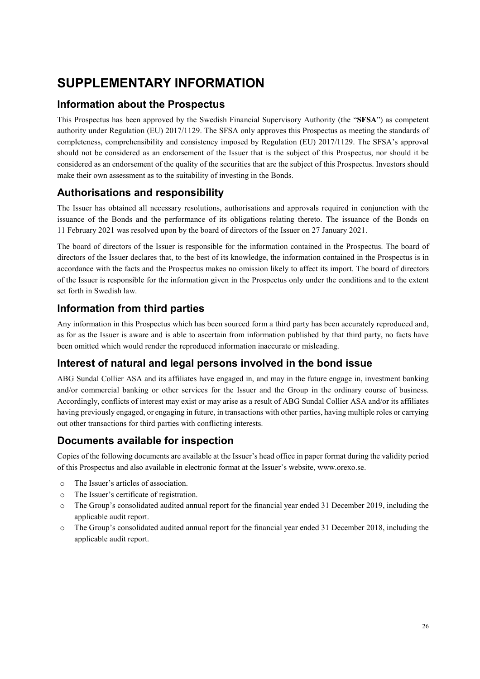## **SUPPLEMENTARY INFORMATION**

## **Information about the Prospectus**

This Prospectus has been approved by the Swedish Financial Supervisory Authority (the "**SFSA**") as competent authority under Regulation (EU) 2017/1129. The SFSA only approves this Prospectus as meeting the standards of completeness, comprehensibility and consistency imposed by Regulation (EU) 2017/1129. The SFSA's approval should not be considered as an endorsement of the Issuer that is the subject of this Prospectus, nor should it be considered as an endorsement of the quality of the securities that are the subject of this Prospectus. Investors should make their own assessment as to the suitability of investing in the Bonds.

## **Authorisations and responsibility**

The Issuer has obtained all necessary resolutions, authorisations and approvals required in conjunction with the issuance of the Bonds and the performance of its obligations relating thereto. The issuance of the Bonds on 11 February 2021 was resolved upon by the board of directors of the Issuer on 27 January 2021.

The board of directors of the Issuer is responsible for the information contained in the Prospectus. The board of directors of the Issuer declares that, to the best of its knowledge, the information contained in the Prospectus is in accordance with the facts and the Prospectus makes no omission likely to affect its import. The board of directors of the Issuer is responsible for the information given in the Prospectus only under the conditions and to the extent set forth in Swedish law.

## **Information from third parties**

Any information in this Prospectus which has been sourced form a third party has been accurately reproduced and, as for as the Issuer is aware and is able to ascertain from information published by that third party, no facts have been omitted which would render the reproduced information inaccurate or misleading.

## **Interest of natural and legal persons involved in the bond issue**

ABG Sundal Collier ASA and its affiliates have engaged in, and may in the future engage in, investment banking and/or commercial banking or other services for the Issuer and the Group in the ordinary course of business. Accordingly, conflicts of interest may exist or may arise as a result of ABG Sundal Collier ASA and/or its affiliates having previously engaged, or engaging in future, in transactions with other parties, having multiple roles or carrying out other transactions for third parties with conflicting interests.

## **Documents available for inspection**

Copies of the following documents are available at the Issuer's head office in paper format during the validity period of this Prospectus and also available in electronic format at the Issuer's website, www.orexo.se.

- o The Issuer's articles of association.
- o The Issuer's certificate of registration.
- o The Group's consolidated audited annual report for the financial year ended 31 December 2019, including the applicable audit report.
- o The Group's consolidated audited annual report for the financial year ended 31 December 2018, including the applicable audit report.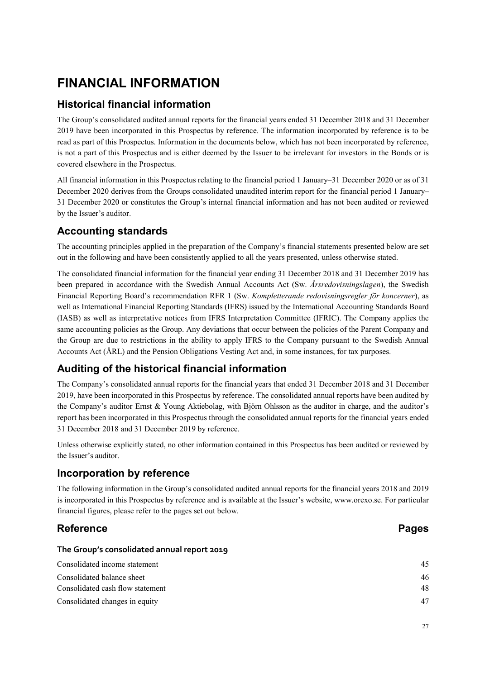## **FINANCIAL INFORMATION**

## **Historical financial information**

The Group's consolidated audited annual reports for the financial years ended 31 December 2018 and 31 December 2019 have been incorporated in this Prospectus by reference. The information incorporated by reference is to be read as part of this Prospectus. Information in the documents below, which has not been incorporated by reference, is not a part of this Prospectus and is either deemed by the Issuer to be irrelevant for investors in the Bonds or is covered elsewhere in the Prospectus.

All financial information in this Prospectus relating to the financial period 1 January–31 December 2020 or as of 31 December 2020 derives from the Groups consolidated unaudited interim report for the financial period 1 January– 31 December 2020 or constitutes the Group's internal financial information and has not been audited or reviewed by the Issuer's auditor.

## **Accounting standards**

The accounting principles applied in the preparation of the Company's financial statements presented below are set out in the following and have been consistently applied to all the years presented, unless otherwise stated.

The consolidated financial information for the financial year ending 31 December 2018 and 31 December 2019 has been prepared in accordance with the Swedish Annual Accounts Act (Sw. *Årsredovisningslagen*), the Swedish Financial Reporting Board's recommendation RFR 1 (Sw. *Kompletterande redovisningsregler för koncerner*), as well as International Financial Reporting Standards (IFRS) issued by the International Accounting Standards Board (IASB) as well as interpretative notices from IFRS Interpretation Committee (IFRIC). The Company applies the same accounting policies as the Group. Any deviations that occur between the policies of the Parent Company and the Group are due to restrictions in the ability to apply IFRS to the Company pursuant to the Swedish Annual Accounts Act (ÅRL) and the Pension Obligations Vesting Act and, in some instances, for tax purposes.

## **Auditing of the historical financial information**

The Company's consolidated annual reports for the financial years that ended 31 December 2018 and 31 December 2019, have been incorporated in this Prospectus by reference. The consolidated annual reports have been audited by the Company's auditor Ernst & Young Aktiebolag, with Björn Ohlsson as the auditor in charge, and the auditor's report has been incorporated in this Prospectus through the consolidated annual reports for the financial years ended 31 December 2018 and 31 December 2019 by reference.

Unless otherwise explicitly stated, no other information contained in this Prospectus has been audited or reviewed by the Issuer's auditor.

## **Incorporation by reference**

The following information in the Group's consolidated audited annual reports for the financial years 2018 and 2019 is incorporated in this Prospectus by reference and is available at the Issuer's website, www.orexo.se. For particular financial figures, please refer to the pages set out below.

## **Reference** Pages

#### **The Group's consolidated annual report 2019**

| Consolidated income statement    | 45 |
|----------------------------------|----|
| Consolidated balance sheet       | 46 |
| Consolidated cash flow statement | 48 |
| Consolidated changes in equity   | 47 |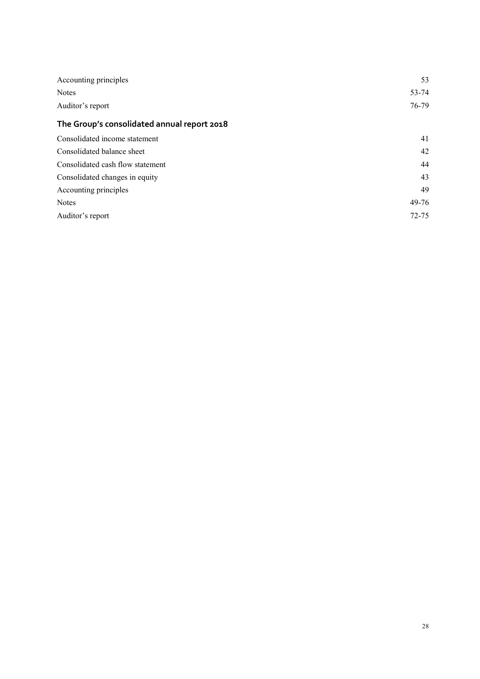| Accounting principles                       | 53        |
|---------------------------------------------|-----------|
| <b>Notes</b>                                | 53-74     |
| Auditor's report                            | 76-79     |
| The Group's consolidated annual report 2018 |           |
| Consolidated income statement               | 41        |
| Consolidated balance sheet                  | 42        |
| Consolidated cash flow statement            | 44        |
| Consolidated changes in equity              | 43        |
| Accounting principles                       | 49        |
| <b>Notes</b>                                | 49-76     |
| Auditor's report                            | $72 - 75$ |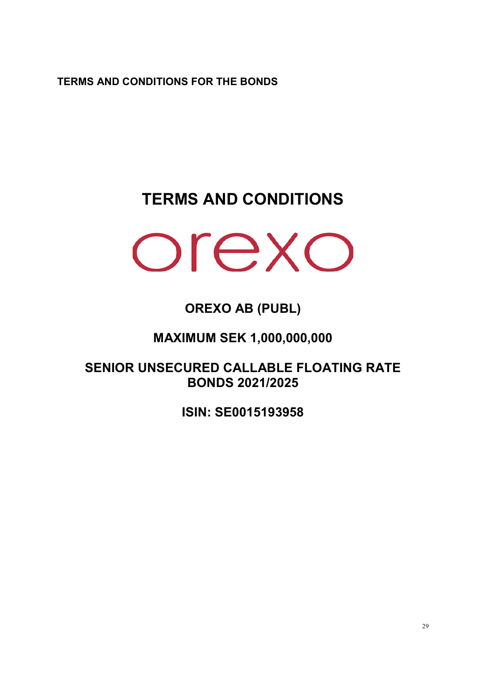**TERMS AND CONDITIONS FOR THE BONDS** 

## **TERMS AND CONDITIONS**



## **OREXO AB (PUBL)**

## **MAXIMUM SEK 1,000,000,000**

**SENIOR UNSECURED CALLABLE FLOATING RATE BONDS 2021/2025** 

**ISIN: SE0015193958**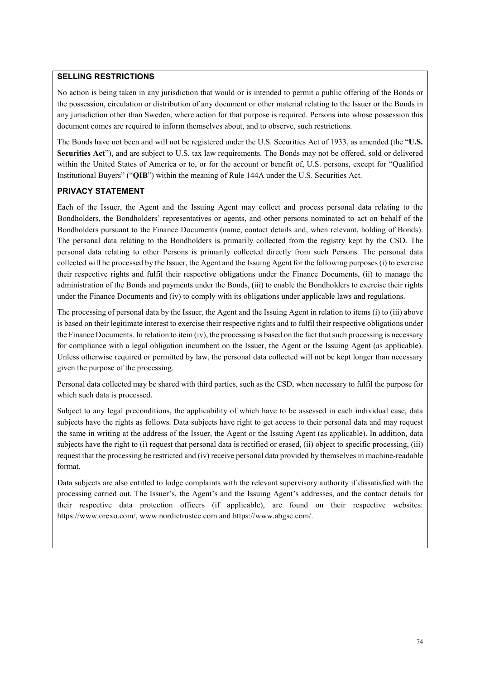### **SELLING RESTRICTIONS**

No action is being taken in any jurisdiction that would or is intended to permit a public offering of the Bonds or the possession, circulation or distribution of any document or other material relating to the Issuer or the Bonds in any jurisdiction other than Sweden, where action for that purpose is required. Persons into whose possession this document comes are required to inform themselves about, and to observe, such restrictions.

The Bonds have not been and will not be registered under the U.S. Securities Act of 1933, as amended (the "**U.S. Securities Act**"), and are subject to U.S. tax law requirements. The Bonds may not be offered, sold or delivered within the United States of America or to, or for the account or benefit of, U.S. persons, except for "Qualified Institutional Buyers" ("**QIB**") within the meaning of Rule 144A under the U.S. Securities Act.

#### **PRIVACY STATEMENT**

Each of the Issuer, the Agent and the Issuing Agent may collect and process personal data relating to the Bondholders, the Bondholders' representatives or agents, and other persons nominated to act on behalf of the Bondholders pursuant to the Finance Documents (name, contact details and, when relevant, holding of Bonds). The personal data relating to the Bondholders is primarily collected from the registry kept by the CSD. The personal data relating to other Persons is primarily collected directly from such Persons. The personal data collected will be processed by the Issuer, the Agent and the Issuing Agent for the following purposes (i) to exercise their respective rights and fulfil their respective obligations under the Finance Documents, (ii) to manage the administration of the Bonds and payments under the Bonds, (iii) to enable the Bondholders to exercise their rights under the Finance Documents and (iv) to comply with its obligations under applicable laws and regulations.

The processing of personal data by the Issuer, the Agent and the Issuing Agent in relation to items (i) to (iii) above is based on their legitimate interest to exercise their respective rights and to fulfil their respective obligations under the Finance Documents. In relation to item (iv), the processing is based on the fact that such processing is necessary for compliance with a legal obligation incumbent on the Issuer, the Agent or the Issuing Agent (as applicable). Unless otherwise required or permitted by law, the personal data collected will not be kept longer than necessary given the purpose of the processing.

Personal data collected may be shared with third parties, such as the CSD, when necessary to fulfil the purpose for which such data is processed.

Subject to any legal preconditions, the applicability of which have to be assessed in each individual case, data subjects have the rights as follows. Data subjects have right to get access to their personal data and may request the same in writing at the address of the Issuer, the Agent or the Issuing Agent (as applicable). In addition, data subjects have the right to (i) request that personal data is rectified or erased, (ii) object to specific processing, (iii) request that the processing be restricted and (iv) receive personal data provided by themselves in machine-readable format.

Data subjects are also entitled to lodge complaints with the relevant supervisory authority if dissatisfied with the processing carried out. The Issuer's, the Agent's and the Issuing Agent's addresses, and the contact details for their respective data protection officers (if applicable), are found on their respective websites: https://www.orexo.com/, www.nordictrustee.com and https://www.abgsc.com/.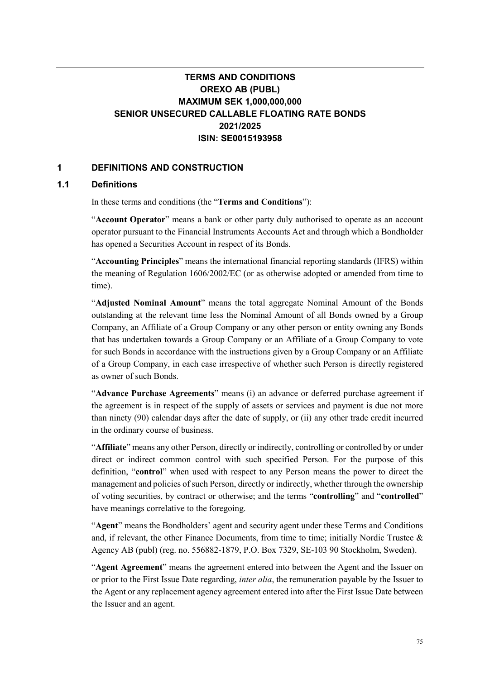## **TERMS AND CONDITIONS OREXO AB (PUBL) MAXIMUM SEK 1,000,000,000 SENIOR UNSECURED CALLABLE FLOATING RATE BONDS 2021/2025 ISIN: SE0015193958**

### **1 DEFINITIONS AND CONSTRUCTION**

#### **1.1 Definitions**

In these terms and conditions (the "**Terms and Conditions**"):

"**Account Operator**" means a bank or other party duly authorised to operate as an account operator pursuant to the Financial Instruments Accounts Act and through which a Bondholder has opened a Securities Account in respect of its Bonds.

"**Accounting Principles**" means the international financial reporting standards (IFRS) within the meaning of Regulation 1606/2002/EC (or as otherwise adopted or amended from time to time).

"**Adjusted Nominal Amount**" means the total aggregate Nominal Amount of the Bonds outstanding at the relevant time less the Nominal Amount of all Bonds owned by a Group Company, an Affiliate of a Group Company or any other person or entity owning any Bonds that has undertaken towards a Group Company or an Affiliate of a Group Company to vote for such Bonds in accordance with the instructions given by a Group Company or an Affiliate of a Group Company, in each case irrespective of whether such Person is directly registered as owner of such Bonds.

"**Advance Purchase Agreements**" means (i) an advance or deferred purchase agreement if the agreement is in respect of the supply of assets or services and payment is due not more than ninety (90) calendar days after the date of supply, or (ii) any other trade credit incurred in the ordinary course of business.

"**Affiliate**" means any other Person, directly or indirectly, controlling or controlled by or under direct or indirect common control with such specified Person. For the purpose of this definition, "**control**" when used with respect to any Person means the power to direct the management and policies of such Person, directly or indirectly, whether through the ownership of voting securities, by contract or otherwise; and the terms "**controlling**" and "**controlled**" have meanings correlative to the foregoing.

"**Agent**" means the Bondholders' agent and security agent under these Terms and Conditions and, if relevant, the other Finance Documents, from time to time; initially Nordic Trustee & Agency AB (publ) (reg. no. 556882-1879, P.O. Box 7329, SE-103 90 Stockholm, Sweden).

"**Agent Agreement**" means the agreement entered into between the Agent and the Issuer on or prior to the First Issue Date regarding, *inter alia*, the remuneration payable by the Issuer to the Agent or any replacement agency agreement entered into after the First Issue Date between the Issuer and an agent.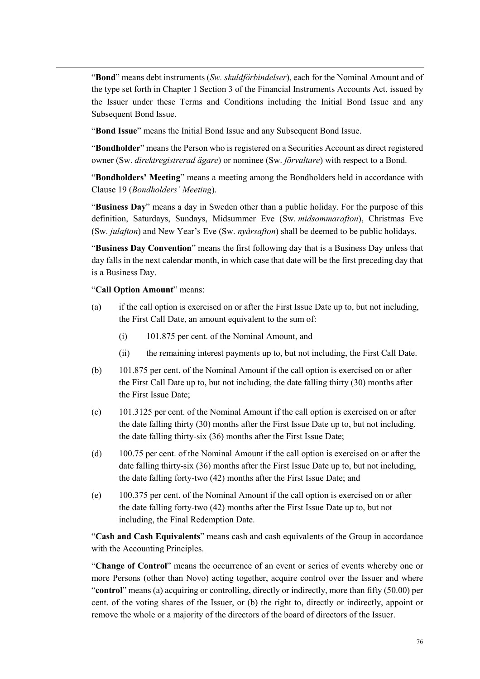"**Bond**" means debt instruments (*Sw. skuldförbindelser*), each for the Nominal Amount and of the type set forth in Chapter 1 Section 3 of the Financial Instruments Accounts Act, issued by the Issuer under these Terms and Conditions including the Initial Bond Issue and any Subsequent Bond Issue.

"**Bond Issue**" means the Initial Bond Issue and any Subsequent Bond Issue.

"**Bondholder**" means the Person who is registered on a Securities Account as direct registered owner (Sw. *direktregistrerad ägare*) or nominee (Sw. *förvaltare*) with respect to a Bond.

"**Bondholders' Meeting**" means a meeting among the Bondholders held in accordance with Clause 19 (*Bondholders' Meeting*).

"**Business Day**" means a day in Sweden other than a public holiday. For the purpose of this definition, Saturdays, Sundays, Midsummer Eve (Sw. *midsommarafton*), Christmas Eve (Sw. *julafton*) and New Year's Eve (Sw. *nyårsafton*) shall be deemed to be public holidays.

"**Business Day Convention**" means the first following day that is a Business Day unless that day falls in the next calendar month, in which case that date will be the first preceding day that is a Business Day.

#### "**Call Option Amount**" means:

- (a) if the call option is exercised on or after the First Issue Date up to, but not including, the First Call Date, an amount equivalent to the sum of:
	- (i) 101.875 per cent. of the Nominal Amount, and
	- (ii) the remaining interest payments up to, but not including, the First Call Date.
- (b) 101.875 per cent. of the Nominal Amount if the call option is exercised on or after the First Call Date up to, but not including, the date falling thirty (30) months after the First Issue Date;
- (c) 101.3125 per cent. of the Nominal Amount if the call option is exercised on or after the date falling thirty (30) months after the First Issue Date up to, but not including, the date falling thirty-six (36) months after the First Issue Date;
- (d) 100.75 per cent. of the Nominal Amount if the call option is exercised on or after the date falling thirty-six (36) months after the First Issue Date up to, but not including, the date falling forty-two (42) months after the First Issue Date; and
- (e) 100.375 per cent. of the Nominal Amount if the call option is exercised on or after the date falling forty-two (42) months after the First Issue Date up to, but not including, the Final Redemption Date.

"**Cash and Cash Equivalents**" means cash and cash equivalents of the Group in accordance with the Accounting Principles.

"**Change of Control**" means the occurrence of an event or series of events whereby one or more Persons (other than Novo) acting together, acquire control over the Issuer and where "**control**" means (a) acquiring or controlling, directly or indirectly, more than fifty (50.00) per cent. of the voting shares of the Issuer, or (b) the right to, directly or indirectly, appoint or remove the whole or a majority of the directors of the board of directors of the Issuer.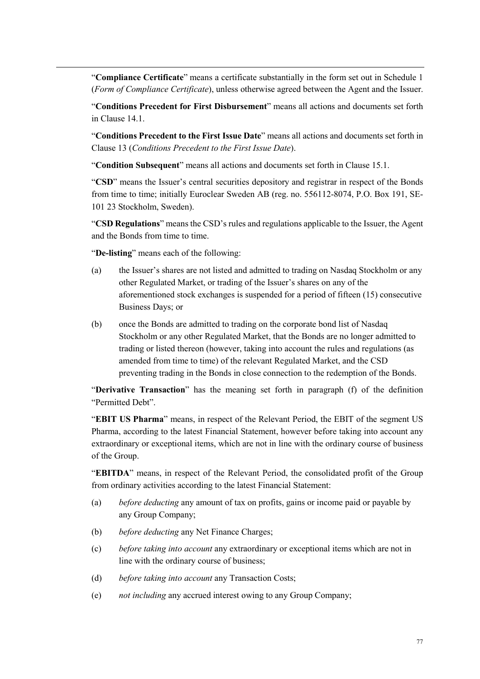"**Compliance Certificate**" means a certificate substantially in the form set out in Schedule 1 (*Form of Compliance Certificate*), unless otherwise agreed between the Agent and the Issuer.

"**Conditions Precedent for First Disbursement**" means all actions and documents set forth in Clause 14.1.

"**Conditions Precedent to the First Issue Date**" means all actions and documents set forth in Clause 13 (*Conditions Precedent to the First Issue Date*).

"**Condition Subsequent**" means all actions and documents set forth in Clause 15.1.

"**CSD**" means the Issuer's central securities depository and registrar in respect of the Bonds from time to time; initially Euroclear Sweden AB (reg. no. 556112-8074, P.O. Box 191, SE-101 23 Stockholm, Sweden).

"**CSD Regulations**" means the CSD's rules and regulations applicable to the Issuer, the Agent and the Bonds from time to time.

"**De-listing**" means each of the following:

- (a) the Issuer's shares are not listed and admitted to trading on Nasdaq Stockholm or any other Regulated Market, or trading of the Issuer's shares on any of the aforementioned stock exchanges is suspended for a period of fifteen (15) consecutive Business Days; or
- (b) once the Bonds are admitted to trading on the corporate bond list of Nasdaq Stockholm or any other Regulated Market, that the Bonds are no longer admitted to trading or listed thereon (however, taking into account the rules and regulations (as amended from time to time) of the relevant Regulated Market, and the CSD preventing trading in the Bonds in close connection to the redemption of the Bonds.

"**Derivative Transaction**" has the meaning set forth in paragraph (f) of the definition "Permitted Debt".

"**EBIT US Pharma**" means, in respect of the Relevant Period, the EBIT of the segment US Pharma, according to the latest Financial Statement, however before taking into account any extraordinary or exceptional items, which are not in line with the ordinary course of business of the Group.

"**EBITDA**" means, in respect of the Relevant Period, the consolidated profit of the Group from ordinary activities according to the latest Financial Statement:

- (a) *before deducting* any amount of tax on profits, gains or income paid or payable by any Group Company;
- (b) *before deducting* any Net Finance Charges;
- (c) *before taking into account* any extraordinary or exceptional items which are not in line with the ordinary course of business;
- (d) *before taking into account* any Transaction Costs;
- (e) *not including* any accrued interest owing to any Group Company;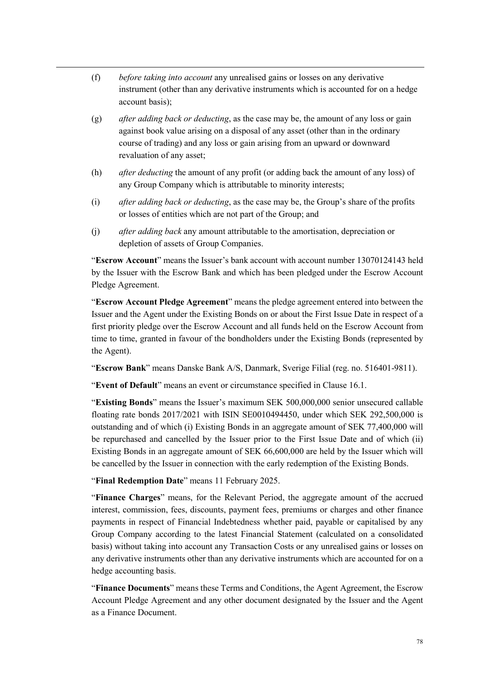- (f) *before taking into account* any unrealised gains or losses on any derivative instrument (other than any derivative instruments which is accounted for on a hedge account basis);
- (g) *after adding back or deducting*, as the case may be, the amount of any loss or gain against book value arising on a disposal of any asset (other than in the ordinary course of trading) and any loss or gain arising from an upward or downward revaluation of any asset;
- (h) *after deducting* the amount of any profit (or adding back the amount of any loss) of any Group Company which is attributable to minority interests;
- (i) *after adding back or deducting*, as the case may be, the Group's share of the profits or losses of entities which are not part of the Group; and
- (j) *after adding back* any amount attributable to the amortisation, depreciation or depletion of assets of Group Companies.

"**Escrow Account**" means the Issuer's bank account with account number 13070124143 held by the Issuer with the Escrow Bank and which has been pledged under the Escrow Account Pledge Agreement.

"**Escrow Account Pledge Agreement**" means the pledge agreement entered into between the Issuer and the Agent under the Existing Bonds on or about the First Issue Date in respect of a first priority pledge over the Escrow Account and all funds held on the Escrow Account from time to time, granted in favour of the bondholders under the Existing Bonds (represented by the Agent).

"**Escrow Bank**" means Danske Bank A/S, Danmark, Sverige Filial (reg. no. 516401-9811).

"**Event of Default**" means an event or circumstance specified in Clause 16.1.

"**Existing Bonds**" means the Issuer's maximum SEK 500,000,000 senior unsecured callable floating rate bonds 2017/2021 with ISIN SE0010494450, under which SEK 292,500,000 is outstanding and of which (i) Existing Bonds in an aggregate amount of SEK 77,400,000 will be repurchased and cancelled by the Issuer prior to the First Issue Date and of which (ii) Existing Bonds in an aggregate amount of SEK 66,600,000 are held by the Issuer which will be cancelled by the Issuer in connection with the early redemption of the Existing Bonds.

"**Final Redemption Date**" means 11 February 2025.

"**Finance Charges**" means, for the Relevant Period, the aggregate amount of the accrued interest, commission, fees, discounts, payment fees, premiums or charges and other finance payments in respect of Financial Indebtedness whether paid, payable or capitalised by any Group Company according to the latest Financial Statement (calculated on a consolidated basis) without taking into account any Transaction Costs or any unrealised gains or losses on any derivative instruments other than any derivative instruments which are accounted for on a hedge accounting basis.

"**Finance Documents**" means these Terms and Conditions, the Agent Agreement, the Escrow Account Pledge Agreement and any other document designated by the Issuer and the Agent as a Finance Document.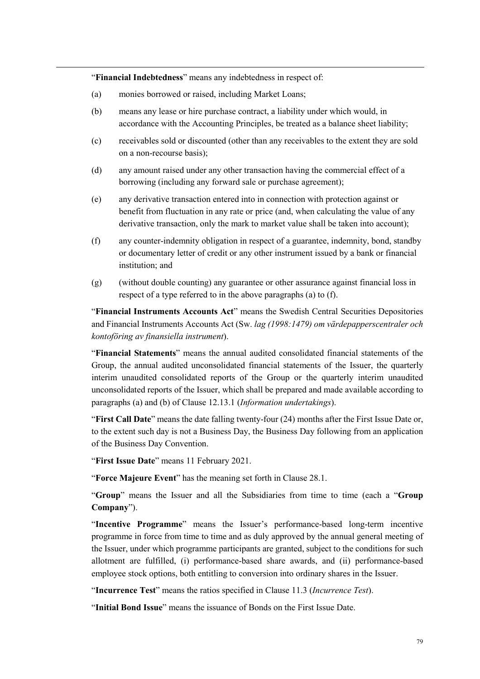"**Financial Indebtedness**" means any indebtedness in respect of:

- (a) monies borrowed or raised, including Market Loans;
- (b) means any lease or hire purchase contract, a liability under which would, in accordance with the Accounting Principles, be treated as a balance sheet liability;
- (c) receivables sold or discounted (other than any receivables to the extent they are sold on a non-recourse basis);
- (d) any amount raised under any other transaction having the commercial effect of a borrowing (including any forward sale or purchase agreement);
- (e) any derivative transaction entered into in connection with protection against or benefit from fluctuation in any rate or price (and, when calculating the value of any derivative transaction, only the mark to market value shall be taken into account);
- (f) any counter-indemnity obligation in respect of a guarantee, indemnity, bond, standby or documentary letter of credit or any other instrument issued by a bank or financial institution; and
- (g) (without double counting) any guarantee or other assurance against financial loss in respect of a type referred to in the above paragraphs (a) to (f).

"**Financial Instruments Accounts Act**" means the Swedish Central Securities Depositories and Financial Instruments Accounts Act (Sw. *lag (1998:1479) om värdepapperscentraler och kontoföring av finansiella instrument*).

"**Financial Statements**" means the annual audited consolidated financial statements of the Group, the annual audited unconsolidated financial statements of the Issuer, the quarterly interim unaudited consolidated reports of the Group or the quarterly interim unaudited unconsolidated reports of the Issuer, which shall be prepared and made available according to paragraphs (a) and (b) of Clause 12.13.1 (*Information undertakings*).

"**First Call Date**" means the date falling twenty-four (24) months after the First Issue Date or, to the extent such day is not a Business Day, the Business Day following from an application of the Business Day Convention.

"**First Issue Date**" means 11 February 2021.

"**Force Majeure Event**" has the meaning set forth in Clause 28.1.

"**Group**" means the Issuer and all the Subsidiaries from time to time (each a "**Group Company**").

"**Incentive Programme**" means the Issuer's performance-based long-term incentive programme in force from time to time and as duly approved by the annual general meeting of the Issuer, under which programme participants are granted, subject to the conditions for such allotment are fulfilled, (i) performance-based share awards, and (ii) performance-based employee stock options, both entitling to conversion into ordinary shares in the Issuer.

"**Incurrence Test**" means the ratios specified in Clause 11.3 (*Incurrence Test*).

"**Initial Bond Issue**" means the issuance of Bonds on the First Issue Date.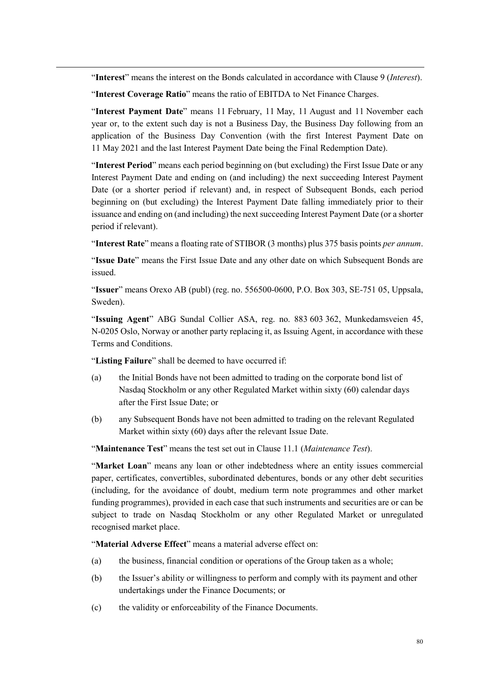"**Interest**" means the interest on the Bonds calculated in accordance with Clause 9 (*Interest*).

"**Interest Coverage Ratio**" means the ratio of EBITDA to Net Finance Charges.

"**Interest Payment Date**" means 11 February, 11 May, 11 August and 11 November each year or, to the extent such day is not a Business Day, the Business Day following from an application of the Business Day Convention (with the first Interest Payment Date on 11 May 2021 and the last Interest Payment Date being the Final Redemption Date).

"**Interest Period**" means each period beginning on (but excluding) the First Issue Date or any Interest Payment Date and ending on (and including) the next succeeding Interest Payment Date (or a shorter period if relevant) and, in respect of Subsequent Bonds, each period beginning on (but excluding) the Interest Payment Date falling immediately prior to their issuance and ending on (and including) the next succeeding Interest Payment Date (or a shorter period if relevant).

"**Interest Rate**" means a floating rate of STIBOR (3 months) plus 375 basis points *per annum*.

"**Issue Date**" means the First Issue Date and any other date on which Subsequent Bonds are issued.

"**Issuer**" means Orexo AB (publ) (reg. no. 556500-0600, P.O. Box 303, SE-751 05, Uppsala, Sweden).

"**Issuing Agent**" ABG Sundal Collier ASA, reg. no. 883 603 362, Munkedamsveien 45, N-0205 Oslo, Norway or another party replacing it, as Issuing Agent, in accordance with these Terms and Conditions.

"**Listing Failure**" shall be deemed to have occurred if:

- (a) the Initial Bonds have not been admitted to trading on the corporate bond list of Nasdaq Stockholm or any other Regulated Market within sixty (60) calendar days after the First Issue Date; or
- (b) any Subsequent Bonds have not been admitted to trading on the relevant Regulated Market within sixty (60) days after the relevant Issue Date.

"**Maintenance Test**" means the test set out in Clause 11.1 (*Maintenance Test*).

"**Market Loan**" means any loan or other indebtedness where an entity issues commercial paper, certificates, convertibles, subordinated debentures, bonds or any other debt securities (including, for the avoidance of doubt, medium term note programmes and other market funding programmes), provided in each case that such instruments and securities are or can be subject to trade on Nasdaq Stockholm or any other Regulated Market or unregulated recognised market place.

"**Material Adverse Effect**" means a material adverse effect on:

- (a) the business, financial condition or operations of the Group taken as a whole;
- (b) the Issuer's ability or willingness to perform and comply with its payment and other undertakings under the Finance Documents; or
- (c) the validity or enforceability of the Finance Documents.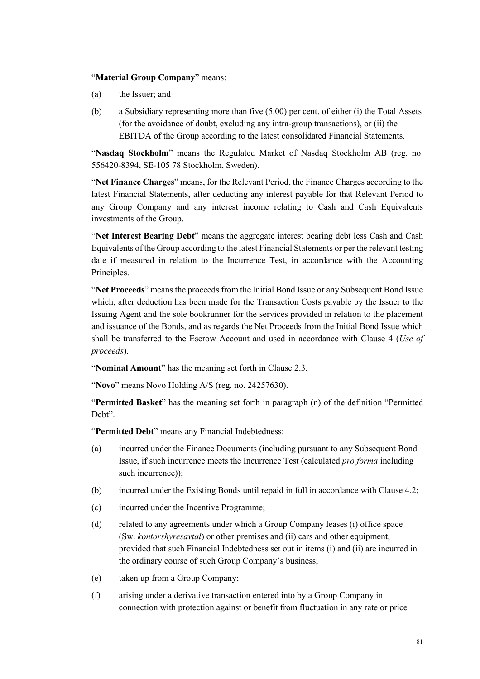#### "**Material Group Company**" means:

- (a) the Issuer; and
- (b) a Subsidiary representing more than five (5.00) per cent. of either (i) the Total Assets (for the avoidance of doubt, excluding any intra-group transactions), or (ii) the EBITDA of the Group according to the latest consolidated Financial Statements.

"**Nasdaq Stockholm**" means the Regulated Market of Nasdaq Stockholm AB (reg. no. 556420-8394, SE-105 78 Stockholm, Sweden).

"**Net Finance Charges**" means, for the Relevant Period, the Finance Charges according to the latest Financial Statements, after deducting any interest payable for that Relevant Period to any Group Company and any interest income relating to Cash and Cash Equivalents investments of the Group.

"**Net Interest Bearing Debt**" means the aggregate interest bearing debt less Cash and Cash Equivalents of the Group according to the latest Financial Statements or per the relevant testing date if measured in relation to the Incurrence Test, in accordance with the Accounting Principles.

"**Net Proceeds**" means the proceeds from the Initial Bond Issue or any Subsequent Bond Issue which, after deduction has been made for the Transaction Costs payable by the Issuer to the Issuing Agent and the sole bookrunner for the services provided in relation to the placement and issuance of the Bonds, and as regards the Net Proceeds from the Initial Bond Issue which shall be transferred to the Escrow Account and used in accordance with Clause 4 (*Use of proceeds*).

"**Nominal Amount**" has the meaning set forth in Clause 2.3.

"**Novo**" means Novo Holding A/S (reg. no. 24257630).

"**Permitted Basket**" has the meaning set forth in paragraph (n) of the definition "Permitted Deht"

"**Permitted Debt**" means any Financial Indebtedness:

- (a) incurred under the Finance Documents (including pursuant to any Subsequent Bond Issue, if such incurrence meets the Incurrence Test (calculated *pro forma* including such incurrence)):
- (b) incurred under the Existing Bonds until repaid in full in accordance with Clause 4.2;
- (c) incurred under the Incentive Programme;
- (d) related to any agreements under which a Group Company leases (i) office space (Sw. *kontorshyresavtal*) or other premises and (ii) cars and other equipment, provided that such Financial Indebtedness set out in items (i) and (ii) are incurred in the ordinary course of such Group Company's business;
- (e) taken up from a Group Company;
- (f) arising under a derivative transaction entered into by a Group Company in connection with protection against or benefit from fluctuation in any rate or price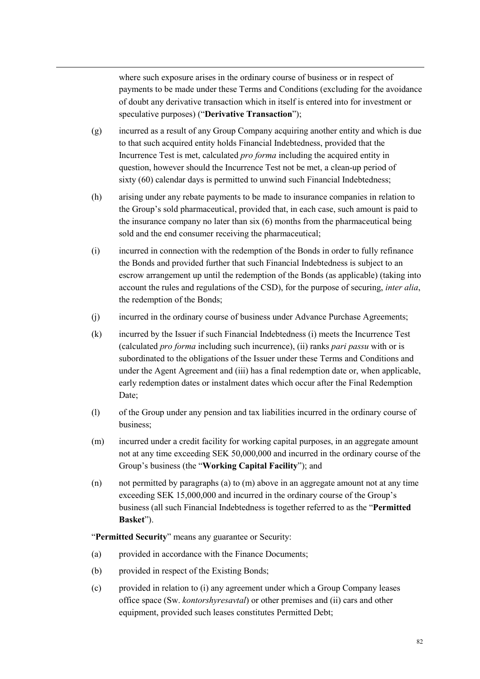where such exposure arises in the ordinary course of business or in respect of payments to be made under these Terms and Conditions (excluding for the avoidance of doubt any derivative transaction which in itself is entered into for investment or speculative purposes) ("**Derivative Transaction**");

- (g) incurred as a result of any Group Company acquiring another entity and which is due to that such acquired entity holds Financial Indebtedness, provided that the Incurrence Test is met, calculated *pro forma* including the acquired entity in question, however should the Incurrence Test not be met, a clean-up period of sixty (60) calendar days is permitted to unwind such Financial Indebtedness;
- (h) arising under any rebate payments to be made to insurance companies in relation to the Group's sold pharmaceutical, provided that, in each case, such amount is paid to the insurance company no later than six (6) months from the pharmaceutical being sold and the end consumer receiving the pharmaceutical;
- (i) incurred in connection with the redemption of the Bonds in order to fully refinance the Bonds and provided further that such Financial Indebtedness is subject to an escrow arrangement up until the redemption of the Bonds (as applicable) (taking into account the rules and regulations of the CSD), for the purpose of securing, *inter alia*, the redemption of the Bonds;
- (j) incurred in the ordinary course of business under Advance Purchase Agreements;
- (k) incurred by the Issuer if such Financial Indebtedness (i) meets the Incurrence Test (calculated *pro forma* including such incurrence), (ii) ranks *pari passu* with or is subordinated to the obligations of the Issuer under these Terms and Conditions and under the Agent Agreement and (iii) has a final redemption date or, when applicable, early redemption dates or instalment dates which occur after the Final Redemption Date;
- (l) of the Group under any pension and tax liabilities incurred in the ordinary course of business;
- (m) incurred under a credit facility for working capital purposes, in an aggregate amount not at any time exceeding SEK 50,000,000 and incurred in the ordinary course of the Group's business (the "**Working Capital Facility**"); and
- (n) not permitted by paragraphs (a) to (m) above in an aggregate amount not at any time exceeding SEK 15,000,000 and incurred in the ordinary course of the Group's business (all such Financial Indebtedness is together referred to as the "**Permitted Basket**").

"**Permitted Security**" means any guarantee or Security:

- (a) provided in accordance with the Finance Documents;
- (b) provided in respect of the Existing Bonds;
- (c) provided in relation to (i) any agreement under which a Group Company leases office space (Sw. *kontorshyresavtal*) or other premises and (ii) cars and other equipment, provided such leases constitutes Permitted Debt;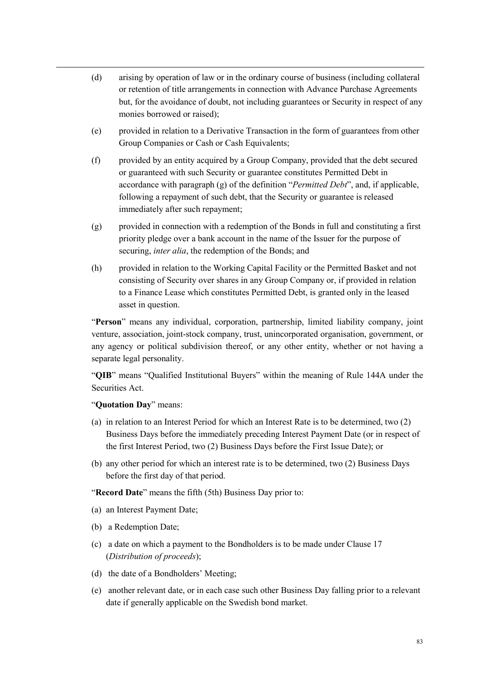- (d) arising by operation of law or in the ordinary course of business (including collateral or retention of title arrangements in connection with Advance Purchase Agreements but, for the avoidance of doubt, not including guarantees or Security in respect of any monies borrowed or raised);
- (e) provided in relation to a Derivative Transaction in the form of guarantees from other Group Companies or Cash or Cash Equivalents;
- (f) provided by an entity acquired by a Group Company, provided that the debt secured or guaranteed with such Security or guarantee constitutes Permitted Debt in accordance with paragraph (g) of the definition "*Permitted Debt*", and, if applicable, following a repayment of such debt, that the Security or guarantee is released immediately after such repayment;
- (g) provided in connection with a redemption of the Bonds in full and constituting a first priority pledge over a bank account in the name of the Issuer for the purpose of securing, *inter alia*, the redemption of the Bonds; and
- (h) provided in relation to the Working Capital Facility or the Permitted Basket and not consisting of Security over shares in any Group Company or, if provided in relation to a Finance Lease which constitutes Permitted Debt, is granted only in the leased asset in question.

"**Person**" means any individual, corporation, partnership, limited liability company, joint venture, association, joint-stock company, trust, unincorporated organisation, government, or any agency or political subdivision thereof, or any other entity, whether or not having a separate legal personality.

"**QIB**" means "Qualified Institutional Buyers" within the meaning of Rule 144A under the Securities Act.

#### "**Quotation Day**" means:

- (a) in relation to an Interest Period for which an Interest Rate is to be determined, two (2) Business Days before the immediately preceding Interest Payment Date (or in respect of the first Interest Period, two (2) Business Days before the First Issue Date); or
- (b) any other period for which an interest rate is to be determined, two (2) Business Days before the first day of that period.

"**Record Date**" means the fifth (5th) Business Day prior to:

- (a) an Interest Payment Date;
- (b) a Redemption Date;
- (c) a date on which a payment to the Bondholders is to be made under Clause 17 (*Distribution of proceeds*);
- (d) the date of a Bondholders' Meeting;
- (e) another relevant date, or in each case such other Business Day falling prior to a relevant date if generally applicable on the Swedish bond market.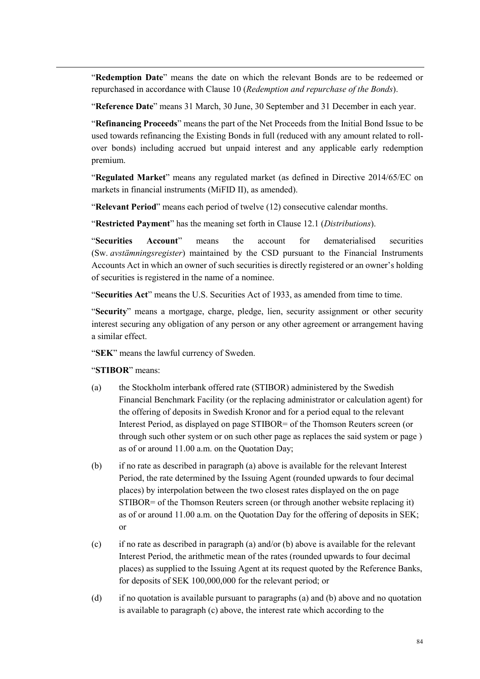"**Redemption Date**" means the date on which the relevant Bonds are to be redeemed or repurchased in accordance with Clause 10 (*Redemption and repurchase of the Bonds*).

"**Reference Date**" means 31 March, 30 June, 30 September and 31 December in each year.

"**Refinancing Proceeds**" means the part of the Net Proceeds from the Initial Bond Issue to be used towards refinancing the Existing Bonds in full (reduced with any amount related to rollover bonds) including accrued but unpaid interest and any applicable early redemption premium.

"**Regulated Market**" means any regulated market (as defined in Directive 2014/65/EC on markets in financial instruments (MiFID II), as amended).

"**Relevant Period**" means each period of twelve (12) consecutive calendar months.

"**Restricted Payment**" has the meaning set forth in Clause 12.1 (*Distributions*).

"**Securities Account**" means the account for dematerialised securities (Sw. *avstämningsregister*) maintained by the CSD pursuant to the Financial Instruments Accounts Act in which an owner of such securities is directly registered or an owner's holding of securities is registered in the name of a nominee.

"**Securities Act**" means the U.S. Securities Act of 1933, as amended from time to time.

"**Security**" means a mortgage, charge, pledge, lien, security assignment or other security interest securing any obligation of any person or any other agreement or arrangement having a similar effect.

"**SEK**" means the lawful currency of Sweden.

#### "**STIBOR**" means:

- (a) the Stockholm interbank offered rate (STIBOR) administered by the Swedish Financial Benchmark Facility (or the replacing administrator or calculation agent) for the offering of deposits in Swedish Kronor and for a period equal to the relevant Interest Period, as displayed on page STIBOR= of the Thomson Reuters screen (or through such other system or on such other page as replaces the said system or page ) as of or around 11.00 a.m. on the Quotation Day;
- (b) if no rate as described in paragraph (a) above is available for the relevant Interest Period, the rate determined by the Issuing Agent (rounded upwards to four decimal places) by interpolation between the two closest rates displayed on the on page STIBOR= of the Thomson Reuters screen (or through another website replacing it) as of or around 11.00 a.m. on the Quotation Day for the offering of deposits in SEK; or
- (c) if no rate as described in paragraph (a) and/or (b) above is available for the relevant Interest Period, the arithmetic mean of the rates (rounded upwards to four decimal places) as supplied to the Issuing Agent at its request quoted by the Reference Banks, for deposits of SEK 100,000,000 for the relevant period; or
- (d) if no quotation is available pursuant to paragraphs (a) and (b) above and no quotation is available to paragraph (c) above, the interest rate which according to the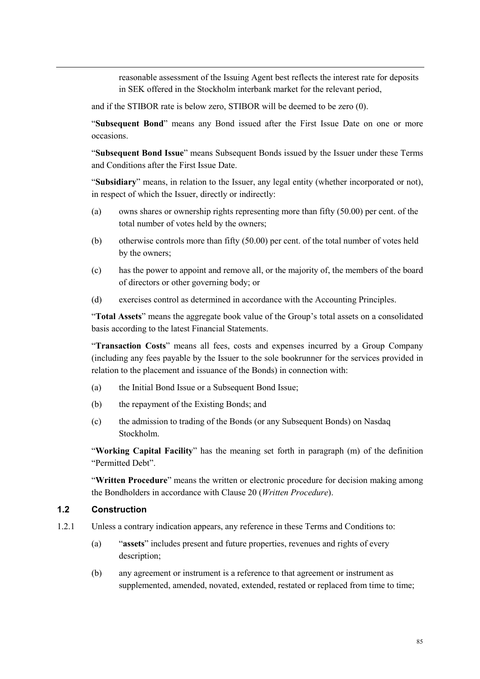reasonable assessment of the Issuing Agent best reflects the interest rate for deposits in SEK offered in the Stockholm interbank market for the relevant period,

and if the STIBOR rate is below zero, STIBOR will be deemed to be zero (0).

"**Subsequent Bond**" means any Bond issued after the First Issue Date on one or more occasions.

"**Subsequent Bond Issue**" means Subsequent Bonds issued by the Issuer under these Terms and Conditions after the First Issue Date.

"**Subsidiary**" means, in relation to the Issuer, any legal entity (whether incorporated or not), in respect of which the Issuer, directly or indirectly:

- (a) owns shares or ownership rights representing more than fifty (50.00) per cent. of the total number of votes held by the owners;
- (b) otherwise controls more than fifty (50.00) per cent. of the total number of votes held by the owners;
- (c) has the power to appoint and remove all, or the majority of, the members of the board of directors or other governing body; or
- (d) exercises control as determined in accordance with the Accounting Principles.

"**Total Assets**" means the aggregate book value of the Group's total assets on a consolidated basis according to the latest Financial Statements.

"**Transaction Costs**" means all fees, costs and expenses incurred by a Group Company (including any fees payable by the Issuer to the sole bookrunner for the services provided in relation to the placement and issuance of the Bonds) in connection with:

- (a) the Initial Bond Issue or a Subsequent Bond Issue;
- (b) the repayment of the Existing Bonds; and
- (c) the admission to trading of the Bonds (or any Subsequent Bonds) on Nasdaq Stockholm.

"**Working Capital Facility**" has the meaning set forth in paragraph (m) of the definition "Permitted Debt".

"**Written Procedure**" means the written or electronic procedure for decision making among the Bondholders in accordance with Clause 20 (*Written Procedure*).

#### **1.2 Construction**

- 1.2.1 Unless a contrary indication appears, any reference in these Terms and Conditions to:
	- (a) "**assets**" includes present and future properties, revenues and rights of every description;
	- (b) any agreement or instrument is a reference to that agreement or instrument as supplemented, amended, novated, extended, restated or replaced from time to time;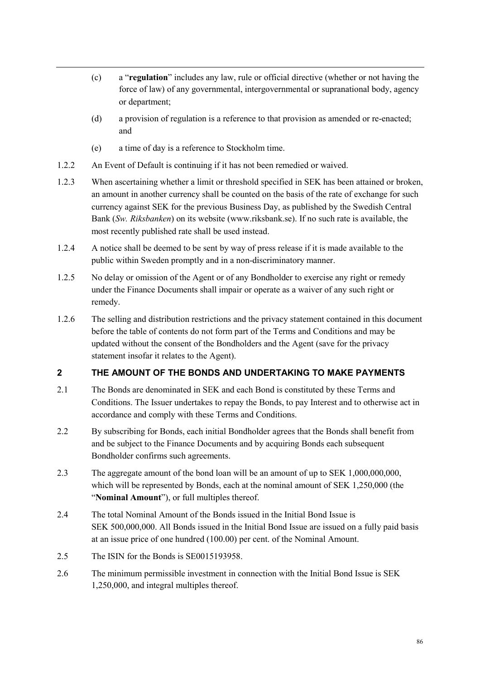- (c) a "**regulation**" includes any law, rule or official directive (whether or not having the force of law) of any governmental, intergovernmental or supranational body, agency or department;
- (d) a provision of regulation is a reference to that provision as amended or re-enacted; and
- (e) a time of day is a reference to Stockholm time.
- 1.2.2 An Event of Default is continuing if it has not been remedied or waived.
- 1.2.3 When ascertaining whether a limit or threshold specified in SEK has been attained or broken, an amount in another currency shall be counted on the basis of the rate of exchange for such currency against SEK for the previous Business Day, as published by the Swedish Central Bank (*Sw. Riksbanken*) on its website (www.riksbank.se). If no such rate is available, the most recently published rate shall be used instead.
- 1.2.4 A notice shall be deemed to be sent by way of press release if it is made available to the public within Sweden promptly and in a non-discriminatory manner.
- 1.2.5 No delay or omission of the Agent or of any Bondholder to exercise any right or remedy under the Finance Documents shall impair or operate as a waiver of any such right or remedy.
- 1.2.6 The selling and distribution restrictions and the privacy statement contained in this document before the table of contents do not form part of the Terms and Conditions and may be updated without the consent of the Bondholders and the Agent (save for the privacy statement insofar it relates to the Agent).

# **2 THE AMOUNT OF THE BONDS AND UNDERTAKING TO MAKE PAYMENTS**

- 2.1 The Bonds are denominated in SEK and each Bond is constituted by these Terms and Conditions. The Issuer undertakes to repay the Bonds, to pay Interest and to otherwise act in accordance and comply with these Terms and Conditions.
- 2.2 By subscribing for Bonds, each initial Bondholder agrees that the Bonds shall benefit from and be subject to the Finance Documents and by acquiring Bonds each subsequent Bondholder confirms such agreements.
- 2.3 The aggregate amount of the bond loan will be an amount of up to SEK 1,000,000,000, which will be represented by Bonds, each at the nominal amount of SEK 1,250,000 (the "**Nominal Amount**"), or full multiples thereof.
- 2.4 The total Nominal Amount of the Bonds issued in the Initial Bond Issue is SEK 500,000,000. All Bonds issued in the Initial Bond Issue are issued on a fully paid basis at an issue price of one hundred (100.00) per cent. of the Nominal Amount.
- 2.5 The ISIN for the Bonds is SE0015193958.
- 2.6 The minimum permissible investment in connection with the Initial Bond Issue is SEK 1,250,000, and integral multiples thereof.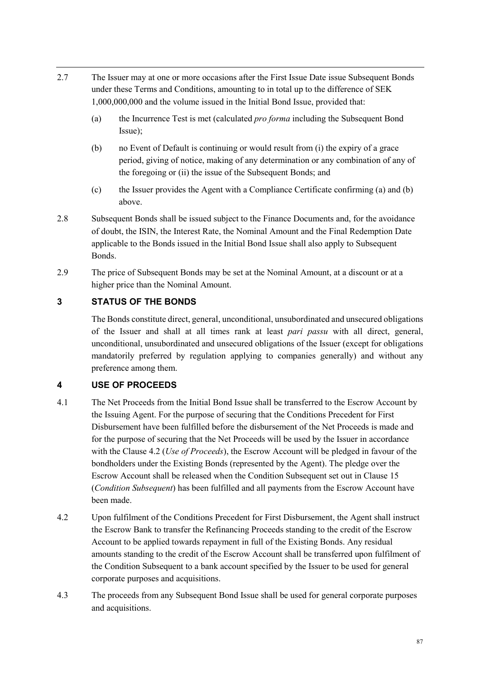- 2.7 The Issuer may at one or more occasions after the First Issue Date issue Subsequent Bonds under these Terms and Conditions, amounting to in total up to the difference of SEK 1,000,000,000 and the volume issued in the Initial Bond Issue, provided that:
	- (a) the Incurrence Test is met (calculated *pro forma* including the Subsequent Bond Issue);
	- (b) no Event of Default is continuing or would result from (i) the expiry of a grace period, giving of notice, making of any determination or any combination of any of the foregoing or (ii) the issue of the Subsequent Bonds; and
	- (c) the Issuer provides the Agent with a Compliance Certificate confirming (a) and (b) above.
- 2.8 Subsequent Bonds shall be issued subject to the Finance Documents and, for the avoidance of doubt, the ISIN, the Interest Rate, the Nominal Amount and the Final Redemption Date applicable to the Bonds issued in the Initial Bond Issue shall also apply to Subsequent Bonds.
- 2.9 The price of Subsequent Bonds may be set at the Nominal Amount, at a discount or at a higher price than the Nominal Amount.

# **3 STATUS OF THE BONDS**

The Bonds constitute direct, general, unconditional, unsubordinated and unsecured obligations of the Issuer and shall at all times rank at least *pari passu* with all direct, general, unconditional, unsubordinated and unsecured obligations of the Issuer (except for obligations mandatorily preferred by regulation applying to companies generally) and without any preference among them.

## **4 USE OF PROCEEDS**

- 4.1 The Net Proceeds from the Initial Bond Issue shall be transferred to the Escrow Account by the Issuing Agent. For the purpose of securing that the Conditions Precedent for First Disbursement have been fulfilled before the disbursement of the Net Proceeds is made and for the purpose of securing that the Net Proceeds will be used by the Issuer in accordance with the Clause 4.2 (*Use of Proceeds*), the Escrow Account will be pledged in favour of the bondholders under the Existing Bonds (represented by the Agent). The pledge over the Escrow Account shall be released when the Condition Subsequent set out in Clause 15 (*Condition Subsequent*) has been fulfilled and all payments from the Escrow Account have been made.
- 4.2 Upon fulfilment of the Conditions Precedent for First Disbursement, the Agent shall instruct the Escrow Bank to transfer the Refinancing Proceeds standing to the credit of the Escrow Account to be applied towards repayment in full of the Existing Bonds. Any residual amounts standing to the credit of the Escrow Account shall be transferred upon fulfilment of the Condition Subsequent to a bank account specified by the Issuer to be used for general corporate purposes and acquisitions.
- 4.3 The proceeds from any Subsequent Bond Issue shall be used for general corporate purposes and acquisitions.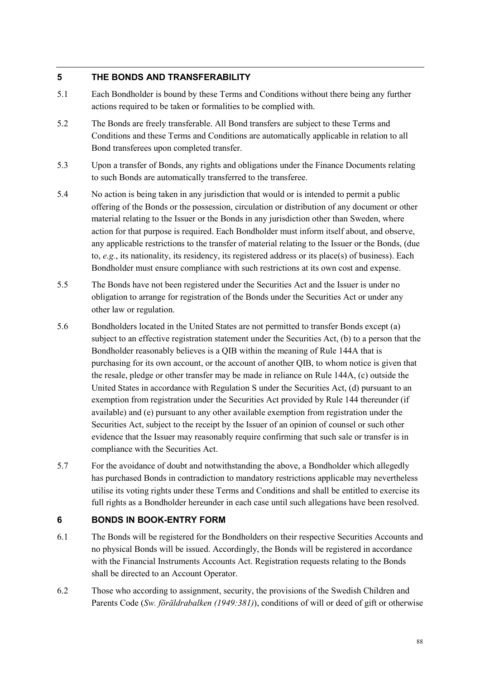## **5 THE BONDS AND TRANSFERABILITY**

- 5.1 Each Bondholder is bound by these Terms and Conditions without there being any further actions required to be taken or formalities to be complied with.
- 5.2 The Bonds are freely transferable. All Bond transfers are subject to these Terms and Conditions and these Terms and Conditions are automatically applicable in relation to all Bond transferees upon completed transfer.
- 5.3 Upon a transfer of Bonds, any rights and obligations under the Finance Documents relating to such Bonds are automatically transferred to the transferee.
- 5.4 No action is being taken in any jurisdiction that would or is intended to permit a public offering of the Bonds or the possession, circulation or distribution of any document or other material relating to the Issuer or the Bonds in any jurisdiction other than Sweden, where action for that purpose is required. Each Bondholder must inform itself about, and observe, any applicable restrictions to the transfer of material relating to the Issuer or the Bonds, (due to, *e.g.*, its nationality, its residency, its registered address or its place(s) of business). Each Bondholder must ensure compliance with such restrictions at its own cost and expense.
- 5.5 The Bonds have not been registered under the Securities Act and the Issuer is under no obligation to arrange for registration of the Bonds under the Securities Act or under any other law or regulation.
- 5.6 Bondholders located in the United States are not permitted to transfer Bonds except (a) subject to an effective registration statement under the Securities Act, (b) to a person that the Bondholder reasonably believes is a QIB within the meaning of Rule 144A that is purchasing for its own account, or the account of another QIB, to whom notice is given that the resale, pledge or other transfer may be made in reliance on Rule 144A, (c) outside the United States in accordance with Regulation S under the Securities Act, (d) pursuant to an exemption from registration under the Securities Act provided by Rule 144 thereunder (if available) and (e) pursuant to any other available exemption from registration under the Securities Act, subject to the receipt by the Issuer of an opinion of counsel or such other evidence that the Issuer may reasonably require confirming that such sale or transfer is in compliance with the Securities Act.
- 5.7 For the avoidance of doubt and notwithstanding the above, a Bondholder which allegedly has purchased Bonds in contradiction to mandatory restrictions applicable may nevertheless utilise its voting rights under these Terms and Conditions and shall be entitled to exercise its full rights as a Bondholder hereunder in each case until such allegations have been resolved.

## **6 BONDS IN BOOK-ENTRY FORM**

- 6.1 The Bonds will be registered for the Bondholders on their respective Securities Accounts and no physical Bonds will be issued. Accordingly, the Bonds will be registered in accordance with the Financial Instruments Accounts Act. Registration requests relating to the Bonds shall be directed to an Account Operator.
- 6.2 Those who according to assignment, security, the provisions of the Swedish Children and Parents Code (*Sw. föräldrabalken (1949:381)*), conditions of will or deed of gift or otherwise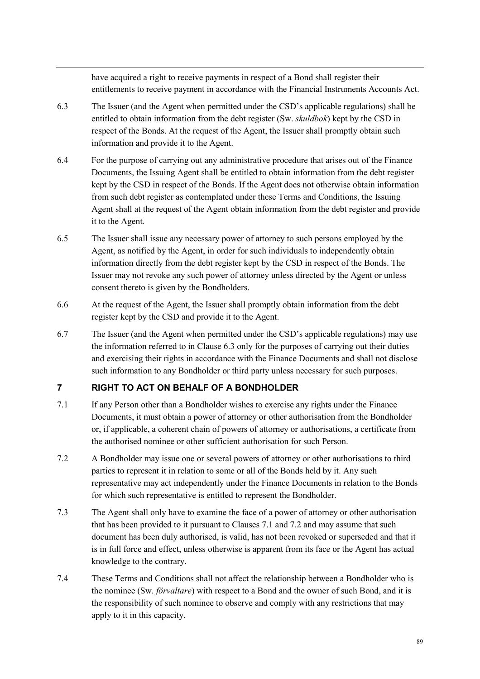have acquired a right to receive payments in respect of a Bond shall register their entitlements to receive payment in accordance with the Financial Instruments Accounts Act.

- 6.3 The Issuer (and the Agent when permitted under the CSD's applicable regulations) shall be entitled to obtain information from the debt register (Sw. *skuldbok*) kept by the CSD in respect of the Bonds. At the request of the Agent, the Issuer shall promptly obtain such information and provide it to the Agent.
- 6.4 For the purpose of carrying out any administrative procedure that arises out of the Finance Documents, the Issuing Agent shall be entitled to obtain information from the debt register kept by the CSD in respect of the Bonds. If the Agent does not otherwise obtain information from such debt register as contemplated under these Terms and Conditions, the Issuing Agent shall at the request of the Agent obtain information from the debt register and provide it to the Agent.
- 6.5 The Issuer shall issue any necessary power of attorney to such persons employed by the Agent, as notified by the Agent, in order for such individuals to independently obtain information directly from the debt register kept by the CSD in respect of the Bonds. The Issuer may not revoke any such power of attorney unless directed by the Agent or unless consent thereto is given by the Bondholders.
- 6.6 At the request of the Agent, the Issuer shall promptly obtain information from the debt register kept by the CSD and provide it to the Agent.
- 6.7 The Issuer (and the Agent when permitted under the CSD's applicable regulations) may use the information referred to in Clause 6.3 only for the purposes of carrying out their duties and exercising their rights in accordance with the Finance Documents and shall not disclose such information to any Bondholder or third party unless necessary for such purposes.

# **7 RIGHT TO ACT ON BEHALF OF A BONDHOLDER**

- 7.1 If any Person other than a Bondholder wishes to exercise any rights under the Finance Documents, it must obtain a power of attorney or other authorisation from the Bondholder or, if applicable, a coherent chain of powers of attorney or authorisations, a certificate from the authorised nominee or other sufficient authorisation for such Person.
- 7.2 A Bondholder may issue one or several powers of attorney or other authorisations to third parties to represent it in relation to some or all of the Bonds held by it. Any such representative may act independently under the Finance Documents in relation to the Bonds for which such representative is entitled to represent the Bondholder.
- 7.3 The Agent shall only have to examine the face of a power of attorney or other authorisation that has been provided to it pursuant to Clauses 7.1 and 7.2 and may assume that such document has been duly authorised, is valid, has not been revoked or superseded and that it is in full force and effect, unless otherwise is apparent from its face or the Agent has actual knowledge to the contrary.
- 7.4 These Terms and Conditions shall not affect the relationship between a Bondholder who is the nominee (Sw. *förvaltare*) with respect to a Bond and the owner of such Bond, and it is the responsibility of such nominee to observe and comply with any restrictions that may apply to it in this capacity.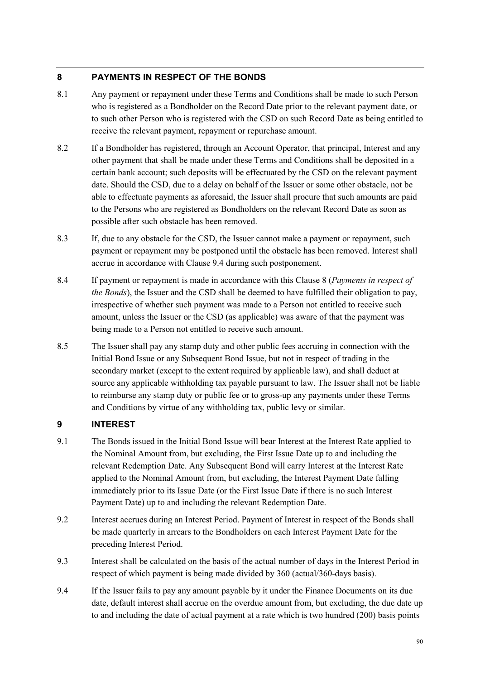# **8 PAYMENTS IN RESPECT OF THE BONDS**

- 8.1 Any payment or repayment under these Terms and Conditions shall be made to such Person who is registered as a Bondholder on the Record Date prior to the relevant payment date, or to such other Person who is registered with the CSD on such Record Date as being entitled to receive the relevant payment, repayment or repurchase amount.
- 8.2 If a Bondholder has registered, through an Account Operator, that principal, Interest and any other payment that shall be made under these Terms and Conditions shall be deposited in a certain bank account; such deposits will be effectuated by the CSD on the relevant payment date. Should the CSD, due to a delay on behalf of the Issuer or some other obstacle, not be able to effectuate payments as aforesaid, the Issuer shall procure that such amounts are paid to the Persons who are registered as Bondholders on the relevant Record Date as soon as possible after such obstacle has been removed.
- 8.3 If, due to any obstacle for the CSD, the Issuer cannot make a payment or repayment, such payment or repayment may be postponed until the obstacle has been removed. Interest shall accrue in accordance with Clause 9.4 during such postponement.
- 8.4 If payment or repayment is made in accordance with this Clause 8 (*Payments in respect of the Bonds*), the Issuer and the CSD shall be deemed to have fulfilled their obligation to pay, irrespective of whether such payment was made to a Person not entitled to receive such amount, unless the Issuer or the CSD (as applicable) was aware of that the payment was being made to a Person not entitled to receive such amount.
- 8.5 The Issuer shall pay any stamp duty and other public fees accruing in connection with the Initial Bond Issue or any Subsequent Bond Issue, but not in respect of trading in the secondary market (except to the extent required by applicable law), and shall deduct at source any applicable withholding tax payable pursuant to law. The Issuer shall not be liable to reimburse any stamp duty or public fee or to gross-up any payments under these Terms and Conditions by virtue of any withholding tax, public levy or similar.

# **9 INTEREST**

- 9.1 The Bonds issued in the Initial Bond Issue will bear Interest at the Interest Rate applied to the Nominal Amount from, but excluding, the First Issue Date up to and including the relevant Redemption Date. Any Subsequent Bond will carry Interest at the Interest Rate applied to the Nominal Amount from, but excluding, the Interest Payment Date falling immediately prior to its Issue Date (or the First Issue Date if there is no such Interest Payment Date) up to and including the relevant Redemption Date.
- 9.2 Interest accrues during an Interest Period. Payment of Interest in respect of the Bonds shall be made quarterly in arrears to the Bondholders on each Interest Payment Date for the preceding Interest Period.
- 9.3 Interest shall be calculated on the basis of the actual number of days in the Interest Period in respect of which payment is being made divided by 360 (actual/360-days basis).
- 9.4 If the Issuer fails to pay any amount payable by it under the Finance Documents on its due date, default interest shall accrue on the overdue amount from, but excluding, the due date up to and including the date of actual payment at a rate which is two hundred (200) basis points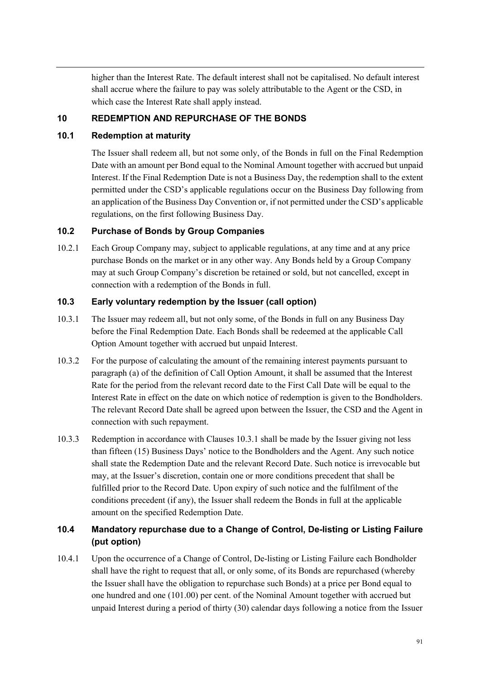higher than the Interest Rate. The default interest shall not be capitalised. No default interest shall accrue where the failure to pay was solely attributable to the Agent or the CSD, in which case the Interest Rate shall apply instead.

## **10 REDEMPTION AND REPURCHASE OF THE BONDS**

## **10.1 Redemption at maturity**

The Issuer shall redeem all, but not some only, of the Bonds in full on the Final Redemption Date with an amount per Bond equal to the Nominal Amount together with accrued but unpaid Interest. If the Final Redemption Date is not a Business Day, the redemption shall to the extent permitted under the CSD's applicable regulations occur on the Business Day following from an application of the Business Day Convention or, if not permitted under the CSD's applicable regulations, on the first following Business Day.

## **10.2 Purchase of Bonds by Group Companies**

10.2.1 Each Group Company may, subject to applicable regulations, at any time and at any price purchase Bonds on the market or in any other way. Any Bonds held by a Group Company may at such Group Company's discretion be retained or sold, but not cancelled, except in connection with a redemption of the Bonds in full.

## **10.3 Early voluntary redemption by the Issuer (call option)**

- 10.3.1 The Issuer may redeem all, but not only some, of the Bonds in full on any Business Day before the Final Redemption Date. Each Bonds shall be redeemed at the applicable Call Option Amount together with accrued but unpaid Interest.
- 10.3.2 For the purpose of calculating the amount of the remaining interest payments pursuant to paragraph (a) of the definition of Call Option Amount, it shall be assumed that the Interest Rate for the period from the relevant record date to the First Call Date will be equal to the Interest Rate in effect on the date on which notice of redemption is given to the Bondholders. The relevant Record Date shall be agreed upon between the Issuer, the CSD and the Agent in connection with such repayment.
- 10.3.3 Redemption in accordance with Clauses 10.3.1 shall be made by the Issuer giving not less than fifteen (15) Business Days' notice to the Bondholders and the Agent. Any such notice shall state the Redemption Date and the relevant Record Date. Such notice is irrevocable but may, at the Issuer's discretion, contain one or more conditions precedent that shall be fulfilled prior to the Record Date. Upon expiry of such notice and the fulfilment of the conditions precedent (if any), the Issuer shall redeem the Bonds in full at the applicable amount on the specified Redemption Date.

# **10.4 Mandatory repurchase due to a Change of Control, De-listing or Listing Failure (put option)**

10.4.1 Upon the occurrence of a Change of Control, De-listing or Listing Failure each Bondholder shall have the right to request that all, or only some, of its Bonds are repurchased (whereby the Issuer shall have the obligation to repurchase such Bonds) at a price per Bond equal to one hundred and one (101.00) per cent. of the Nominal Amount together with accrued but unpaid Interest during a period of thirty (30) calendar days following a notice from the Issuer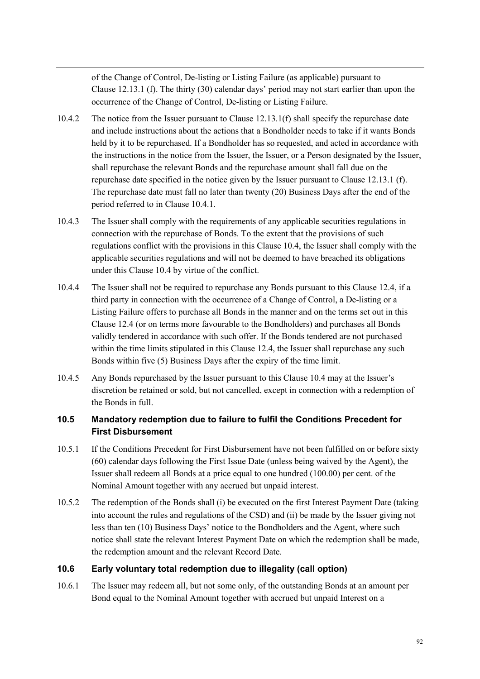of the Change of Control, De-listing or Listing Failure (as applicable) pursuant to Clause 12.13.1 (f). The thirty (30) calendar days' period may not start earlier than upon the occurrence of the Change of Control, De-listing or Listing Failure.

- 10.4.2 The notice from the Issuer pursuant to Clause 12.13.1(f) shall specify the repurchase date and include instructions about the actions that a Bondholder needs to take if it wants Bonds held by it to be repurchased. If a Bondholder has so requested, and acted in accordance with the instructions in the notice from the Issuer, the Issuer, or a Person designated by the Issuer, shall repurchase the relevant Bonds and the repurchase amount shall fall due on the repurchase date specified in the notice given by the Issuer pursuant to Clause 12.13.1 (f). The repurchase date must fall no later than twenty (20) Business Days after the end of the period referred to in Clause 10.4.1.
- 10.4.3 The Issuer shall comply with the requirements of any applicable securities regulations in connection with the repurchase of Bonds. To the extent that the provisions of such regulations conflict with the provisions in this Clause 10.4, the Issuer shall comply with the applicable securities regulations and will not be deemed to have breached its obligations under this Clause 10.4 by virtue of the conflict.
- 10.4.4 The Issuer shall not be required to repurchase any Bonds pursuant to this Clause 12.4, if a third party in connection with the occurrence of a Change of Control, a De-listing or a Listing Failure offers to purchase all Bonds in the manner and on the terms set out in this Clause 12.4 (or on terms more favourable to the Bondholders) and purchases all Bonds validly tendered in accordance with such offer. If the Bonds tendered are not purchased within the time limits stipulated in this Clause 12.4, the Issuer shall repurchase any such Bonds within five (5) Business Days after the expiry of the time limit.
- 10.4.5 Any Bonds repurchased by the Issuer pursuant to this Clause 10.4 may at the Issuer's discretion be retained or sold, but not cancelled, except in connection with a redemption of the Bonds in full.

# **10.5 Mandatory redemption due to failure to fulfil the Conditions Precedent for First Disbursement**

- 10.5.1 If the Conditions Precedent for First Disbursement have not been fulfilled on or before sixty (60) calendar days following the First Issue Date (unless being waived by the Agent), the Issuer shall redeem all Bonds at a price equal to one hundred (100.00) per cent. of the Nominal Amount together with any accrued but unpaid interest.
- 10.5.2 The redemption of the Bonds shall (i) be executed on the first Interest Payment Date (taking into account the rules and regulations of the CSD) and (ii) be made by the Issuer giving not less than ten (10) Business Days' notice to the Bondholders and the Agent, where such notice shall state the relevant Interest Payment Date on which the redemption shall be made, the redemption amount and the relevant Record Date.

# **10.6 Early voluntary total redemption due to illegality (call option)**

10.6.1 The Issuer may redeem all, but not some only, of the outstanding Bonds at an amount per Bond equal to the Nominal Amount together with accrued but unpaid Interest on a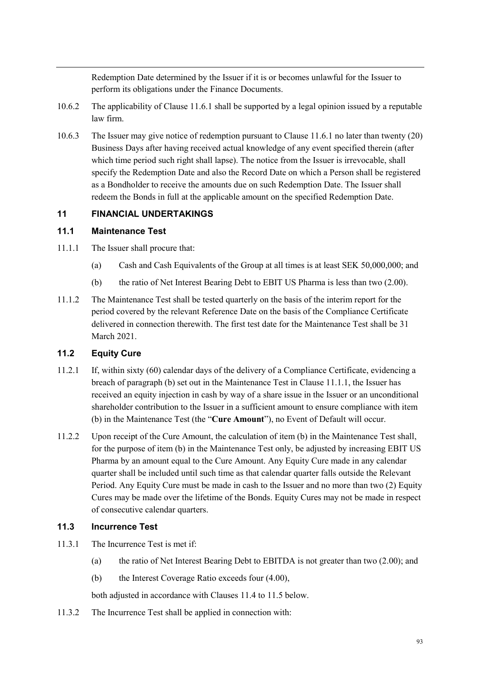Redemption Date determined by the Issuer if it is or becomes unlawful for the Issuer to perform its obligations under the Finance Documents.

- 10.6.2 The applicability of Clause 11.6.1 shall be supported by a legal opinion issued by a reputable law firm.
- 10.6.3 The Issuer may give notice of redemption pursuant to Clause 11.6.1 no later than twenty (20) Business Days after having received actual knowledge of any event specified therein (after which time period such right shall lapse). The notice from the Issuer is irrevocable, shall specify the Redemption Date and also the Record Date on which a Person shall be registered as a Bondholder to receive the amounts due on such Redemption Date. The Issuer shall redeem the Bonds in full at the applicable amount on the specified Redemption Date.

## **11 FINANCIAL UNDERTAKINGS**

## **11.1 Maintenance Test**

- 11.1.1 The Issuer shall procure that:
	- (a) Cash and Cash Equivalents of the Group at all times is at least SEK 50,000,000; and
	- (b) the ratio of Net Interest Bearing Debt to EBIT US Pharma is less than two (2.00).
- 11.1.2 The Maintenance Test shall be tested quarterly on the basis of the interim report for the period covered by the relevant Reference Date on the basis of the Compliance Certificate delivered in connection therewith. The first test date for the Maintenance Test shall be 31 March 2021.

# **11.2 Equity Cure**

- 11.2.1 If, within sixty (60) calendar days of the delivery of a Compliance Certificate, evidencing a breach of paragraph (b) set out in the Maintenance Test in Clause 11.1.1, the Issuer has received an equity injection in cash by way of a share issue in the Issuer or an unconditional shareholder contribution to the Issuer in a sufficient amount to ensure compliance with item (b) in the Maintenance Test (the "**Cure Amount**"), no Event of Default will occur.
- 11.2.2 Upon receipt of the Cure Amount, the calculation of item (b) in the Maintenance Test shall, for the purpose of item (b) in the Maintenance Test only, be adjusted by increasing EBIT US Pharma by an amount equal to the Cure Amount. Any Equity Cure made in any calendar quarter shall be included until such time as that calendar quarter falls outside the Relevant Period. Any Equity Cure must be made in cash to the Issuer and no more than two (2) Equity Cures may be made over the lifetime of the Bonds. Equity Cures may not be made in respect of consecutive calendar quarters.

## **11.3 Incurrence Test**

- 11.3.1 The Incurrence Test is met if:
	- (a) the ratio of Net Interest Bearing Debt to EBITDA is not greater than two (2.00); and
	- (b) the Interest Coverage Ratio exceeds four (4.00),

both adjusted in accordance with Clauses 11.4 to 11.5 below.

11.3.2 The Incurrence Test shall be applied in connection with: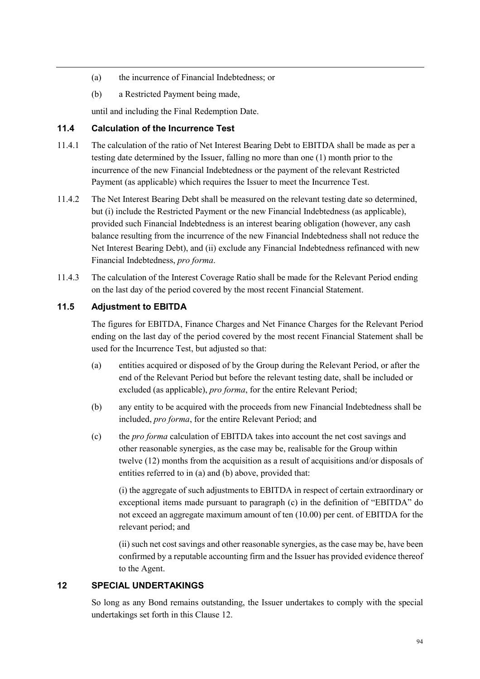- (a) the incurrence of Financial Indebtedness; or
- (b) a Restricted Payment being made,

until and including the Final Redemption Date.

# **11.4 Calculation of the Incurrence Test**

- 11.4.1 The calculation of the ratio of Net Interest Bearing Debt to EBITDA shall be made as per a testing date determined by the Issuer, falling no more than one (1) month prior to the incurrence of the new Financial Indebtedness or the payment of the relevant Restricted Payment (as applicable) which requires the Issuer to meet the Incurrence Test.
- 11.4.2 The Net Interest Bearing Debt shall be measured on the relevant testing date so determined, but (i) include the Restricted Payment or the new Financial Indebtedness (as applicable), provided such Financial Indebtedness is an interest bearing obligation (however, any cash balance resulting from the incurrence of the new Financial Indebtedness shall not reduce the Net Interest Bearing Debt), and (ii) exclude any Financial Indebtedness refinanced with new Financial Indebtedness, *pro forma*.
- 11.4.3 The calculation of the Interest Coverage Ratio shall be made for the Relevant Period ending on the last day of the period covered by the most recent Financial Statement.

# **11.5 Adjustment to EBITDA**

The figures for EBITDA, Finance Charges and Net Finance Charges for the Relevant Period ending on the last day of the period covered by the most recent Financial Statement shall be used for the Incurrence Test, but adjusted so that:

- (a) entities acquired or disposed of by the Group during the Relevant Period, or after the end of the Relevant Period but before the relevant testing date, shall be included or excluded (as applicable), *pro forma*, for the entire Relevant Period;
- (b) any entity to be acquired with the proceeds from new Financial Indebtedness shall be included, *pro forma*, for the entire Relevant Period; and
- (c) the *pro forma* calculation of EBITDA takes into account the net cost savings and other reasonable synergies, as the case may be, realisable for the Group within twelve (12) months from the acquisition as a result of acquisitions and/or disposals of entities referred to in (a) and (b) above, provided that:

(i) the aggregate of such adjustments to EBITDA in respect of certain extraordinary or exceptional items made pursuant to paragraph (c) in the definition of "EBITDA" do not exceed an aggregate maximum amount of ten (10.00) per cent. of EBITDA for the relevant period; and

(ii) such net cost savings and other reasonable synergies, as the case may be, have been confirmed by a reputable accounting firm and the Issuer has provided evidence thereof to the Agent.

# **12 SPECIAL UNDERTAKINGS**

So long as any Bond remains outstanding, the Issuer undertakes to comply with the special undertakings set forth in this Clause 12.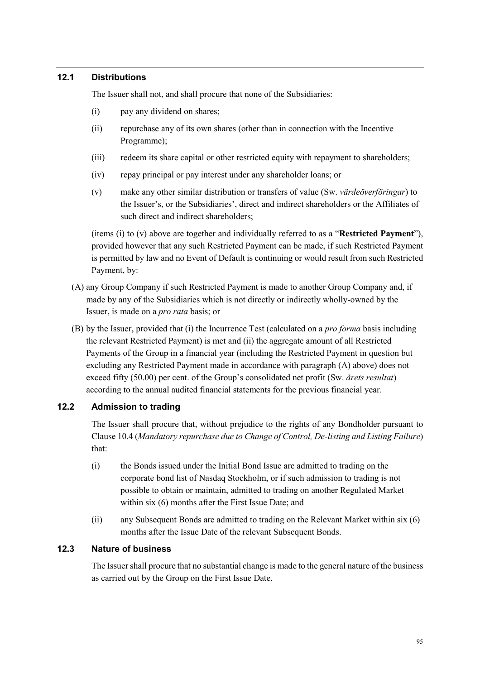## **12.1 Distributions**

The Issuer shall not, and shall procure that none of the Subsidiaries:

- (i) pay any dividend on shares;
- (ii) repurchase any of its own shares (other than in connection with the Incentive Programme);
- (iii) redeem its share capital or other restricted equity with repayment to shareholders;
- (iv) repay principal or pay interest under any shareholder loans; or
- (v) make any other similar distribution or transfers of value (Sw. *värdeöverföringar*) to the Issuer's, or the Subsidiaries', direct and indirect shareholders or the Affiliates of such direct and indirect shareholders;

(items (i) to (v) above are together and individually referred to as a "**Restricted Payment**"), provided however that any such Restricted Payment can be made, if such Restricted Payment is permitted by law and no Event of Default is continuing or would result from such Restricted Payment, by:

- (A) any Group Company if such Restricted Payment is made to another Group Company and, if made by any of the Subsidiaries which is not directly or indirectly wholly-owned by the Issuer, is made on a *pro rata* basis; or
- (B) by the Issuer, provided that (i) the Incurrence Test (calculated on a *pro forma* basis including the relevant Restricted Payment) is met and (ii) the aggregate amount of all Restricted Payments of the Group in a financial year (including the Restricted Payment in question but excluding any Restricted Payment made in accordance with paragraph (A) above) does not exceed fifty (50.00) per cent. of the Group's consolidated net profit (Sw. *årets resultat*) according to the annual audited financial statements for the previous financial year.

## **12.2 Admission to trading**

The Issuer shall procure that, without prejudice to the rights of any Bondholder pursuant to Clause 10.4 (*Mandatory repurchase due to Change of Control, De-listing and Listing Failure*) that:

- (i) the Bonds issued under the Initial Bond Issue are admitted to trading on the corporate bond list of Nasdaq Stockholm, or if such admission to trading is not possible to obtain or maintain, admitted to trading on another Regulated Market within six (6) months after the First Issue Date; and
- (ii) any Subsequent Bonds are admitted to trading on the Relevant Market within six (6) months after the Issue Date of the relevant Subsequent Bonds.

### **12.3 Nature of business**

The Issuer shall procure that no substantial change is made to the general nature of the business as carried out by the Group on the First Issue Date.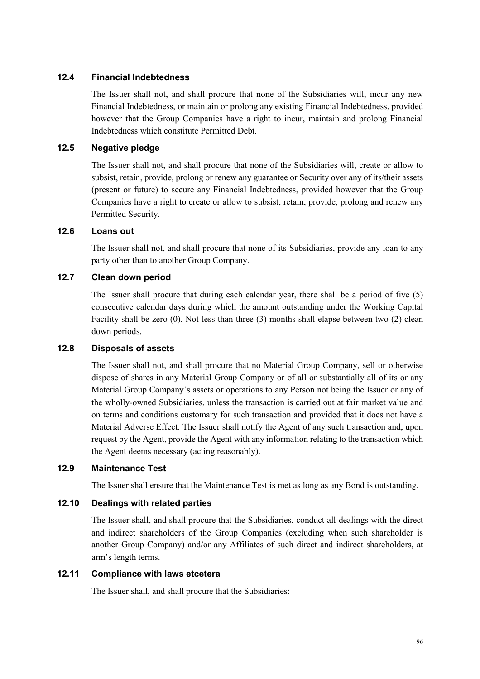### **12.4 Financial Indebtedness**

The Issuer shall not, and shall procure that none of the Subsidiaries will, incur any new Financial Indebtedness, or maintain or prolong any existing Financial Indebtedness, provided however that the Group Companies have a right to incur, maintain and prolong Financial Indebtedness which constitute Permitted Debt.

## **12.5 Negative pledge**

The Issuer shall not, and shall procure that none of the Subsidiaries will, create or allow to subsist, retain, provide, prolong or renew any guarantee or Security over any of its/their assets (present or future) to secure any Financial Indebtedness, provided however that the Group Companies have a right to create or allow to subsist, retain, provide, prolong and renew any Permitted Security.

#### **12.6 Loans out**

The Issuer shall not, and shall procure that none of its Subsidiaries, provide any loan to any party other than to another Group Company.

## **12.7 Clean down period**

The Issuer shall procure that during each calendar year, there shall be a period of five (5) consecutive calendar days during which the amount outstanding under the Working Capital Facility shall be zero (0). Not less than three (3) months shall elapse between two (2) clean down periods.

#### **12.8 Disposals of assets**

The Issuer shall not, and shall procure that no Material Group Company, sell or otherwise dispose of shares in any Material Group Company or of all or substantially all of its or any Material Group Company's assets or operations to any Person not being the Issuer or any of the wholly-owned Subsidiaries, unless the transaction is carried out at fair market value and on terms and conditions customary for such transaction and provided that it does not have a Material Adverse Effect. The Issuer shall notify the Agent of any such transaction and, upon request by the Agent, provide the Agent with any information relating to the transaction which the Agent deems necessary (acting reasonably).

## **12.9 Maintenance Test**

The Issuer shall ensure that the Maintenance Test is met as long as any Bond is outstanding.

## **12.10 Dealings with related parties**

The Issuer shall, and shall procure that the Subsidiaries, conduct all dealings with the direct and indirect shareholders of the Group Companies (excluding when such shareholder is another Group Company) and/or any Affiliates of such direct and indirect shareholders, at arm's length terms.

#### **12.11 Compliance with laws etcetera**

The Issuer shall, and shall procure that the Subsidiaries: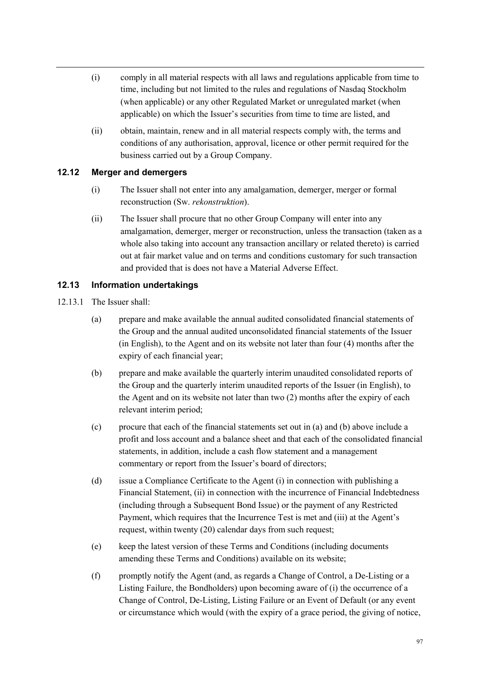- (i) comply in all material respects with all laws and regulations applicable from time to time, including but not limited to the rules and regulations of Nasdaq Stockholm (when applicable) or any other Regulated Market or unregulated market (when applicable) on which the Issuer's securities from time to time are listed, and
- (ii) obtain, maintain, renew and in all material respects comply with, the terms and conditions of any authorisation, approval, licence or other permit required for the business carried out by a Group Company.

## **12.12 Merger and demergers**

- (i) The Issuer shall not enter into any amalgamation, demerger, merger or formal reconstruction (Sw. *rekonstruktion*).
- (ii) The Issuer shall procure that no other Group Company will enter into any amalgamation, demerger, merger or reconstruction, unless the transaction (taken as a whole also taking into account any transaction ancillary or related thereto) is carried out at fair market value and on terms and conditions customary for such transaction and provided that is does not have a Material Adverse Effect.

# **12.13 Information undertakings**

- 12.13.1 The Issuer shall:
	- (a) prepare and make available the annual audited consolidated financial statements of the Group and the annual audited unconsolidated financial statements of the Issuer (in English), to the Agent and on its website not later than four (4) months after the expiry of each financial year;
	- (b) prepare and make available the quarterly interim unaudited consolidated reports of the Group and the quarterly interim unaudited reports of the Issuer (in English), to the Agent and on its website not later than two (2) months after the expiry of each relevant interim period;
	- (c) procure that each of the financial statements set out in (a) and (b) above include a profit and loss account and a balance sheet and that each of the consolidated financial statements, in addition, include a cash flow statement and a management commentary or report from the Issuer's board of directors;
	- (d) issue a Compliance Certificate to the Agent (i) in connection with publishing a Financial Statement, (ii) in connection with the incurrence of Financial Indebtedness (including through a Subsequent Bond Issue) or the payment of any Restricted Payment, which requires that the Incurrence Test is met and (iii) at the Agent's request, within twenty (20) calendar days from such request;
	- (e) keep the latest version of these Terms and Conditions (including documents amending these Terms and Conditions) available on its website;
	- (f) promptly notify the Agent (and, as regards a Change of Control, a De-Listing or a Listing Failure, the Bondholders) upon becoming aware of (i) the occurrence of a Change of Control, De-Listing, Listing Failure or an Event of Default (or any event or circumstance which would (with the expiry of a grace period, the giving of notice,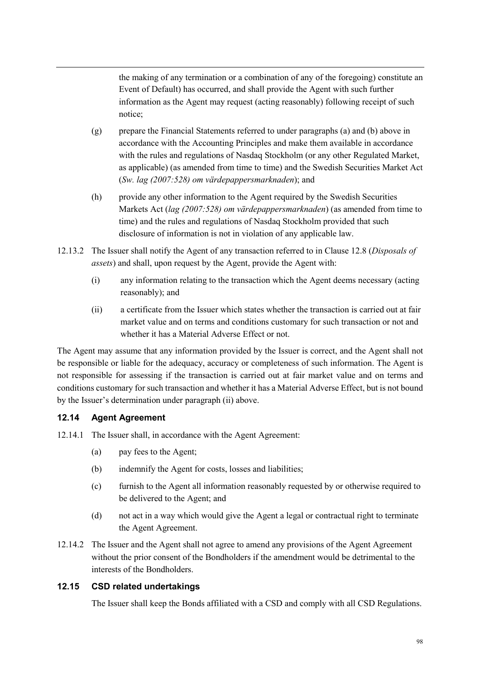the making of any termination or a combination of any of the foregoing) constitute an Event of Default) has occurred, and shall provide the Agent with such further information as the Agent may request (acting reasonably) following receipt of such notice;

- (g) prepare the Financial Statements referred to under paragraphs (a) and (b) above in accordance with the Accounting Principles and make them available in accordance with the rules and regulations of Nasdaq Stockholm (or any other Regulated Market, as applicable) (as amended from time to time) and the Swedish Securities Market Act (*Sw. lag (2007:528) om värdepappersmarknaden*); and
- (h) provide any other information to the Agent required by the Swedish Securities Markets Act (*lag (2007:528) om värdepappersmarknaden*) (as amended from time to time) and the rules and regulations of Nasdaq Stockholm provided that such disclosure of information is not in violation of any applicable law.
- 12.13.2 The Issuer shall notify the Agent of any transaction referred to in Clause 12.8 (*Disposals of assets*) and shall, upon request by the Agent, provide the Agent with:
	- (i) any information relating to the transaction which the Agent deems necessary (acting reasonably); and
	- (ii) a certificate from the Issuer which states whether the transaction is carried out at fair market value and on terms and conditions customary for such transaction or not and whether it has a Material Adverse Effect or not.

The Agent may assume that any information provided by the Issuer is correct, and the Agent shall not be responsible or liable for the adequacy, accuracy or completeness of such information. The Agent is not responsible for assessing if the transaction is carried out at fair market value and on terms and conditions customary for such transaction and whether it has a Material Adverse Effect, but is not bound by the Issuer's determination under paragraph (ii) above.

# **12.14 Agent Agreement**

- 12.14.1 The Issuer shall, in accordance with the Agent Agreement:
	- (a) pay fees to the Agent;
	- (b) indemnify the Agent for costs, losses and liabilities;
	- (c) furnish to the Agent all information reasonably requested by or otherwise required to be delivered to the Agent; and
	- (d) not act in a way which would give the Agent a legal or contractual right to terminate the Agent Agreement.
- 12.14.2 The Issuer and the Agent shall not agree to amend any provisions of the Agent Agreement without the prior consent of the Bondholders if the amendment would be detrimental to the interests of the Bondholders.

## **12.15 CSD related undertakings**

The Issuer shall keep the Bonds affiliated with a CSD and comply with all CSD Regulations.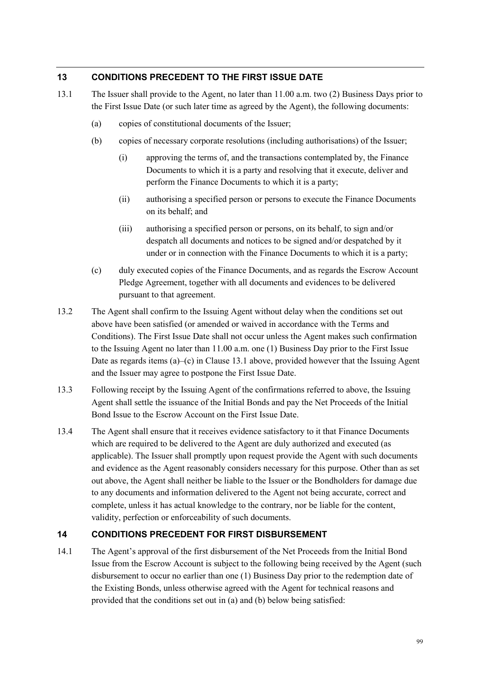## **13 CONDITIONS PRECEDENT TO THE FIRST ISSUE DATE**

- 13.1 The Issuer shall provide to the Agent, no later than 11.00 a.m. two (2) Business Days prior to the First Issue Date (or such later time as agreed by the Agent), the following documents:
	- (a) copies of constitutional documents of the Issuer;
	- (b) copies of necessary corporate resolutions (including authorisations) of the Issuer;
		- (i) approving the terms of, and the transactions contemplated by, the Finance Documents to which it is a party and resolving that it execute, deliver and perform the Finance Documents to which it is a party;
		- (ii) authorising a specified person or persons to execute the Finance Documents on its behalf; and
		- (iii) authorising a specified person or persons, on its behalf, to sign and/or despatch all documents and notices to be signed and/or despatched by it under or in connection with the Finance Documents to which it is a party;
	- (c) duly executed copies of the Finance Documents, and as regards the Escrow Account Pledge Agreement, together with all documents and evidences to be delivered pursuant to that agreement.
- 13.2 The Agent shall confirm to the Issuing Agent without delay when the conditions set out above have been satisfied (or amended or waived in accordance with the Terms and Conditions). The First Issue Date shall not occur unless the Agent makes such confirmation to the Issuing Agent no later than 11.00 a.m. one (1) Business Day prior to the First Issue Date as regards items (a)–(c) in Clause 13.1 above, provided however that the Issuing Agent and the Issuer may agree to postpone the First Issue Date.
- 13.3 Following receipt by the Issuing Agent of the confirmations referred to above, the Issuing Agent shall settle the issuance of the Initial Bonds and pay the Net Proceeds of the Initial Bond Issue to the Escrow Account on the First Issue Date.
- 13.4 The Agent shall ensure that it receives evidence satisfactory to it that Finance Documents which are required to be delivered to the Agent are duly authorized and executed (as applicable). The Issuer shall promptly upon request provide the Agent with such documents and evidence as the Agent reasonably considers necessary for this purpose. Other than as set out above, the Agent shall neither be liable to the Issuer or the Bondholders for damage due to any documents and information delivered to the Agent not being accurate, correct and complete, unless it has actual knowledge to the contrary, nor be liable for the content, validity, perfection or enforceability of such documents.

## **14 CONDITIONS PRECEDENT FOR FIRST DISBURSEMENT**

14.1 The Agent's approval of the first disbursement of the Net Proceeds from the Initial Bond Issue from the Escrow Account is subject to the following being received by the Agent (such disbursement to occur no earlier than one (1) Business Day prior to the redemption date of the Existing Bonds, unless otherwise agreed with the Agent for technical reasons and provided that the conditions set out in (a) and (b) below being satisfied: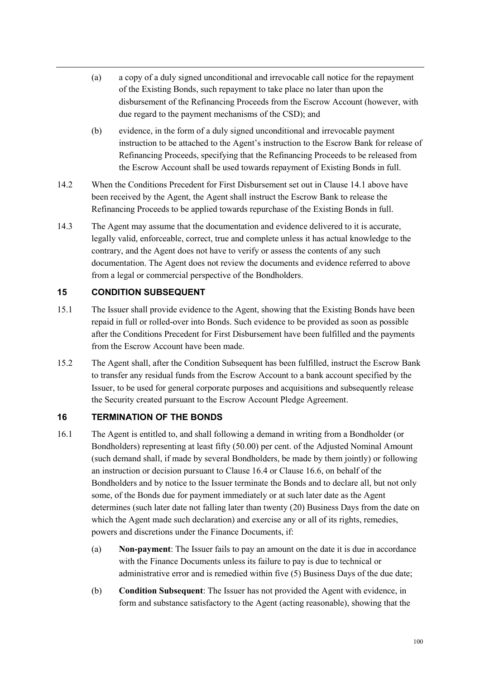- (a) a copy of a duly signed unconditional and irrevocable call notice for the repayment of the Existing Bonds, such repayment to take place no later than upon the disbursement of the Refinancing Proceeds from the Escrow Account (however, with due regard to the payment mechanisms of the CSD); and
- (b) evidence, in the form of a duly signed unconditional and irrevocable payment instruction to be attached to the Agent's instruction to the Escrow Bank for release of Refinancing Proceeds, specifying that the Refinancing Proceeds to be released from the Escrow Account shall be used towards repayment of Existing Bonds in full.
- 14.2 When the Conditions Precedent for First Disbursement set out in Clause 14.1 above have been received by the Agent, the Agent shall instruct the Escrow Bank to release the Refinancing Proceeds to be applied towards repurchase of the Existing Bonds in full.
- 14.3 The Agent may assume that the documentation and evidence delivered to it is accurate, legally valid, enforceable, correct, true and complete unless it has actual knowledge to the contrary, and the Agent does not have to verify or assess the contents of any such documentation. The Agent does not review the documents and evidence referred to above from a legal or commercial perspective of the Bondholders.

## **15 CONDITION SUBSEQUENT**

- 15.1 The Issuer shall provide evidence to the Agent, showing that the Existing Bonds have been repaid in full or rolled-over into Bonds. Such evidence to be provided as soon as possible after the Conditions Precedent for First Disbursement have been fulfilled and the payments from the Escrow Account have been made.
- 15.2 The Agent shall, after the Condition Subsequent has been fulfilled, instruct the Escrow Bank to transfer any residual funds from the Escrow Account to a bank account specified by the Issuer, to be used for general corporate purposes and acquisitions and subsequently release the Security created pursuant to the Escrow Account Pledge Agreement.

## **16 TERMINATION OF THE BONDS**

- 16.1 The Agent is entitled to, and shall following a demand in writing from a Bondholder (or Bondholders) representing at least fifty (50.00) per cent. of the Adjusted Nominal Amount (such demand shall, if made by several Bondholders, be made by them jointly) or following an instruction or decision pursuant to Clause 16.4 or Clause 16.6, on behalf of the Bondholders and by notice to the Issuer terminate the Bonds and to declare all, but not only some, of the Bonds due for payment immediately or at such later date as the Agent determines (such later date not falling later than twenty (20) Business Days from the date on which the Agent made such declaration) and exercise any or all of its rights, remedies, powers and discretions under the Finance Documents, if:
	- (a) **Non-payment**: The Issuer fails to pay an amount on the date it is due in accordance with the Finance Documents unless its failure to pay is due to technical or administrative error and is remedied within five (5) Business Days of the due date;
	- (b) **Condition Subsequent**: The Issuer has not provided the Agent with evidence, in form and substance satisfactory to the Agent (acting reasonable), showing that the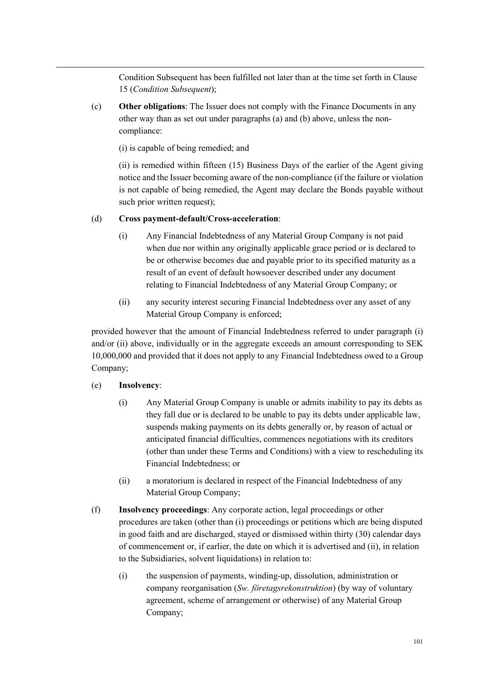Condition Subsequent has been fulfilled not later than at the time set forth in Clause 15 (*Condition Subsequent*);

(c) **Other obligations**: The Issuer does not comply with the Finance Documents in any other way than as set out under paragraphs (a) and (b) above, unless the noncompliance:

(i) is capable of being remedied; and

(ii) is remedied within fifteen (15) Business Days of the earlier of the Agent giving notice and the Issuer becoming aware of the non-compliance (if the failure or violation is not capable of being remedied, the Agent may declare the Bonds payable without such prior written request);

#### (d) **Cross payment-default/Cross-acceleration**:

- (i) Any Financial Indebtedness of any Material Group Company is not paid when due nor within any originally applicable grace period or is declared to be or otherwise becomes due and payable prior to its specified maturity as a result of an event of default howsoever described under any document relating to Financial Indebtedness of any Material Group Company; or
- (ii) any security interest securing Financial Indebtedness over any asset of any Material Group Company is enforced;

provided however that the amount of Financial Indebtedness referred to under paragraph (i) and/or (ii) above, individually or in the aggregate exceeds an amount corresponding to SEK 10,000,000 and provided that it does not apply to any Financial Indebtedness owed to a Group Company;

## (e) **Insolvency**:

- (i) Any Material Group Company is unable or admits inability to pay its debts as they fall due or is declared to be unable to pay its debts under applicable law, suspends making payments on its debts generally or, by reason of actual or anticipated financial difficulties, commences negotiations with its creditors (other than under these Terms and Conditions) with a view to rescheduling its Financial Indebtedness; or
- (ii) a moratorium is declared in respect of the Financial Indebtedness of any Material Group Company;
- (f) **Insolvency proceedings**: Any corporate action, legal proceedings or other procedures are taken (other than (i) proceedings or petitions which are being disputed in good faith and are discharged, stayed or dismissed within thirty (30) calendar days of commencement or, if earlier, the date on which it is advertised and (ii), in relation to the Subsidiaries, solvent liquidations) in relation to:
	- (i) the suspension of payments, winding-up, dissolution, administration or company reorganisation (*Sw. företagsrekonstruktion*) (by way of voluntary agreement, scheme of arrangement or otherwise) of any Material Group Company;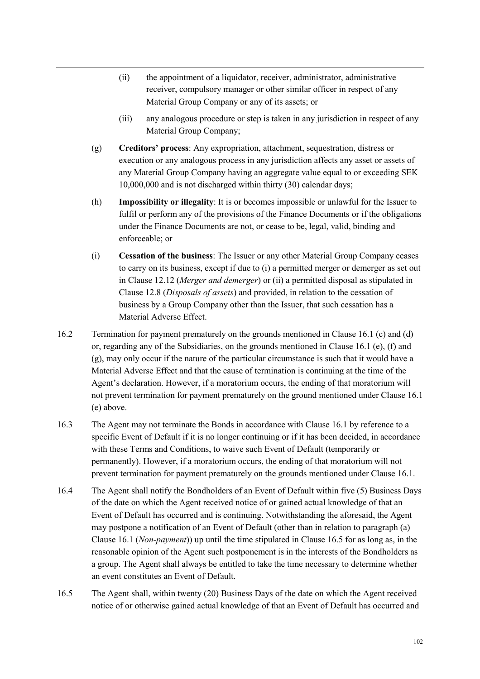- (ii) the appointment of a liquidator, receiver, administrator, administrative receiver, compulsory manager or other similar officer in respect of any Material Group Company or any of its assets; or
- (iii) any analogous procedure or step is taken in any jurisdiction in respect of any Material Group Company;
- (g) **Creditors' process**: Any expropriation, attachment, sequestration, distress or execution or any analogous process in any jurisdiction affects any asset or assets of any Material Group Company having an aggregate value equal to or exceeding SEK 10,000,000 and is not discharged within thirty (30) calendar days;
- (h) **Impossibility or illegality**: It is or becomes impossible or unlawful for the Issuer to fulfil or perform any of the provisions of the Finance Documents or if the obligations under the Finance Documents are not, or cease to be, legal, valid, binding and enforceable; or
- (i) **Cessation of the business**: The Issuer or any other Material Group Company ceases to carry on its business, except if due to (i) a permitted merger or demerger as set out in Clause 12.12 (*Merger and demerger*) or (ii) a permitted disposal as stipulated in Clause 12.8 (*Disposals of assets*) and provided, in relation to the cessation of business by a Group Company other than the Issuer, that such cessation has a Material Adverse Effect.
- 16.2 Termination for payment prematurely on the grounds mentioned in Clause 16.1 (c) and (d) or, regarding any of the Subsidiaries, on the grounds mentioned in Clause 16.1 (e), (f) and (g), may only occur if the nature of the particular circumstance is such that it would have a Material Adverse Effect and that the cause of termination is continuing at the time of the Agent's declaration. However, if a moratorium occurs, the ending of that moratorium will not prevent termination for payment prematurely on the ground mentioned under Clause 16.1 (e) above.
- 16.3 The Agent may not terminate the Bonds in accordance with Clause 16.1 by reference to a specific Event of Default if it is no longer continuing or if it has been decided, in accordance with these Terms and Conditions, to waive such Event of Default (temporarily or permanently). However, if a moratorium occurs, the ending of that moratorium will not prevent termination for payment prematurely on the grounds mentioned under Clause 16.1.
- 16.4 The Agent shall notify the Bondholders of an Event of Default within five (5) Business Days of the date on which the Agent received notice of or gained actual knowledge of that an Event of Default has occurred and is continuing. Notwithstanding the aforesaid, the Agent may postpone a notification of an Event of Default (other than in relation to paragraph (a) Clause 16.1 (*Non-payment*)) up until the time stipulated in Clause 16.5 for as long as, in the reasonable opinion of the Agent such postponement is in the interests of the Bondholders as a group. The Agent shall always be entitled to take the time necessary to determine whether an event constitutes an Event of Default.
- 16.5 The Agent shall, within twenty (20) Business Days of the date on which the Agent received notice of or otherwise gained actual knowledge of that an Event of Default has occurred and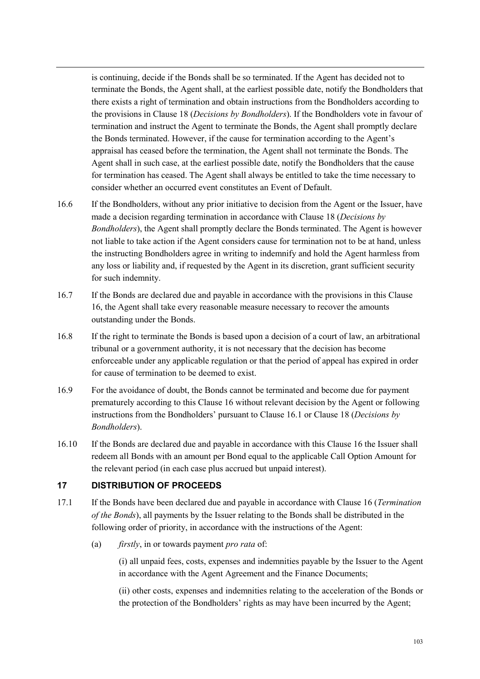is continuing, decide if the Bonds shall be so terminated. If the Agent has decided not to terminate the Bonds, the Agent shall, at the earliest possible date, notify the Bondholders that there exists a right of termination and obtain instructions from the Bondholders according to the provisions in Clause 18 (*Decisions by Bondholders*). If the Bondholders vote in favour of termination and instruct the Agent to terminate the Bonds, the Agent shall promptly declare the Bonds terminated. However, if the cause for termination according to the Agent's appraisal has ceased before the termination, the Agent shall not terminate the Bonds. The Agent shall in such case, at the earliest possible date, notify the Bondholders that the cause for termination has ceased. The Agent shall always be entitled to take the time necessary to consider whether an occurred event constitutes an Event of Default.

- 16.6 If the Bondholders, without any prior initiative to decision from the Agent or the Issuer, have made a decision regarding termination in accordance with Clause 18 (*Decisions by Bondholders*), the Agent shall promptly declare the Bonds terminated. The Agent is however not liable to take action if the Agent considers cause for termination not to be at hand, unless the instructing Bondholders agree in writing to indemnify and hold the Agent harmless from any loss or liability and, if requested by the Agent in its discretion, grant sufficient security for such indemnity.
- 16.7 If the Bonds are declared due and payable in accordance with the provisions in this Clause 16, the Agent shall take every reasonable measure necessary to recover the amounts outstanding under the Bonds.
- 16.8 If the right to terminate the Bonds is based upon a decision of a court of law, an arbitrational tribunal or a government authority, it is not necessary that the decision has become enforceable under any applicable regulation or that the period of appeal has expired in order for cause of termination to be deemed to exist.
- 16.9 For the avoidance of doubt, the Bonds cannot be terminated and become due for payment prematurely according to this Clause 16 without relevant decision by the Agent or following instructions from the Bondholders' pursuant to Clause 16.1 or Clause 18 (*Decisions by Bondholders*).
- 16.10 If the Bonds are declared due and payable in accordance with this Clause 16 the Issuer shall redeem all Bonds with an amount per Bond equal to the applicable Call Option Amount for the relevant period (in each case plus accrued but unpaid interest).

## **17 DISTRIBUTION OF PROCEEDS**

- 17.1 If the Bonds have been declared due and payable in accordance with Clause 16 (*Termination of the Bonds*), all payments by the Issuer relating to the Bonds shall be distributed in the following order of priority, in accordance with the instructions of the Agent:
	- (a) *firstly*, in or towards payment *pro rata* of:

(i) all unpaid fees, costs, expenses and indemnities payable by the Issuer to the Agent in accordance with the Agent Agreement and the Finance Documents;

(ii) other costs, expenses and indemnities relating to the acceleration of the Bonds or the protection of the Bondholders' rights as may have been incurred by the Agent;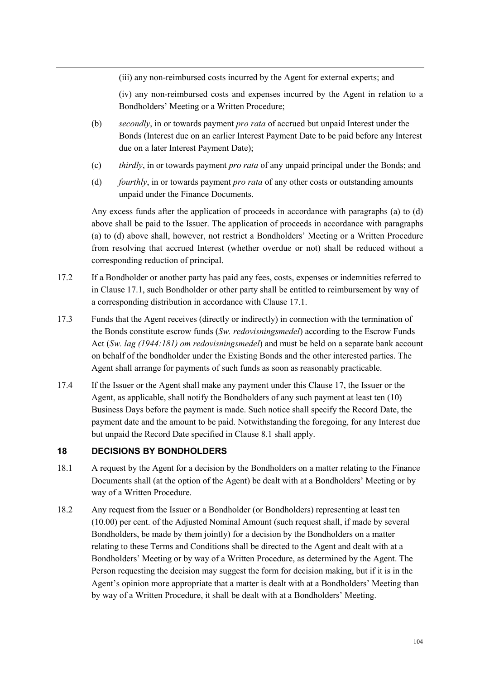(iii) any non-reimbursed costs incurred by the Agent for external experts; and

(iv) any non-reimbursed costs and expenses incurred by the Agent in relation to a Bondholders' Meeting or a Written Procedure;

- (b) *secondly*, in or towards payment *pro rata* of accrued but unpaid Interest under the Bonds (Interest due on an earlier Interest Payment Date to be paid before any Interest due on a later Interest Payment Date);
- (c) *thirdly*, in or towards payment *pro rata* of any unpaid principal under the Bonds; and
- (d) *fourthly*, in or towards payment *pro rata* of any other costs or outstanding amounts unpaid under the Finance Documents.

Any excess funds after the application of proceeds in accordance with paragraphs (a) to (d) above shall be paid to the Issuer. The application of proceeds in accordance with paragraphs (a) to (d) above shall, however, not restrict a Bondholders' Meeting or a Written Procedure from resolving that accrued Interest (whether overdue or not) shall be reduced without a corresponding reduction of principal.

- 17.2 If a Bondholder or another party has paid any fees, costs, expenses or indemnities referred to in Clause 17.1, such Bondholder or other party shall be entitled to reimbursement by way of a corresponding distribution in accordance with Clause 17.1.
- 17.3 Funds that the Agent receives (directly or indirectly) in connection with the termination of the Bonds constitute escrow funds (*Sw. redovisningsmedel*) according to the Escrow Funds Act (*Sw. lag (1944:181) om redovisningsmedel*) and must be held on a separate bank account on behalf of the bondholder under the Existing Bonds and the other interested parties. The Agent shall arrange for payments of such funds as soon as reasonably practicable.
- 17.4 If the Issuer or the Agent shall make any payment under this Clause 17, the Issuer or the Agent, as applicable, shall notify the Bondholders of any such payment at least ten (10) Business Days before the payment is made. Such notice shall specify the Record Date, the payment date and the amount to be paid. Notwithstanding the foregoing, for any Interest due but unpaid the Record Date specified in Clause 8.1 shall apply.

# **18 DECISIONS BY BONDHOLDERS**

- 18.1 A request by the Agent for a decision by the Bondholders on a matter relating to the Finance Documents shall (at the option of the Agent) be dealt with at a Bondholders' Meeting or by way of a Written Procedure.
- 18.2 Any request from the Issuer or a Bondholder (or Bondholders) representing at least ten (10.00) per cent. of the Adjusted Nominal Amount (such request shall, if made by several Bondholders, be made by them jointly) for a decision by the Bondholders on a matter relating to these Terms and Conditions shall be directed to the Agent and dealt with at a Bondholders' Meeting or by way of a Written Procedure, as determined by the Agent. The Person requesting the decision may suggest the form for decision making, but if it is in the Agent's opinion more appropriate that a matter is dealt with at a Bondholders' Meeting than by way of a Written Procedure, it shall be dealt with at a Bondholders' Meeting.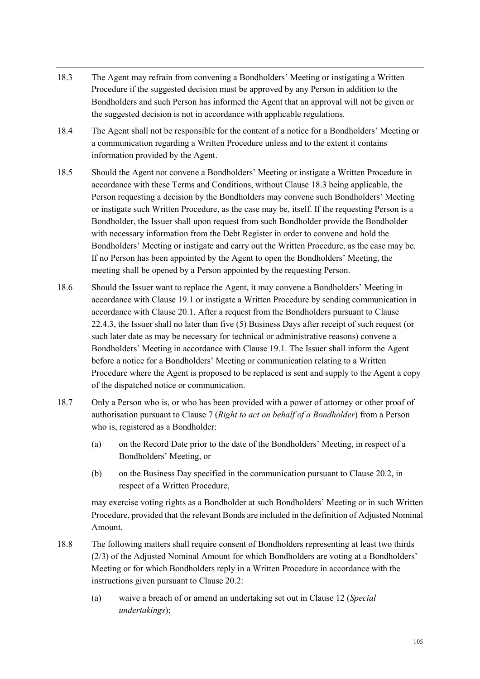- 18.3 The Agent may refrain from convening a Bondholders' Meeting or instigating a Written Procedure if the suggested decision must be approved by any Person in addition to the Bondholders and such Person has informed the Agent that an approval will not be given or the suggested decision is not in accordance with applicable regulations.
- 18.4 The Agent shall not be responsible for the content of a notice for a Bondholders' Meeting or a communication regarding a Written Procedure unless and to the extent it contains information provided by the Agent.
- 18.5 Should the Agent not convene a Bondholders' Meeting or instigate a Written Procedure in accordance with these Terms and Conditions, without Clause 18.3 being applicable, the Person requesting a decision by the Bondholders may convene such Bondholders' Meeting or instigate such Written Procedure, as the case may be, itself. If the requesting Person is a Bondholder, the Issuer shall upon request from such Bondholder provide the Bondholder with necessary information from the Debt Register in order to convene and hold the Bondholders' Meeting or instigate and carry out the Written Procedure, as the case may be. If no Person has been appointed by the Agent to open the Bondholders' Meeting, the meeting shall be opened by a Person appointed by the requesting Person.
- 18.6 Should the Issuer want to replace the Agent, it may convene a Bondholders' Meeting in accordance with Clause 19.1 or instigate a Written Procedure by sending communication in accordance with Clause 20.1. After a request from the Bondholders pursuant to Clause 22.4.3, the Issuer shall no later than five (5) Business Days after receipt of such request (or such later date as may be necessary for technical or administrative reasons) convene a Bondholders' Meeting in accordance with Clause 19.1. The Issuer shall inform the Agent before a notice for a Bondholders' Meeting or communication relating to a Written Procedure where the Agent is proposed to be replaced is sent and supply to the Agent a copy of the dispatched notice or communication.
- 18.7 Only a Person who is, or who has been provided with a power of attorney or other proof of authorisation pursuant to Clause 7 (*Right to act on behalf of a Bondholder*) from a Person who is, registered as a Bondholder:
	- (a) on the Record Date prior to the date of the Bondholders' Meeting, in respect of a Bondholders' Meeting, or
	- (b) on the Business Day specified in the communication pursuant to Clause 20.2, in respect of a Written Procedure,

may exercise voting rights as a Bondholder at such Bondholders' Meeting or in such Written Procedure, provided that the relevant Bonds are included in the definition of Adjusted Nominal Amount.

- 18.8 The following matters shall require consent of Bondholders representing at least two thirds (2/3) of the Adjusted Nominal Amount for which Bondholders are voting at a Bondholders' Meeting or for which Bondholders reply in a Written Procedure in accordance with the instructions given pursuant to Clause 20.2:
	- (a) waive a breach of or amend an undertaking set out in Clause 12 (*Special undertakings*);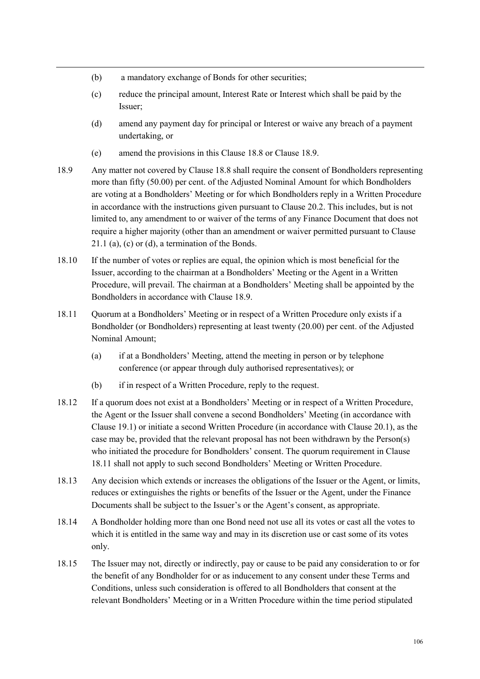- (b) a mandatory exchange of Bonds for other securities;
- (c) reduce the principal amount, Interest Rate or Interest which shall be paid by the Issuer;
- (d) amend any payment day for principal or Interest or waive any breach of a payment undertaking, or
- (e) amend the provisions in this Clause 18.8 or Clause 18.9.
- 18.9 Any matter not covered by Clause 18.8 shall require the consent of Bondholders representing more than fifty (50.00) per cent. of the Adjusted Nominal Amount for which Bondholders are voting at a Bondholders' Meeting or for which Bondholders reply in a Written Procedure in accordance with the instructions given pursuant to Clause 20.2. This includes, but is not limited to, any amendment to or waiver of the terms of any Finance Document that does not require a higher majority (other than an amendment or waiver permitted pursuant to Clause 21.1 (a), (c) or (d), a termination of the Bonds.
- 18.10 If the number of votes or replies are equal, the opinion which is most beneficial for the Issuer, according to the chairman at a Bondholders' Meeting or the Agent in a Written Procedure, will prevail. The chairman at a Bondholders' Meeting shall be appointed by the Bondholders in accordance with Clause 18.9.
- 18.11 Quorum at a Bondholders' Meeting or in respect of a Written Procedure only exists if a Bondholder (or Bondholders) representing at least twenty (20.00) per cent. of the Adjusted Nominal Amount;
	- (a) if at a Bondholders' Meeting, attend the meeting in person or by telephone conference (or appear through duly authorised representatives); or
	- (b) if in respect of a Written Procedure, reply to the request.
- 18.12 If a quorum does not exist at a Bondholders' Meeting or in respect of a Written Procedure, the Agent or the Issuer shall convene a second Bondholders' Meeting (in accordance with Clause 19.1) or initiate a second Written Procedure (in accordance with Clause 20.1), as the case may be, provided that the relevant proposal has not been withdrawn by the Person(s) who initiated the procedure for Bondholders' consent. The quorum requirement in Clause 18.11 shall not apply to such second Bondholders' Meeting or Written Procedure.
- 18.13 Any decision which extends or increases the obligations of the Issuer or the Agent, or limits, reduces or extinguishes the rights or benefits of the Issuer or the Agent, under the Finance Documents shall be subject to the Issuer's or the Agent's consent, as appropriate.
- 18.14 A Bondholder holding more than one Bond need not use all its votes or cast all the votes to which it is entitled in the same way and may in its discretion use or cast some of its votes only.
- 18.15 The Issuer may not, directly or indirectly, pay or cause to be paid any consideration to or for the benefit of any Bondholder for or as inducement to any consent under these Terms and Conditions, unless such consideration is offered to all Bondholders that consent at the relevant Bondholders' Meeting or in a Written Procedure within the time period stipulated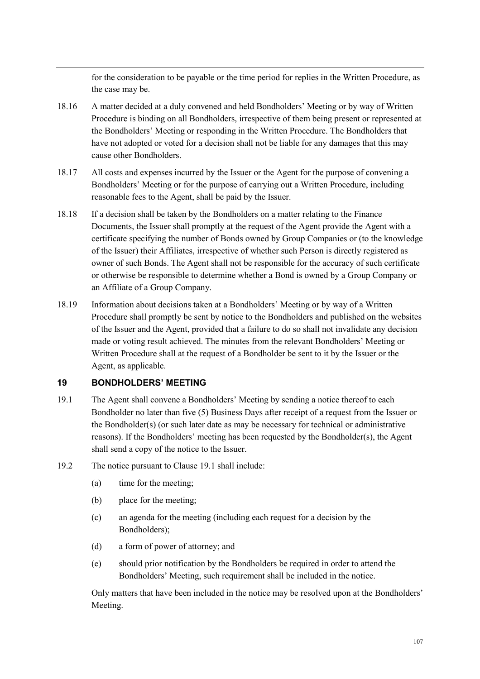for the consideration to be payable or the time period for replies in the Written Procedure, as the case may be.

- 18.16 A matter decided at a duly convened and held Bondholders' Meeting or by way of Written Procedure is binding on all Bondholders, irrespective of them being present or represented at the Bondholders' Meeting or responding in the Written Procedure. The Bondholders that have not adopted or voted for a decision shall not be liable for any damages that this may cause other Bondholders.
- 18.17 All costs and expenses incurred by the Issuer or the Agent for the purpose of convening a Bondholders' Meeting or for the purpose of carrying out a Written Procedure, including reasonable fees to the Agent, shall be paid by the Issuer.
- 18.18 If a decision shall be taken by the Bondholders on a matter relating to the Finance Documents, the Issuer shall promptly at the request of the Agent provide the Agent with a certificate specifying the number of Bonds owned by Group Companies or (to the knowledge of the Issuer) their Affiliates, irrespective of whether such Person is directly registered as owner of such Bonds. The Agent shall not be responsible for the accuracy of such certificate or otherwise be responsible to determine whether a Bond is owned by a Group Company or an Affiliate of a Group Company.
- 18.19 Information about decisions taken at a Bondholders' Meeting or by way of a Written Procedure shall promptly be sent by notice to the Bondholders and published on the websites of the Issuer and the Agent, provided that a failure to do so shall not invalidate any decision made or voting result achieved. The minutes from the relevant Bondholders' Meeting or Written Procedure shall at the request of a Bondholder be sent to it by the Issuer or the Agent, as applicable.

## **19 BONDHOLDERS' MEETING**

- 19.1 The Agent shall convene a Bondholders' Meeting by sending a notice thereof to each Bondholder no later than five (5) Business Days after receipt of a request from the Issuer or the Bondholder(s) (or such later date as may be necessary for technical or administrative reasons). If the Bondholders' meeting has been requested by the Bondholder(s), the Agent shall send a copy of the notice to the Issuer.
- 19.2 The notice pursuant to Clause 19.1 shall include:
	- (a) time for the meeting;
	- (b) place for the meeting;
	- (c) an agenda for the meeting (including each request for a decision by the Bondholders);
	- (d) a form of power of attorney; and
	- (e) should prior notification by the Bondholders be required in order to attend the Bondholders' Meeting, such requirement shall be included in the notice.

Only matters that have been included in the notice may be resolved upon at the Bondholders' Meeting.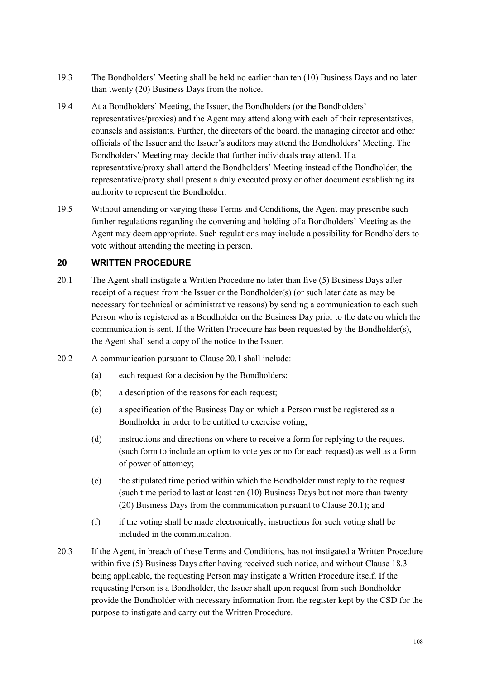- 19.3 The Bondholders' Meeting shall be held no earlier than ten (10) Business Days and no later than twenty (20) Business Days from the notice.
- 19.4 At a Bondholders' Meeting, the Issuer, the Bondholders (or the Bondholders' representatives/proxies) and the Agent may attend along with each of their representatives, counsels and assistants. Further, the directors of the board, the managing director and other officials of the Issuer and the Issuer's auditors may attend the Bondholders' Meeting. The Bondholders' Meeting may decide that further individuals may attend. If a representative/proxy shall attend the Bondholders' Meeting instead of the Bondholder, the representative/proxy shall present a duly executed proxy or other document establishing its authority to represent the Bondholder.
- 19.5 Without amending or varying these Terms and Conditions, the Agent may prescribe such further regulations regarding the convening and holding of a Bondholders' Meeting as the Agent may deem appropriate. Such regulations may include a possibility for Bondholders to vote without attending the meeting in person.

## **20 WRITTEN PROCEDURE**

- 20.1 The Agent shall instigate a Written Procedure no later than five (5) Business Days after receipt of a request from the Issuer or the Bondholder(s) (or such later date as may be necessary for technical or administrative reasons) by sending a communication to each such Person who is registered as a Bondholder on the Business Day prior to the date on which the communication is sent. If the Written Procedure has been requested by the Bondholder(s), the Agent shall send a copy of the notice to the Issuer.
- 20.2 A communication pursuant to Clause 20.1 shall include:
	- (a) each request for a decision by the Bondholders;
	- (b) a description of the reasons for each request;
	- (c) a specification of the Business Day on which a Person must be registered as a Bondholder in order to be entitled to exercise voting;
	- (d) instructions and directions on where to receive a form for replying to the request (such form to include an option to vote yes or no for each request) as well as a form of power of attorney;
	- (e) the stipulated time period within which the Bondholder must reply to the request (such time period to last at least ten (10) Business Days but not more than twenty (20) Business Days from the communication pursuant to Clause 20.1); and
	- (f) if the voting shall be made electronically, instructions for such voting shall be included in the communication.
- 20.3 If the Agent, in breach of these Terms and Conditions, has not instigated a Written Procedure within five (5) Business Days after having received such notice, and without Clause 18.3 being applicable, the requesting Person may instigate a Written Procedure itself. If the requesting Person is a Bondholder, the Issuer shall upon request from such Bondholder provide the Bondholder with necessary information from the register kept by the CSD for the purpose to instigate and carry out the Written Procedure.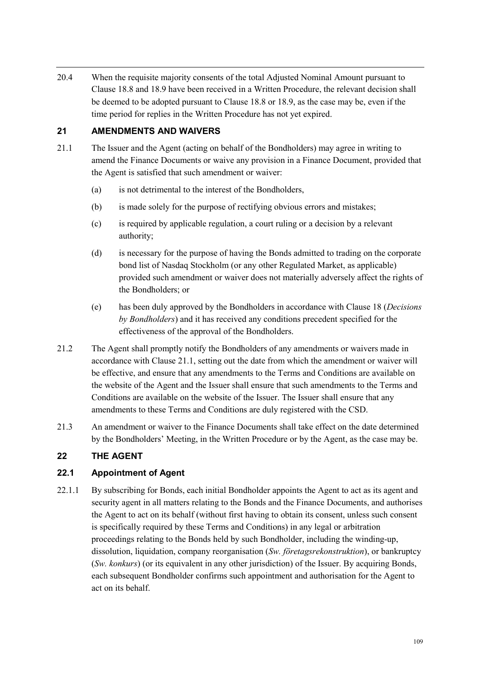20.4 When the requisite majority consents of the total Adjusted Nominal Amount pursuant to Clause 18.8 and 18.9 have been received in a Written Procedure, the relevant decision shall be deemed to be adopted pursuant to Clause 18.8 or 18.9, as the case may be, even if the time period for replies in the Written Procedure has not yet expired.

## **21 AMENDMENTS AND WAIVERS**

- 21.1 The Issuer and the Agent (acting on behalf of the Bondholders) may agree in writing to amend the Finance Documents or waive any provision in a Finance Document, provided that the Agent is satisfied that such amendment or waiver:
	- (a) is not detrimental to the interest of the Bondholders,
	- (b) is made solely for the purpose of rectifying obvious errors and mistakes;
	- (c) is required by applicable regulation, a court ruling or a decision by a relevant authority;
	- (d) is necessary for the purpose of having the Bonds admitted to trading on the corporate bond list of Nasdaq Stockholm (or any other Regulated Market, as applicable) provided such amendment or waiver does not materially adversely affect the rights of the Bondholders; or
	- (e) has been duly approved by the Bondholders in accordance with Clause 18 (*Decisions by Bondholders*) and it has received any conditions precedent specified for the effectiveness of the approval of the Bondholders.
- 21.2 The Agent shall promptly notify the Bondholders of any amendments or waivers made in accordance with Clause 21.1, setting out the date from which the amendment or waiver will be effective, and ensure that any amendments to the Terms and Conditions are available on the website of the Agent and the Issuer shall ensure that such amendments to the Terms and Conditions are available on the website of the Issuer. The Issuer shall ensure that any amendments to these Terms and Conditions are duly registered with the CSD.
- 21.3 An amendment or waiver to the Finance Documents shall take effect on the date determined by the Bondholders' Meeting, in the Written Procedure or by the Agent, as the case may be.

## **22 THE AGENT**

## **22.1 Appointment of Agent**

22.1.1 By subscribing for Bonds, each initial Bondholder appoints the Agent to act as its agent and security agent in all matters relating to the Bonds and the Finance Documents, and authorises the Agent to act on its behalf (without first having to obtain its consent, unless such consent is specifically required by these Terms and Conditions) in any legal or arbitration proceedings relating to the Bonds held by such Bondholder, including the winding-up, dissolution, liquidation, company reorganisation (*Sw. företagsrekonstruktion*), or bankruptcy (*Sw. konkurs*) (or its equivalent in any other jurisdiction) of the Issuer. By acquiring Bonds, each subsequent Bondholder confirms such appointment and authorisation for the Agent to act on its behalf.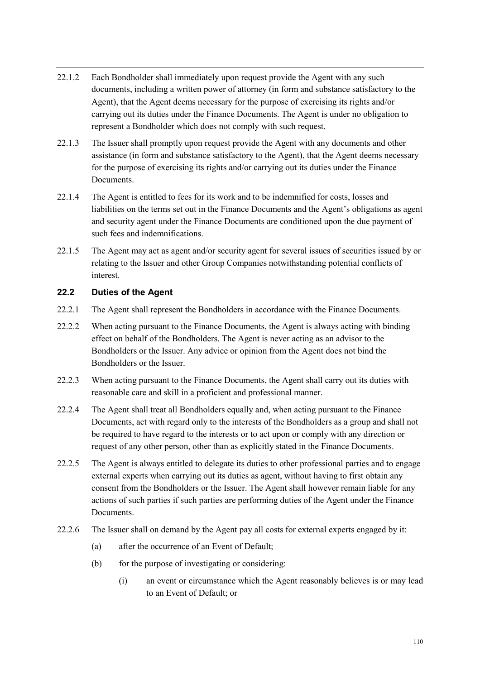- 22.1.2 Each Bondholder shall immediately upon request provide the Agent with any such documents, including a written power of attorney (in form and substance satisfactory to the Agent), that the Agent deems necessary for the purpose of exercising its rights and/or carrying out its duties under the Finance Documents. The Agent is under no obligation to represent a Bondholder which does not comply with such request.
- 22.1.3 The Issuer shall promptly upon request provide the Agent with any documents and other assistance (in form and substance satisfactory to the Agent), that the Agent deems necessary for the purpose of exercising its rights and/or carrying out its duties under the Finance **Documents**
- 22.1.4 The Agent is entitled to fees for its work and to be indemnified for costs, losses and liabilities on the terms set out in the Finance Documents and the Agent's obligations as agent and security agent under the Finance Documents are conditioned upon the due payment of such fees and indemnifications.
- 22.1.5 The Agent may act as agent and/or security agent for several issues of securities issued by or relating to the Issuer and other Group Companies notwithstanding potential conflicts of interest.

# **22.2 Duties of the Agent**

- 22.2.1 The Agent shall represent the Bondholders in accordance with the Finance Documents.
- 22.2.2 When acting pursuant to the Finance Documents, the Agent is always acting with binding effect on behalf of the Bondholders. The Agent is never acting as an advisor to the Bondholders or the Issuer. Any advice or opinion from the Agent does not bind the Bondholders or the Issuer.
- 22.2.3 When acting pursuant to the Finance Documents, the Agent shall carry out its duties with reasonable care and skill in a proficient and professional manner.
- 22.2.4 The Agent shall treat all Bondholders equally and, when acting pursuant to the Finance Documents, act with regard only to the interests of the Bondholders as a group and shall not be required to have regard to the interests or to act upon or comply with any direction or request of any other person, other than as explicitly stated in the Finance Documents.
- 22.2.5 The Agent is always entitled to delegate its duties to other professional parties and to engage external experts when carrying out its duties as agent, without having to first obtain any consent from the Bondholders or the Issuer. The Agent shall however remain liable for any actions of such parties if such parties are performing duties of the Agent under the Finance Documents.
- 22.2.6 The Issuer shall on demand by the Agent pay all costs for external experts engaged by it:
	- (a) after the occurrence of an Event of Default;
	- (b) for the purpose of investigating or considering:
		- (i) an event or circumstance which the Agent reasonably believes is or may lead to an Event of Default; or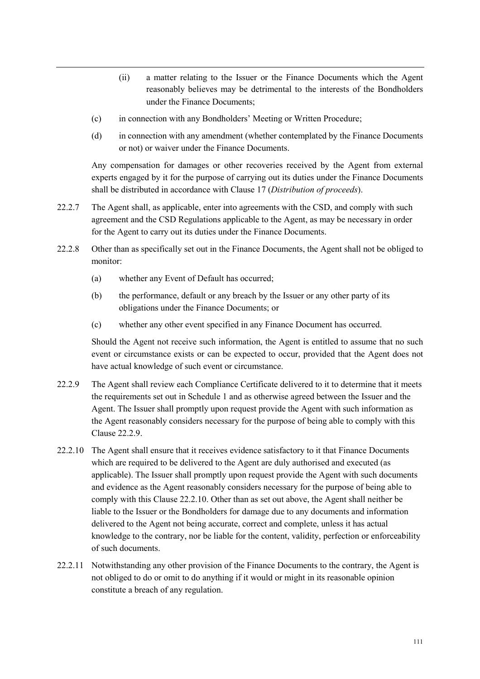- (ii) a matter relating to the Issuer or the Finance Documents which the Agent reasonably believes may be detrimental to the interests of the Bondholders under the Finance Documents;
- (c) in connection with any Bondholders' Meeting or Written Procedure;
- (d) in connection with any amendment (whether contemplated by the Finance Documents or not) or waiver under the Finance Documents.

Any compensation for damages or other recoveries received by the Agent from external experts engaged by it for the purpose of carrying out its duties under the Finance Documents shall be distributed in accordance with Clause 17 (*Distribution of proceeds*).

- 22.2.7 The Agent shall, as applicable, enter into agreements with the CSD, and comply with such agreement and the CSD Regulations applicable to the Agent, as may be necessary in order for the Agent to carry out its duties under the Finance Documents.
- 22.2.8 Other than as specifically set out in the Finance Documents, the Agent shall not be obliged to monitor:
	- (a) whether any Event of Default has occurred;
	- (b) the performance, default or any breach by the Issuer or any other party of its obligations under the Finance Documents; or
	- (c) whether any other event specified in any Finance Document has occurred.

Should the Agent not receive such information, the Agent is entitled to assume that no such event or circumstance exists or can be expected to occur, provided that the Agent does not have actual knowledge of such event or circumstance.

- 22.2.9 The Agent shall review each Compliance Certificate delivered to it to determine that it meets the requirements set out in Schedule 1 and as otherwise agreed between the Issuer and the Agent. The Issuer shall promptly upon request provide the Agent with such information as the Agent reasonably considers necessary for the purpose of being able to comply with this Clause 22.2.9.
- 22.2.10 The Agent shall ensure that it receives evidence satisfactory to it that Finance Documents which are required to be delivered to the Agent are duly authorised and executed (as applicable). The Issuer shall promptly upon request provide the Agent with such documents and evidence as the Agent reasonably considers necessary for the purpose of being able to comply with this Clause 22.2.10. Other than as set out above, the Agent shall neither be liable to the Issuer or the Bondholders for damage due to any documents and information delivered to the Agent not being accurate, correct and complete, unless it has actual knowledge to the contrary, nor be liable for the content, validity, perfection or enforceability of such documents.
- 22.2.11 Notwithstanding any other provision of the Finance Documents to the contrary, the Agent is not obliged to do or omit to do anything if it would or might in its reasonable opinion constitute a breach of any regulation.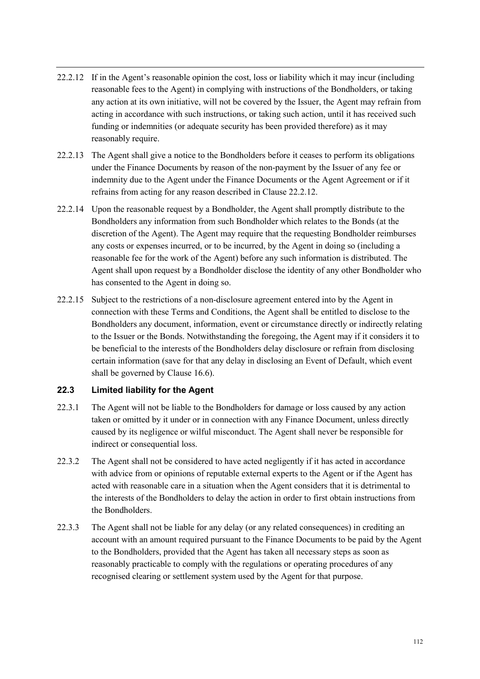- 22.2.12 If in the Agent's reasonable opinion the cost, loss or liability which it may incur (including reasonable fees to the Agent) in complying with instructions of the Bondholders, or taking any action at its own initiative, will not be covered by the Issuer, the Agent may refrain from acting in accordance with such instructions, or taking such action, until it has received such funding or indemnities (or adequate security has been provided therefore) as it may reasonably require.
- 22.2.13 The Agent shall give a notice to the Bondholders before it ceases to perform its obligations under the Finance Documents by reason of the non-payment by the Issuer of any fee or indemnity due to the Agent under the Finance Documents or the Agent Agreement or if it refrains from acting for any reason described in Clause 22.2.12.
- 22.2.14 Upon the reasonable request by a Bondholder, the Agent shall promptly distribute to the Bondholders any information from such Bondholder which relates to the Bonds (at the discretion of the Agent). The Agent may require that the requesting Bondholder reimburses any costs or expenses incurred, or to be incurred, by the Agent in doing so (including a reasonable fee for the work of the Agent) before any such information is distributed. The Agent shall upon request by a Bondholder disclose the identity of any other Bondholder who has consented to the Agent in doing so.
- 22.2.15 Subject to the restrictions of a non-disclosure agreement entered into by the Agent in connection with these Terms and Conditions, the Agent shall be entitled to disclose to the Bondholders any document, information, event or circumstance directly or indirectly relating to the Issuer or the Bonds. Notwithstanding the foregoing, the Agent may if it considers it to be beneficial to the interests of the Bondholders delay disclosure or refrain from disclosing certain information (save for that any delay in disclosing an Event of Default, which event shall be governed by Clause 16.6).

## **22.3 Limited liability for the Agent**

- 22.3.1 The Agent will not be liable to the Bondholders for damage or loss caused by any action taken or omitted by it under or in connection with any Finance Document, unless directly caused by its negligence or wilful misconduct. The Agent shall never be responsible for indirect or consequential loss.
- 22.3.2 The Agent shall not be considered to have acted negligently if it has acted in accordance with advice from or opinions of reputable external experts to the Agent or if the Agent has acted with reasonable care in a situation when the Agent considers that it is detrimental to the interests of the Bondholders to delay the action in order to first obtain instructions from the Bondholders.
- 22.3.3 The Agent shall not be liable for any delay (or any related consequences) in crediting an account with an amount required pursuant to the Finance Documents to be paid by the Agent to the Bondholders, provided that the Agent has taken all necessary steps as soon as reasonably practicable to comply with the regulations or operating procedures of any recognised clearing or settlement system used by the Agent for that purpose.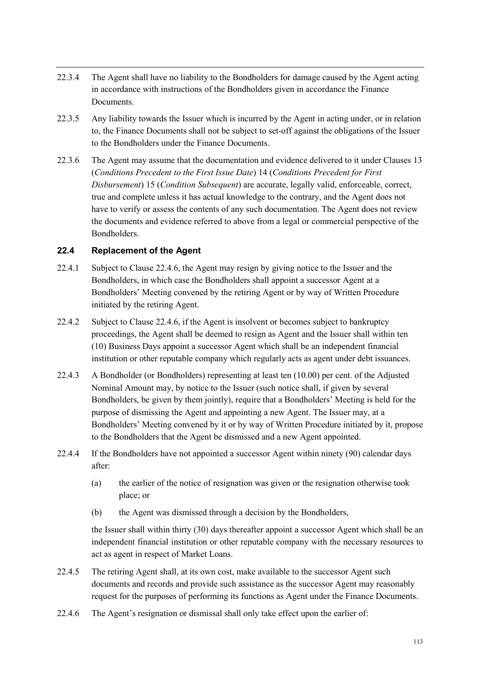- 22.3.4 The Agent shall have no liability to the Bondholders for damage caused by the Agent acting in accordance with instructions of the Bondholders given in accordance the Finance Documents.
- 22.3.5 Any liability towards the Issuer which is incurred by the Agent in acting under, or in relation to, the Finance Documents shall not be subject to set-off against the obligations of the Issuer to the Bondholders under the Finance Documents.
- 22.3.6 The Agent may assume that the documentation and evidence delivered to it under Clauses 13 (*Conditions Precedent to the First Issue Date*) 14 (*Conditions Precedent for First Disbursement*) 15 (*Condition Subsequent*) are accurate, legally valid, enforceable, correct, true and complete unless it has actual knowledge to the contrary, and the Agent does not have to verify or assess the contents of any such documentation. The Agent does not review the documents and evidence referred to above from a legal or commercial perspective of the Bondholders.

## **22.4 Replacement of the Agent**

- 22.4.1 Subject to Clause 22.4.6, the Agent may resign by giving notice to the Issuer and the Bondholders, in which case the Bondholders shall appoint a successor Agent at a Bondholders' Meeting convened by the retiring Agent or by way of Written Procedure initiated by the retiring Agent.
- 22.4.2 Subject to Clause 22.4.6, if the Agent is insolvent or becomes subject to bankruptcy proceedings, the Agent shall be deemed to resign as Agent and the Issuer shall within ten (10) Business Days appoint a successor Agent which shall be an independent financial institution or other reputable company which regularly acts as agent under debt issuances.
- 22.4.3 A Bondholder (or Bondholders) representing at least ten (10.00) per cent. of the Adjusted Nominal Amount may, by notice to the Issuer (such notice shall, if given by several Bondholders, be given by them jointly), require that a Bondholders' Meeting is held for the purpose of dismissing the Agent and appointing a new Agent. The Issuer may, at a Bondholders' Meeting convened by it or by way of Written Procedure initiated by it, propose to the Bondholders that the Agent be dismissed and a new Agent appointed.
- 22.4.4 If the Bondholders have not appointed a successor Agent within ninety (90) calendar days after:
	- (a) the earlier of the notice of resignation was given or the resignation otherwise took place; or
	- (b) the Agent was dismissed through a decision by the Bondholders,

the Issuer shall within thirty (30) days thereafter appoint a successor Agent which shall be an independent financial institution or other reputable company with the necessary resources to act as agent in respect of Market Loans.

- 22.4.5 The retiring Agent shall, at its own cost, make available to the successor Agent such documents and records and provide such assistance as the successor Agent may reasonably request for the purposes of performing its functions as Agent under the Finance Documents.
- 22.4.6 The Agent's resignation or dismissal shall only take effect upon the earlier of: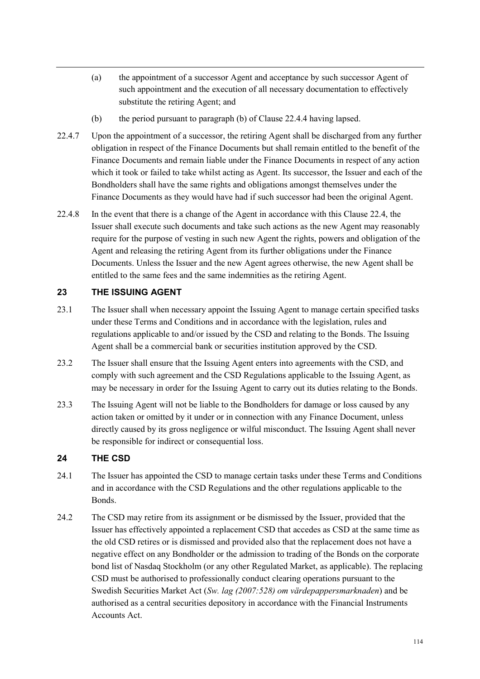- (a) the appointment of a successor Agent and acceptance by such successor Agent of such appointment and the execution of all necessary documentation to effectively substitute the retiring Agent; and
- (b) the period pursuant to paragraph (b) of Clause 22.4.4 having lapsed.
- 22.4.7 Upon the appointment of a successor, the retiring Agent shall be discharged from any further obligation in respect of the Finance Documents but shall remain entitled to the benefit of the Finance Documents and remain liable under the Finance Documents in respect of any action which it took or failed to take whilst acting as Agent. Its successor, the Issuer and each of the Bondholders shall have the same rights and obligations amongst themselves under the Finance Documents as they would have had if such successor had been the original Agent.
- 22.4.8 In the event that there is a change of the Agent in accordance with this Clause 22.4, the Issuer shall execute such documents and take such actions as the new Agent may reasonably require for the purpose of vesting in such new Agent the rights, powers and obligation of the Agent and releasing the retiring Agent from its further obligations under the Finance Documents. Unless the Issuer and the new Agent agrees otherwise, the new Agent shall be entitled to the same fees and the same indemnities as the retiring Agent.

### **23 THE ISSUING AGENT**

- 23.1 The Issuer shall when necessary appoint the Issuing Agent to manage certain specified tasks under these Terms and Conditions and in accordance with the legislation, rules and regulations applicable to and/or issued by the CSD and relating to the Bonds. The Issuing Agent shall be a commercial bank or securities institution approved by the CSD.
- 23.2 The Issuer shall ensure that the Issuing Agent enters into agreements with the CSD, and comply with such agreement and the CSD Regulations applicable to the Issuing Agent, as may be necessary in order for the Issuing Agent to carry out its duties relating to the Bonds.
- 23.3 The Issuing Agent will not be liable to the Bondholders for damage or loss caused by any action taken or omitted by it under or in connection with any Finance Document, unless directly caused by its gross negligence or wilful misconduct. The Issuing Agent shall never be responsible for indirect or consequential loss.

### **24 THE CSD**

- 24.1 The Issuer has appointed the CSD to manage certain tasks under these Terms and Conditions and in accordance with the CSD Regulations and the other regulations applicable to the Bonds.
- 24.2 The CSD may retire from its assignment or be dismissed by the Issuer, provided that the Issuer has effectively appointed a replacement CSD that accedes as CSD at the same time as the old CSD retires or is dismissed and provided also that the replacement does not have a negative effect on any Bondholder or the admission to trading of the Bonds on the corporate bond list of Nasdaq Stockholm (or any other Regulated Market, as applicable). The replacing CSD must be authorised to professionally conduct clearing operations pursuant to the Swedish Securities Market Act (*Sw. lag (2007:528) om värdepappersmarknaden*) and be authorised as a central securities depository in accordance with the Financial Instruments Accounts Act.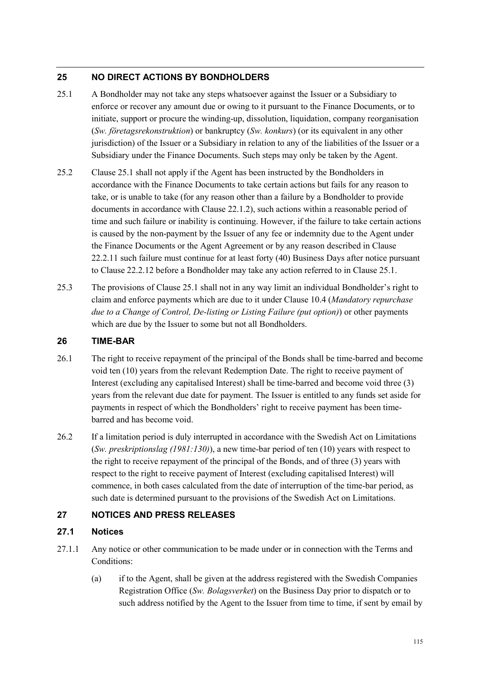### **25 NO DIRECT ACTIONS BY BONDHOLDERS**

- 25.1 A Bondholder may not take any steps whatsoever against the Issuer or a Subsidiary to enforce or recover any amount due or owing to it pursuant to the Finance Documents, or to initiate, support or procure the winding-up, dissolution, liquidation, company reorganisation (*Sw. företagsrekonstruktion*) or bankruptcy (*Sw. konkurs*) (or its equivalent in any other jurisdiction) of the Issuer or a Subsidiary in relation to any of the liabilities of the Issuer or a Subsidiary under the Finance Documents. Such steps may only be taken by the Agent.
- 25.2 Clause 25.1 shall not apply if the Agent has been instructed by the Bondholders in accordance with the Finance Documents to take certain actions but fails for any reason to take, or is unable to take (for any reason other than a failure by a Bondholder to provide documents in accordance with Clause 22.1.2), such actions within a reasonable period of time and such failure or inability is continuing. However, if the failure to take certain actions is caused by the non-payment by the Issuer of any fee or indemnity due to the Agent under the Finance Documents or the Agent Agreement or by any reason described in Clause 22.2.11 such failure must continue for at least forty (40) Business Days after notice pursuant to Clause 22.2.12 before a Bondholder may take any action referred to in Clause 25.1.
- 25.3 The provisions of Clause 25.1 shall not in any way limit an individual Bondholder's right to claim and enforce payments which are due to it under Clause 10.4 (*Mandatory repurchase due to a Change of Control, De-listing or Listing Failure (put option)*) or other payments which are due by the Issuer to some but not all Bondholders.

#### **26 TIME-BAR**

- 26.1 The right to receive repayment of the principal of the Bonds shall be time-barred and become void ten (10) years from the relevant Redemption Date. The right to receive payment of Interest (excluding any capitalised Interest) shall be time-barred and become void three (3) years from the relevant due date for payment. The Issuer is entitled to any funds set aside for payments in respect of which the Bondholders' right to receive payment has been timebarred and has become void.
- 26.2 If a limitation period is duly interrupted in accordance with the Swedish Act on Limitations (*Sw. preskriptionslag (1981:130)*), a new time-bar period of ten (10) years with respect to the right to receive repayment of the principal of the Bonds, and of three (3) years with respect to the right to receive payment of Interest (excluding capitalised Interest) will commence, in both cases calculated from the date of interruption of the time-bar period, as such date is determined pursuant to the provisions of the Swedish Act on Limitations.

### **27 NOTICES AND PRESS RELEASES**

#### **27.1 Notices**

- 27.1.1 Any notice or other communication to be made under or in connection with the Terms and Conditions:
	- (a) if to the Agent, shall be given at the address registered with the Swedish Companies Registration Office (*Sw. Bolagsverket*) on the Business Day prior to dispatch or to such address notified by the Agent to the Issuer from time to time, if sent by email by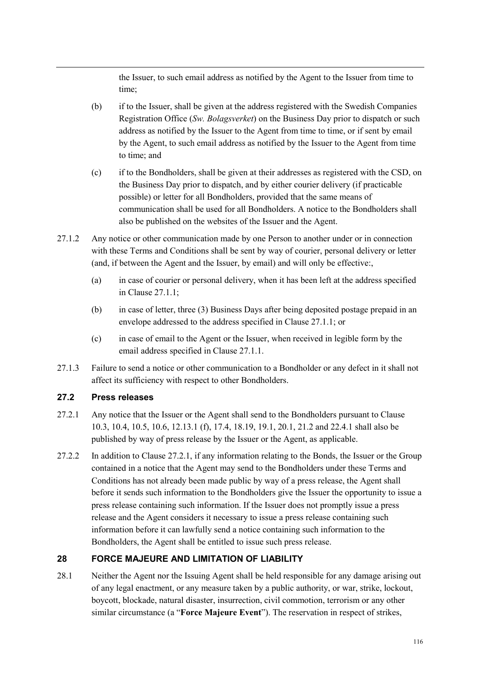the Issuer, to such email address as notified by the Agent to the Issuer from time to time;

- (b) if to the Issuer, shall be given at the address registered with the Swedish Companies Registration Office (*Sw. Bolagsverket*) on the Business Day prior to dispatch or such address as notified by the Issuer to the Agent from time to time, or if sent by email by the Agent, to such email address as notified by the Issuer to the Agent from time to time; and
- (c) if to the Bondholders, shall be given at their addresses as registered with the CSD, on the Business Day prior to dispatch, and by either courier delivery (if practicable possible) or letter for all Bondholders, provided that the same means of communication shall be used for all Bondholders. A notice to the Bondholders shall also be published on the websites of the Issuer and the Agent.
- 27.1.2 Any notice or other communication made by one Person to another under or in connection with these Terms and Conditions shall be sent by way of courier, personal delivery or letter (and, if between the Agent and the Issuer, by email) and will only be effective:,
	- (a) in case of courier or personal delivery, when it has been left at the address specified in Clause 27.1.1;
	- (b) in case of letter, three (3) Business Days after being deposited postage prepaid in an envelope addressed to the address specified in Clause 27.1.1; or
	- (c) in case of email to the Agent or the Issuer, when received in legible form by the email address specified in Clause 27.1.1.
- 27.1.3 Failure to send a notice or other communication to a Bondholder or any defect in it shall not affect its sufficiency with respect to other Bondholders.

### **27.2 Press releases**

- 27.2.1 Any notice that the Issuer or the Agent shall send to the Bondholders pursuant to Clause 10.3, 10.4, 10.5, 10.6, 12.13.1 (f), 17.4, 18.19, 19.1, 20.1, 21.2 and 22.4.1 shall also be published by way of press release by the Issuer or the Agent, as applicable.
- 27.2.2 In addition to Clause 27.2.1, if any information relating to the Bonds, the Issuer or the Group contained in a notice that the Agent may send to the Bondholders under these Terms and Conditions has not already been made public by way of a press release, the Agent shall before it sends such information to the Bondholders give the Issuer the opportunity to issue a press release containing such information. If the Issuer does not promptly issue a press release and the Agent considers it necessary to issue a press release containing such information before it can lawfully send a notice containing such information to the Bondholders, the Agent shall be entitled to issue such press release.

### **28 FORCE MAJEURE AND LIMITATION OF LIABILITY**

28.1 Neither the Agent nor the Issuing Agent shall be held responsible for any damage arising out of any legal enactment, or any measure taken by a public authority, or war, strike, lockout, boycott, blockade, natural disaster, insurrection, civil commotion, terrorism or any other similar circumstance (a "**Force Majeure Event**"). The reservation in respect of strikes,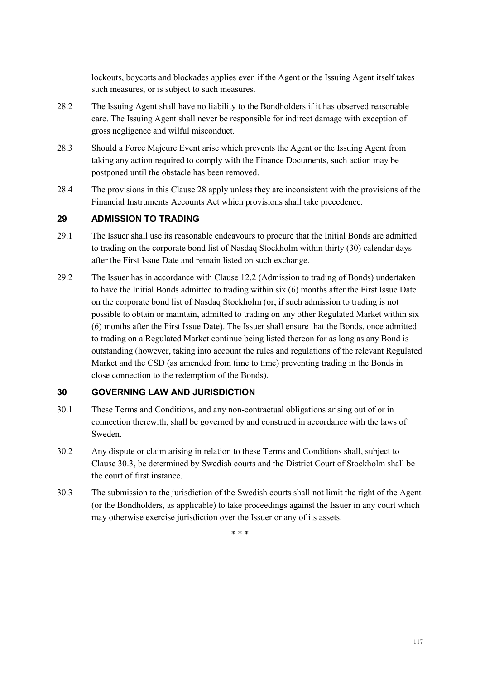lockouts, boycotts and blockades applies even if the Agent or the Issuing Agent itself takes such measures, or is subject to such measures.

- 28.2 The Issuing Agent shall have no liability to the Bondholders if it has observed reasonable care. The Issuing Agent shall never be responsible for indirect damage with exception of gross negligence and wilful misconduct.
- 28.3 Should a Force Majeure Event arise which prevents the Agent or the Issuing Agent from taking any action required to comply with the Finance Documents, such action may be postponed until the obstacle has been removed.
- 28.4 The provisions in this Clause 28 apply unless they are inconsistent with the provisions of the Financial Instruments Accounts Act which provisions shall take precedence.

#### **29 ADMISSION TO TRADING**

- 29.1 The Issuer shall use its reasonable endeavours to procure that the Initial Bonds are admitted to trading on the corporate bond list of Nasdaq Stockholm within thirty (30) calendar days after the First Issue Date and remain listed on such exchange.
- 29.2 The Issuer has in accordance with Clause 12.2 (Admission to trading of Bonds) undertaken to have the Initial Bonds admitted to trading within six (6) months after the First Issue Date on the corporate bond list of Nasdaq Stockholm (or, if such admission to trading is not possible to obtain or maintain, admitted to trading on any other Regulated Market within six (6) months after the First Issue Date). The Issuer shall ensure that the Bonds, once admitted to trading on a Regulated Market continue being listed thereon for as long as any Bond is outstanding (however, taking into account the rules and regulations of the relevant Regulated Market and the CSD (as amended from time to time) preventing trading in the Bonds in close connection to the redemption of the Bonds).

#### **30 GOVERNING LAW AND JURISDICTION**

- 30.1 These Terms and Conditions, and any non-contractual obligations arising out of or in connection therewith, shall be governed by and construed in accordance with the laws of Sweden.
- 30.2 Any dispute or claim arising in relation to these Terms and Conditions shall, subject to Clause 30.3, be determined by Swedish courts and the District Court of Stockholm shall be the court of first instance.
- 30.3 The submission to the jurisdiction of the Swedish courts shall not limit the right of the Agent (or the Bondholders, as applicable) to take proceedings against the Issuer in any court which may otherwise exercise jurisdiction over the Issuer or any of its assets.

\* \* \*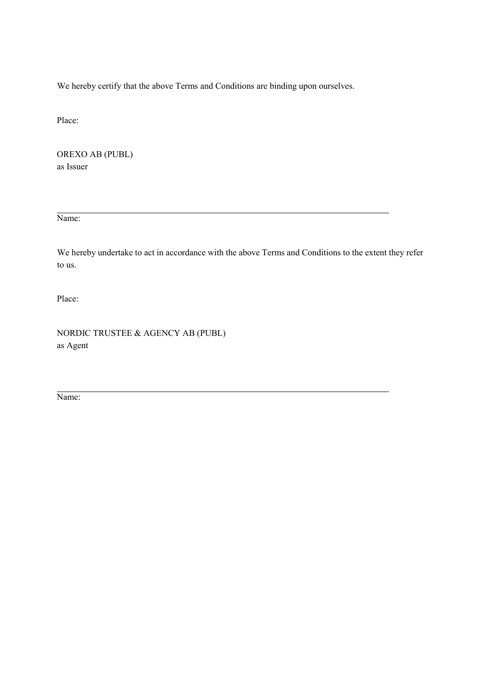We hereby certify that the above Terms and Conditions are binding upon ourselves.

Place:

 OREXO AB (PUBL) as Issuer

Name:

We hereby undertake to act in accordance with the above Terms and Conditions to the extent they refer to us.

Place:

NORDIC TRUSTEE & AGENCY AB (PUBL) as Agent

Name: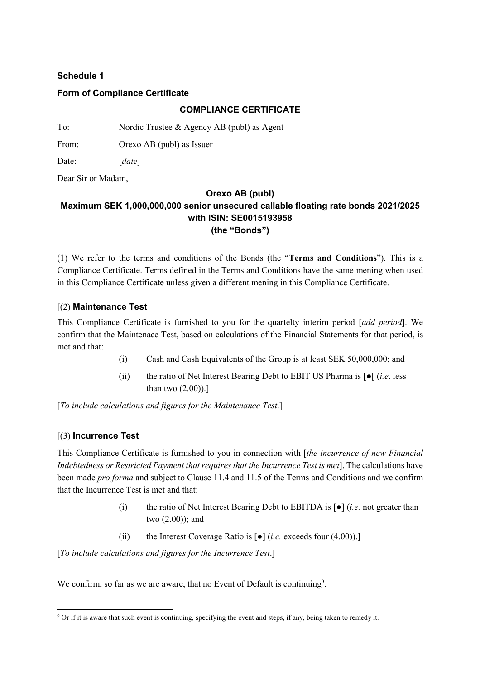### **Schedule 1**

#### **Form of Compliance Certificate**

#### **COMPLIANCE CERTIFICATE**

To: Nordic Trustee & Agency AB (publ) as Agent

From: Orexo AB (publ) as Issuer

Date: [*date*]

Dear Sir or Madam,

#### **Orexo AB (publ)**

### **Maximum SEK 1,000,000,000 senior unsecured callable floating rate bonds 2021/2025 with ISIN: SE0015193958 (the "Bonds")**

(1) We refer to the terms and conditions of the Bonds (the "**Terms and Conditions**"). This is a Compliance Certificate. Terms defined in the Terms and Conditions have the same mening when used in this Compliance Certificate unless given a different mening in this Compliance Certificate.

#### [(2) **Maintenance Test**

This Compliance Certificate is furnished to you for the quartelty interim period [*add period*]. We confirm that the Maintenace Test, based on calculations of the Financial Statements for that period, is met and that:

- (i) Cash and Cash Equivalents of the Group is at least SEK 50,000,000; and
- (ii) the ratio of Net Interest Bearing Debt to EBIT US Pharma is [●[ (*i.e*. less than two (2.00)).]

[*To include calculations and figures for the Maintenance Test*.]

#### [(3) **Incurrence Test**

This Compliance Certificate is furnished to you in connection with [*the incurrence of new Financial Indebtedness or Restricted Payment that requires that the Incurrence Test is met*]. The calculations have been made *pro forma* and subject to Clause 11.4 and 11.5 of the Terms and Conditions and we confirm that the Incurrence Test is met and that:

- (i) the ratio of Net Interest Bearing Debt to EBITDA is [●] (*i.e.* not greater than two (2.00)); and
- (ii) the Interest Coverage Ratio is [●] (*i.e.* exceeds four (4.00)).]

[*To include calculations and figures for the Incurrence Test*.]

We confirm, so far as we are aware, that no Event of Default is continuing<sup>9</sup>.

l <sup>9</sup> Or if it is aware that such event is continuing, specifying the event and steps, if any, being taken to remedy it.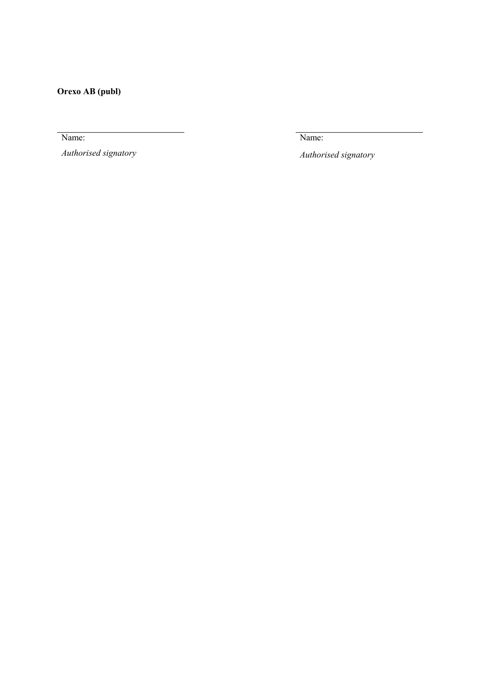**Orexo AB (publ)** 

Name:

*Authorised signatory*

Name:

*Authorised signatory*